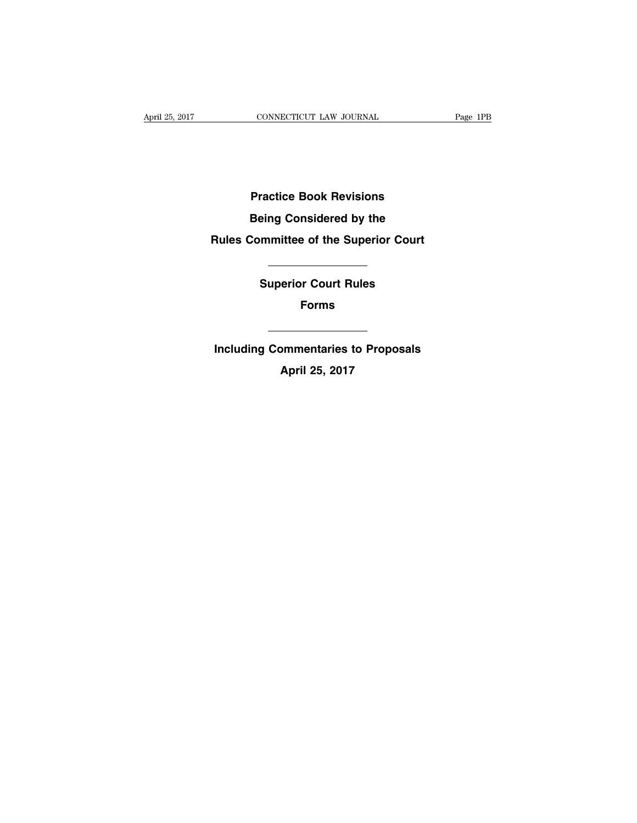**Practice Book Revisions**

**Being Considered by the**

### **Rules Committee of the Superior Court**

**Superior Court Rules**

**Forms**

**Including Commentaries to Proposals**

**April 25, 2017**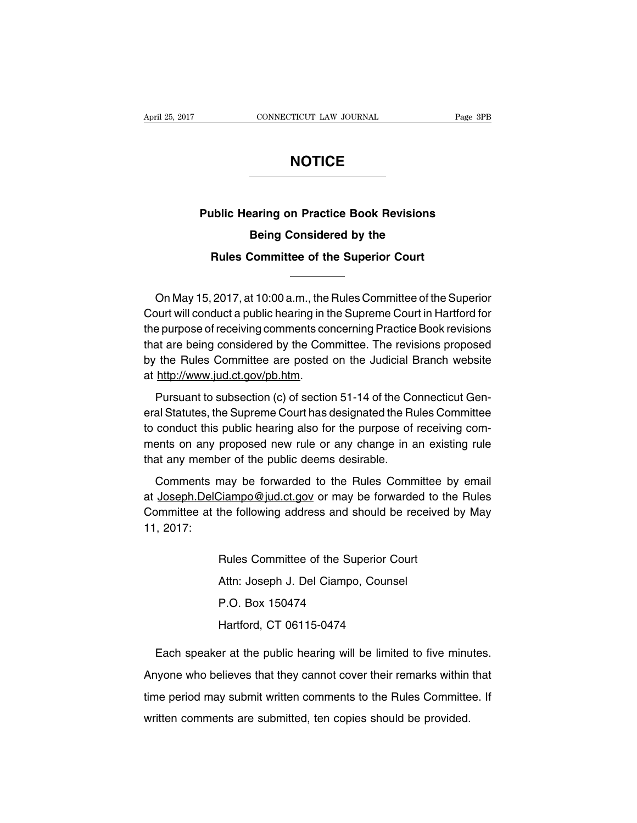### **NOTICE**

# **Public Hearing on Practice Book Revisions Being Considered by the Rules Committee of the Superior Court**

On May 15, 2017, at 10:00 a.m., the Rules Committee of the Superior Court will conduct a public hearing in the Supreme Court in Hartford for the purpose of receiving comments concerning Practice Book revisions that are being considered by the Committee. The revisions proposed by the Rules Committee are posted on the Judicial Branch website at http://www.jud.ct.gov/pb.htm.

Pursuant to subsection (c) of section 51-14 of the Connecticut General Statutes, the Supreme Court has designated the Rules Committee to conduct this public hearing also for the purpose of receiving comments on any proposed new rule or any change in an existing rule that any member of the public deems desirable.

Comments may be forwarded to the Rules Committee by email at Joseph.DelCiampo@jud.ct.gov or may be forwarded to the Rules Committee at the following address and should be received by May 11, 2017:

> Rules Committee of the Superior Court Attn: Joseph J. Del Ciampo, Counsel P.O. Box 150474 Hartford, CT 06115-0474

Each speaker at the public hearing will be limited to five minutes. Anyone who believes that they cannot cover their remarks within that time period may submit written comments to the Rules Committee. If written comments are submitted, ten copies should be provided.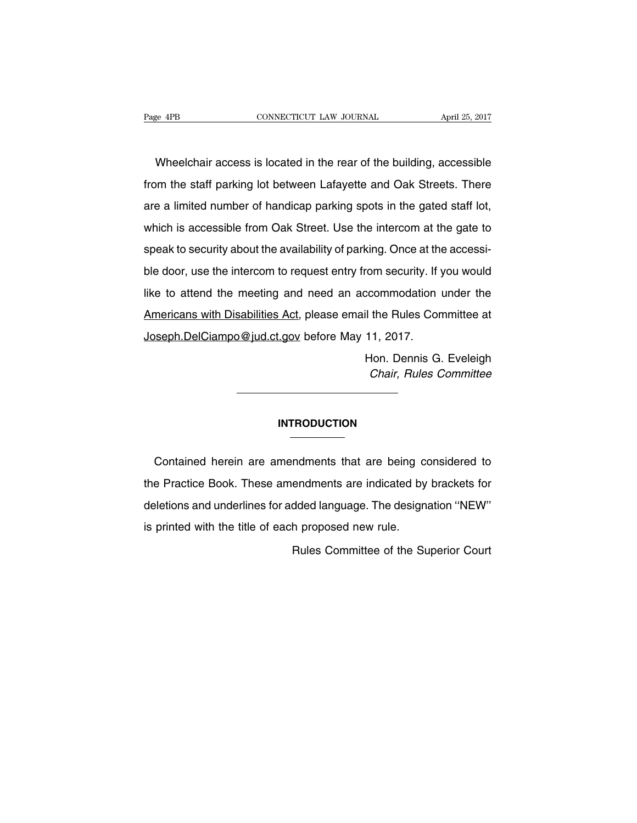Wheelchair access is located in the rear of the building, accessible from the staff parking lot between Lafayette and Oak Streets. There are a limited number of handicap parking spots in the gated staff lot, which is accessible from Oak Street. Use the intercom at the gate to speak to security about the availability of parking. Once at the accessible door, use the intercom to request entry from security. If you would like to attend the meeting and need an accommodation under the Americans with Disabilities Act, please email the Rules Committee at Joseph.DelCiampo@jud.ct.gov before May 11, 2017.

> Hon. Dennis G. Eveleigh Chair, Rules Committee

#### **INTRODUCTION**

Contained herein are amendments that are being considered to the Practice Book. These amendments are indicated by brackets for deletions and underlines for added language. The designation ''NEW'' is printed with the title of each proposed new rule.

Rules Committee of the Superior Court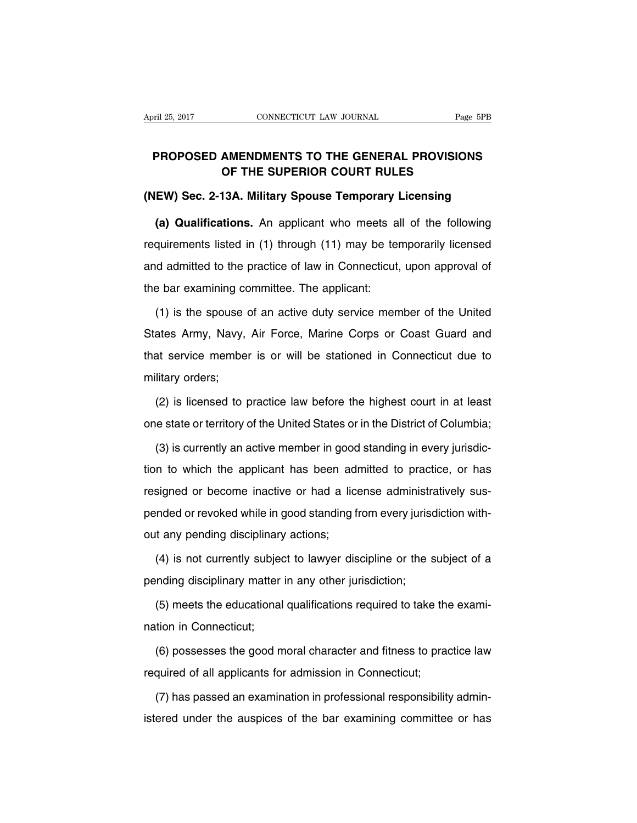### **PROPOSED AMENDMENTS TO THE GENERAL PROVISIONS OF THE SUPERIOR COURT RULES**

#### **(NEW) Sec. 2-13A. Military Spouse Temporary Licensing**

**(a) Qualifications.** An applicant who meets all of the following requirements listed in (1) through (11) may be temporarily licensed and admitted to the practice of law in Connecticut, upon approval of the bar examining committee. The applicant:

(1) is the spouse of an active duty service member of the United States Army, Navy, Air Force, Marine Corps or Coast Guard and that service member is or will be stationed in Connecticut due to military orders;

(2) is licensed to practice law before the highest court in at least one state or territory of the United States or in the District of Columbia;

(3) is currently an active member in good standing in every jurisdiction to which the applicant has been admitted to practice, or has resigned or become inactive or had a license administratively suspended or revoked while in good standing from every jurisdiction without any pending disciplinary actions;

(4) is not currently subject to lawyer discipline or the subject of a pending disciplinary matter in any other jurisdiction;

(5) meets the educational qualifications required to take the examination in Connecticut;

(6) possesses the good moral character and fitness to practice law required of all applicants for admission in Connecticut;

(7) has passed an examination in professional responsibility administered under the auspices of the bar examining committee or has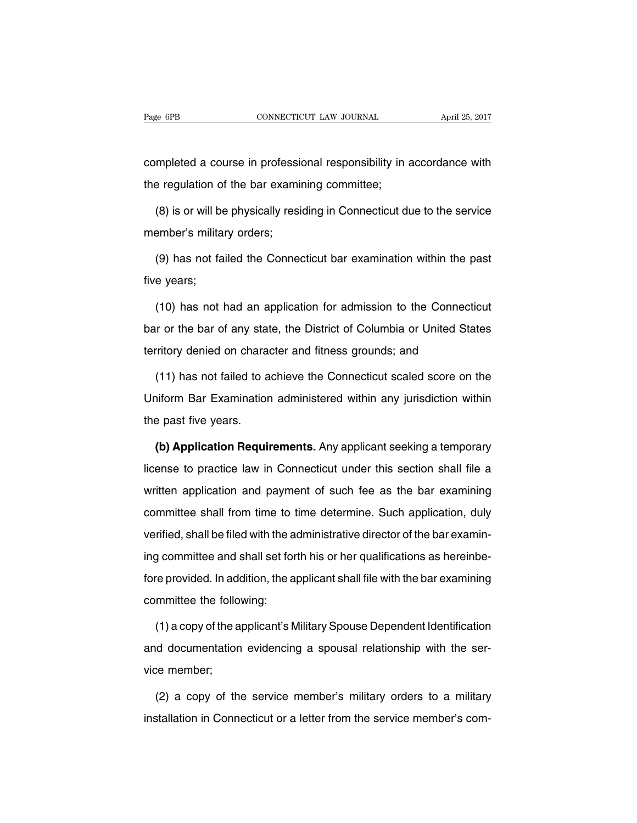completed a course in professional responsibility in accordance with the regulation of the bar examining committee;

(8) is or will be physically residing in Connecticut due to the service member's military orders;

(9) has not failed the Connecticut bar examination within the past five years;

(10) has not had an application for admission to the Connecticut bar or the bar of any state, the District of Columbia or United States territory denied on character and fitness grounds; and

(11) has not failed to achieve the Connecticut scaled score on the Uniform Bar Examination administered within any jurisdiction within the past five years.

**(b) Application Requirements.** Any applicant seeking a temporary license to practice law in Connecticut under this section shall file a written application and payment of such fee as the bar examining committee shall from time to time determine. Such application, duly verified, shall be filed with the administrative director of the bar examining committee and shall set forth his or her qualifications as hereinbefore provided. In addition, the applicant shall file with the bar examining committee the following:

(1) a copy of the applicant's Military Spouse Dependent Identification and documentation evidencing a spousal relationship with the service member;

(2) a copy of the service member's military orders to a military installation in Connecticut or a letter from the service member's com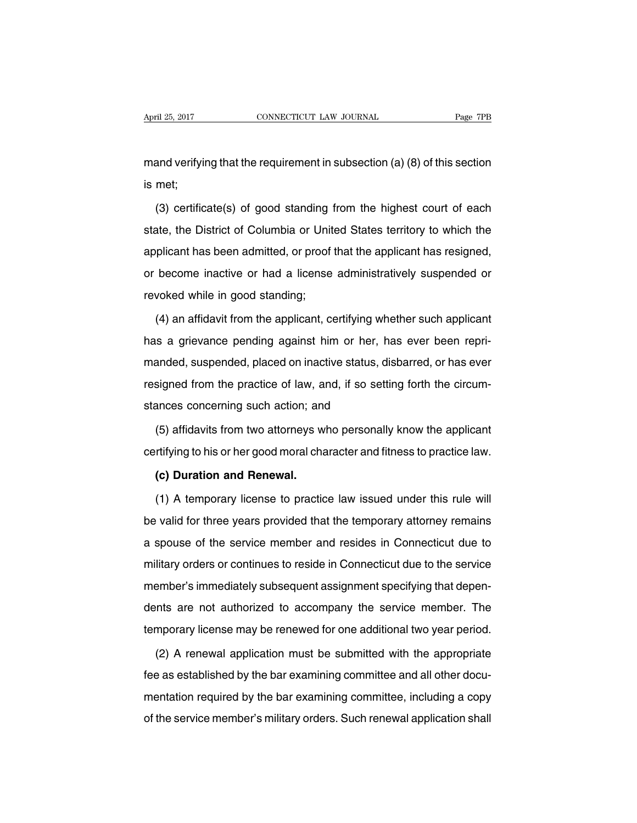mand verifying that the requirement in subsection (a) (8) of this section is met;

(3) certificate(s) of good standing from the highest court of each state, the District of Columbia or United States territory to which the applicant has been admitted, or proof that the applicant has resigned, or become inactive or had a license administratively suspended or revoked while in good standing;

(4) an affidavit from the applicant, certifying whether such applicant has a grievance pending against him or her, has ever been reprimanded, suspended, placed on inactive status, disbarred, or has ever resigned from the practice of law, and, if so setting forth the circumstances concerning such action; and

(5) affidavits from two attorneys who personally know the applicant certifying to his or her good moral character and fitness to practice law.

#### **(c) Duration and Renewal.**

(1) A temporary license to practice law issued under this rule will be valid for three years provided that the temporary attorney remains a spouse of the service member and resides in Connecticut due to military orders or continues to reside in Connecticut due to the service member's immediately subsequent assignment specifying that dependents are not authorized to accompany the service member. The temporary license may be renewed for one additional two year period.

(2) A renewal application must be submitted with the appropriate fee as established by the bar examining committee and all other documentation required by the bar examining committee, including a copy of the service member's military orders. Such renewal application shall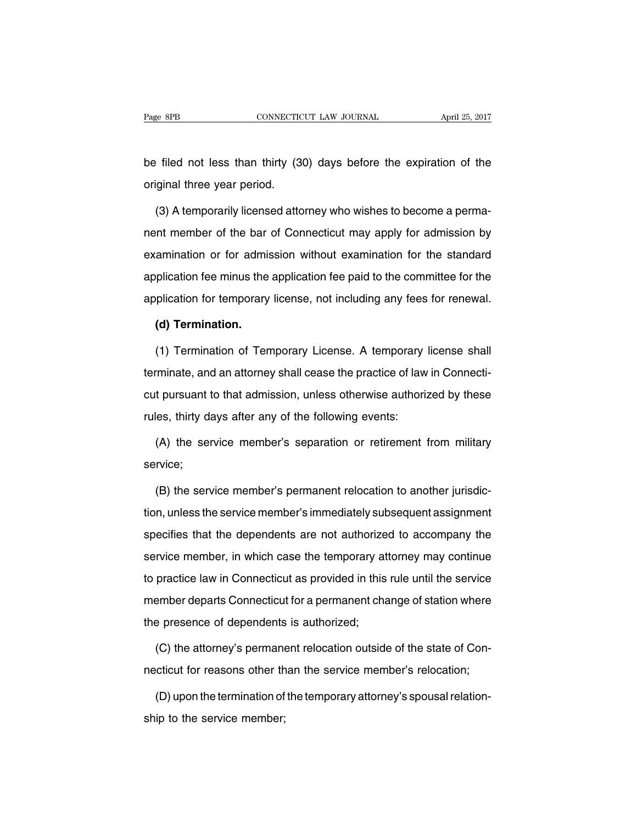be filed not less than thirty (30) days before the expiration of the original three year period.

(3) A temporarily licensed attorney who wishes to become a permanent member of the bar of Connecticut may apply for admission by examination or for admission without examination for the standard application fee minus the application fee paid to the committee for the application for temporary license, not including any fees for renewal.

#### **(d) Termination.**

(1) Termination of Temporary License. A temporary license shall terminate, and an attorney shall cease the practice of law in Connecticut pursuant to that admission, unless otherwise authorized by these rules, thirty days after any of the following events:

(A) the service member's separation or retirement from military service;

(B) the service member's permanent relocation to another jurisdiction, unless the service member's immediately subsequent assignment specifies that the dependents are not authorized to accompany the service member, in which case the temporary attorney may continue to practice law in Connecticut as provided in this rule until the service member departs Connecticut for a permanent change of station where the presence of dependents is authorized;

(C) the attorney's permanent relocation outside of the state of Connecticut for reasons other than the service member's relocation;

(D) upon the termination of the temporary attorney's spousal relationship to the service member;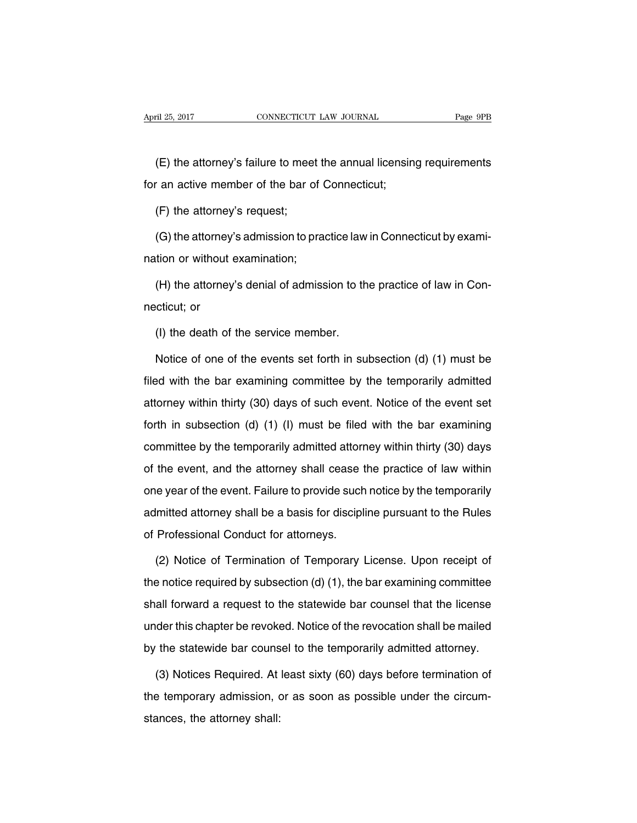(E) the attorney's failure to meet the annual licensing requirements for an active member of the bar of Connecticut;

(F) the attorney's request;

(G) the attorney's admission to practice law in Connecticut by examination or without examination;

(H) the attorney's denial of admission to the practice of law in Connecticut; or

(I) the death of the service member.

Notice of one of the events set forth in subsection (d) (1) must be filed with the bar examining committee by the temporarily admitted attorney within thirty (30) days of such event. Notice of the event set forth in subsection (d) (1) (I) must be filed with the bar examining committee by the temporarily admitted attorney within thirty (30) days of the event, and the attorney shall cease the practice of law within one year of the event. Failure to provide such notice by the temporarily admitted attorney shall be a basis for discipline pursuant to the Rules of Professional Conduct for attorneys.

(2) Notice of Termination of Temporary License. Upon receipt of the notice required by subsection (d) (1), the bar examining committee shall forward a request to the statewide bar counsel that the license under this chapter be revoked. Notice of the revocation shall be mailed by the statewide bar counsel to the temporarily admitted attorney.

(3) Notices Required. At least sixty (60) days before termination of the temporary admission, or as soon as possible under the circumstances, the attorney shall: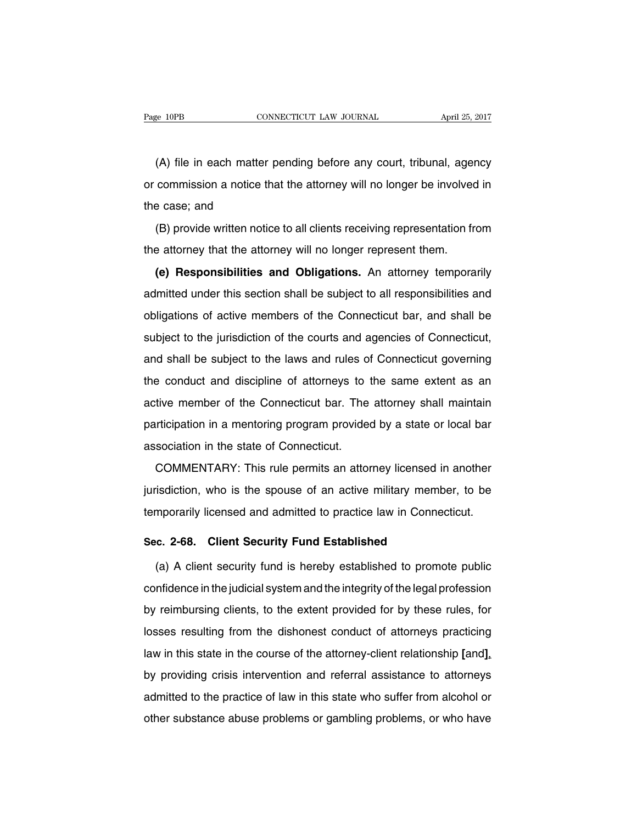(A) file in each matter pending before any court, tribunal, agency or commission a notice that the attorney will no longer be involved in the case; and

(B) provide written notice to all clients receiving representation from the attorney that the attorney will no longer represent them.

**(e) Responsibilities and Obligations.** An attorney temporarily admitted under this section shall be subject to all responsibilities and obligations of active members of the Connecticut bar, and shall be subject to the jurisdiction of the courts and agencies of Connecticut, and shall be subject to the laws and rules of Connecticut governing the conduct and discipline of attorneys to the same extent as an active member of the Connecticut bar. The attorney shall maintain participation in a mentoring program provided by a state or local bar association in the state of Connecticut.

COMMENTARY: This rule permits an attorney licensed in another jurisdiction, who is the spouse of an active military member, to be temporarily licensed and admitted to practice law in Connecticut.

#### **Sec. 2-68. Client Security Fund Established**

(a) A client security fund is hereby established to promote public confidence in the judicial system and the integrity of the legal profession by reimbursing clients, to the extent provided for by these rules, for losses resulting from the dishonest conduct of attorneys practicing law in this state in the course of the attorney-client relationship **[**and**]**, by providing crisis intervention and referral assistance to attorneys admitted to the practice of law in this state who suffer from alcohol or other substance abuse problems or gambling problems, or who have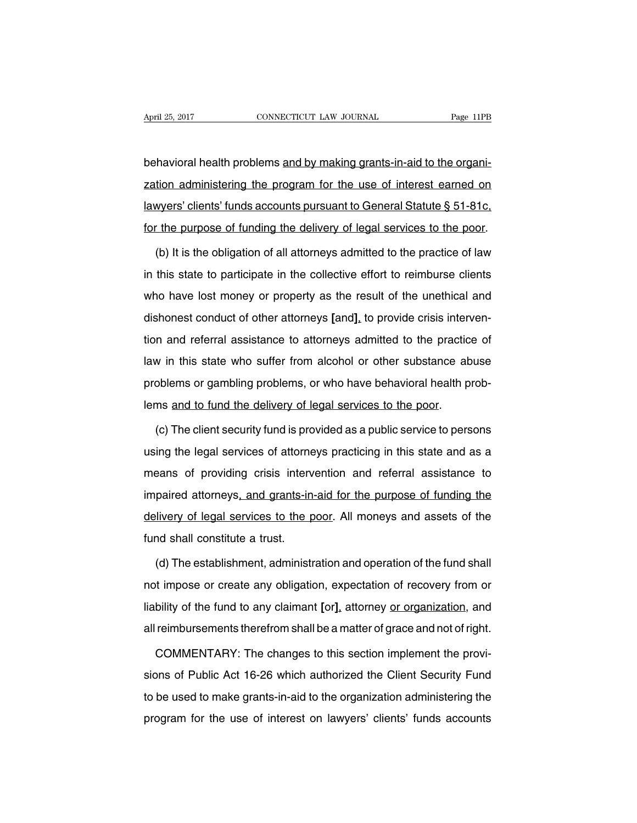behavioral health problems and by making grants-in-aid to the organization administering the program for the use of interest earned on lawyers' clients' funds accounts pursuant to General Statute § 51-81c, for the purpose of funding the delivery of legal services to the poor.

(b) It is the obligation of all attorneys admitted to the practice of law in this state to participate in the collective effort to reimburse clients who have lost money or property as the result of the unethical and dishonest conduct of other attorneys **[**and**]**, to provide crisis intervention and referral assistance to attorneys admitted to the practice of law in this state who suffer from alcohol or other substance abuse problems or gambling problems, or who have behavioral health problems and to fund the delivery of legal services to the poor.

(c) The client security fund is provided as a public service to persons using the legal services of attorneys practicing in this state and as a means of providing crisis intervention and referral assistance to impaired attorneys, and grants-in-aid for the purpose of funding the delivery of legal services to the poor. All moneys and assets of the fund shall constitute a trust.

(d) The establishment, administration and operation of the fund shall not impose or create any obligation, expectation of recovery from or liability of the fund to any claimant **[**or**]**, attorney or organization, and all reimbursements therefrom shall be a matter of grace and not of right.

COMMENTARY: The changes to this section implement the provisions of Public Act 16-26 which authorized the Client Security Fund to be used to make grants-in-aid to the organization administering the program for the use of interest on lawyers' clients' funds accounts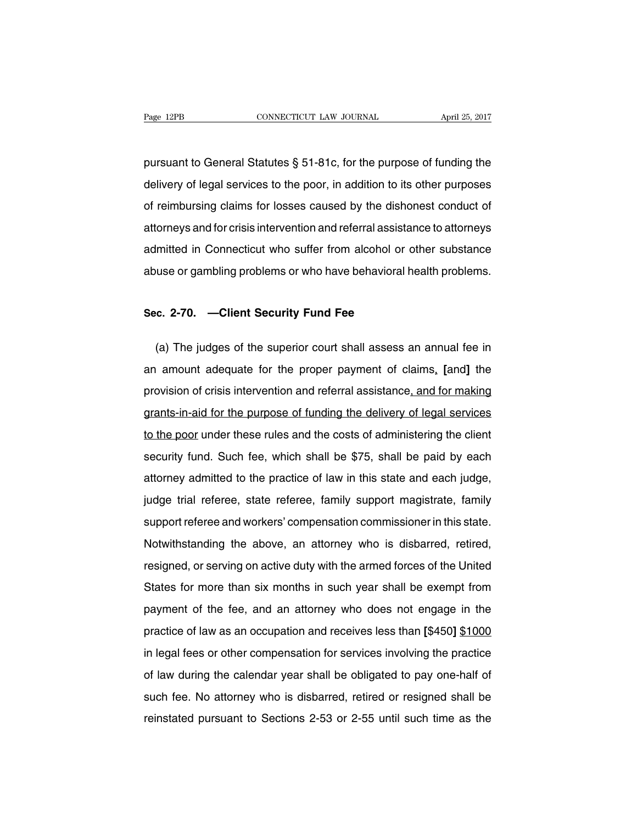pursuant to General Statutes § 51-81c, for the purpose of funding the delivery of legal services to the poor, in addition to its other purposes of reimbursing claims for losses caused by the dishonest conduct of attorneys and for crisis intervention and referral assistance to attorneys admitted in Connecticut who suffer from alcohol or other substance abuse or gambling problems or who have behavioral health problems.

#### **Sec. 2-70. —Client Security Fund Fee**

(a) The judges of the superior court shall assess an annual fee in an amount adequate for the proper payment of claims, **[**and**]** the provision of crisis intervention and referral assistance, and for making grants-in-aid for the purpose of funding the delivery of legal services to the poor under these rules and the costs of administering the client security fund. Such fee, which shall be \$75, shall be paid by each attorney admitted to the practice of law in this state and each judge, judge trial referee, state referee, family support magistrate, family support referee and workers' compensation commissioner in this state. Notwithstanding the above, an attorney who is disbarred, retired, resigned, or serving on active duty with the armed forces of the United States for more than six months in such year shall be exempt from payment of the fee, and an attorney who does not engage in the practice of law as an occupation and receives less than **[**\$450**]** \$1000 in legal fees or other compensation for services involving the practice of law during the calendar year shall be obligated to pay one-half of such fee. No attorney who is disbarred, retired or resigned shall be reinstated pursuant to Sections 2-53 or 2-55 until such time as the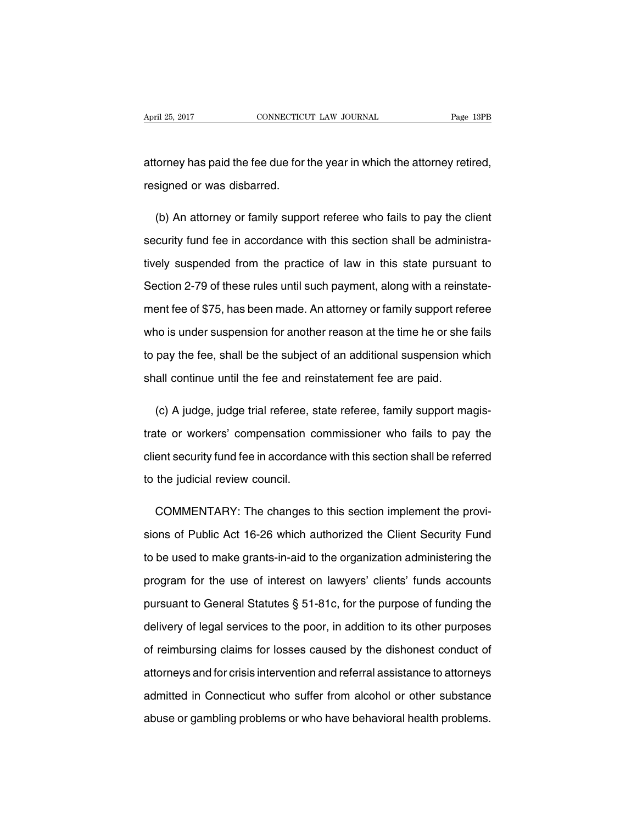attorney has paid the fee due for the year in which the attorney retired, resigned or was disbarred.

(b) An attorney or family support referee who fails to pay the client security fund fee in accordance with this section shall be administratively suspended from the practice of law in this state pursuant to Section 2-79 of these rules until such payment, along with a reinstatement fee of \$75, has been made. An attorney or family support referee who is under suspension for another reason at the time he or she fails to pay the fee, shall be the subject of an additional suspension which shall continue until the fee and reinstatement fee are paid.

(c) A judge, judge trial referee, state referee, family support magistrate or workers' compensation commissioner who fails to pay the client security fund fee in accordance with this section shall be referred to the judicial review council.

COMMENTARY: The changes to this section implement the provisions of Public Act 16-26 which authorized the Client Security Fund to be used to make grants-in-aid to the organization administering the program for the use of interest on lawyers' clients' funds accounts pursuant to General Statutes § 51-81c, for the purpose of funding the delivery of legal services to the poor, in addition to its other purposes of reimbursing claims for losses caused by the dishonest conduct of attorneys and for crisis intervention and referral assistance to attorneys admitted in Connecticut who suffer from alcohol or other substance abuse or gambling problems or who have behavioral health problems.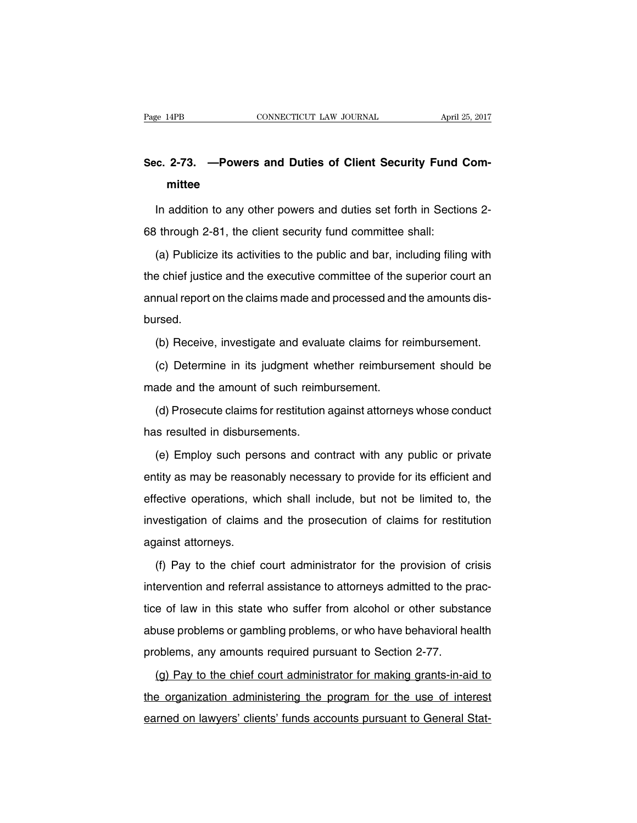## **Sec. 2-73. —Powers and Duties of Client Security Fund Committee**

In addition to any other powers and duties set forth in Sections 2- 68 through 2-81, the client security fund committee shall:

(a) Publicize its activities to the public and bar, including filing with the chief justice and the executive committee of the superior court an annual report on the claims made and processed and the amounts disbursed.

(b) Receive, investigate and evaluate claims for reimbursement.

(c) Determine in its judgment whether reimbursement should be made and the amount of such reimbursement.

(d) Prosecute claims for restitution against attorneys whose conduct has resulted in disbursements.

(e) Employ such persons and contract with any public or private entity as may be reasonably necessary to provide for its efficient and effective operations, which shall include, but not be limited to, the investigation of claims and the prosecution of claims for restitution against attorneys.

(f) Pay to the chief court administrator for the provision of crisis intervention and referral assistance to attorneys admitted to the practice of law in this state who suffer from alcohol or other substance abuse problems or gambling problems, or who have behavioral health problems, any amounts required pursuant to Section 2-77.

(g) Pay to the chief court administrator for making grants-in-aid to the organization administering the program for the use of interest earned on lawyers' clients' funds accounts pursuant to General Stat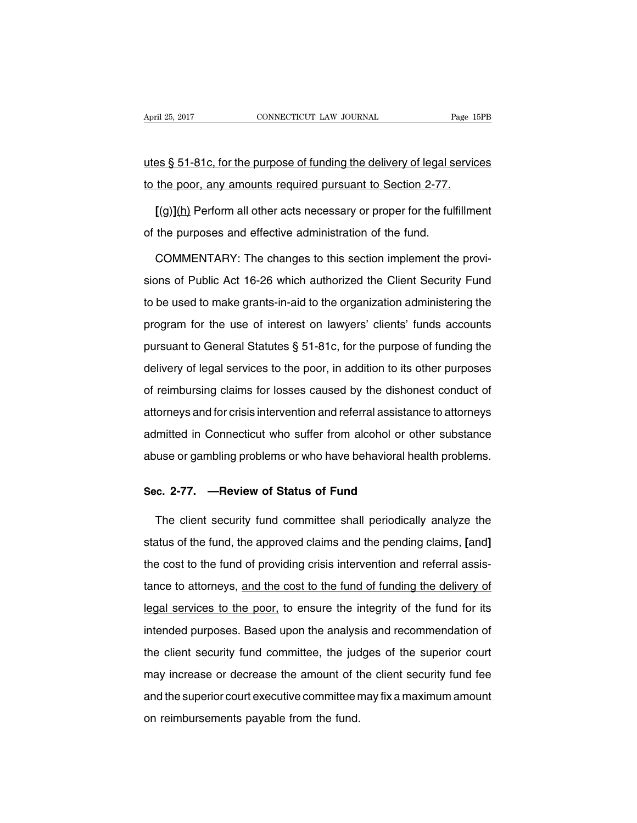utes § 51-81c, for the purpose of funding the delivery of legal services to the poor, any amounts required pursuant to Section 2-77.

**[**(g)**]**(h) Perform all other acts necessary or proper for the fulfillment of the purposes and effective administration of the fund.

COMMENTARY: The changes to this section implement the provisions of Public Act 16-26 which authorized the Client Security Fund to be used to make grants-in-aid to the organization administering the program for the use of interest on lawyers' clients' funds accounts pursuant to General Statutes § 51-81c, for the purpose of funding the delivery of legal services to the poor, in addition to its other purposes of reimbursing claims for losses caused by the dishonest conduct of attorneys and for crisis intervention and referral assistance to attorneys admitted in Connecticut who suffer from alcohol or other substance abuse or gambling problems or who have behavioral health problems.

#### **Sec. 2-77. —Review of Status of Fund**

The client security fund committee shall periodically analyze the status of the fund, the approved claims and the pending claims, **[**and**]** the cost to the fund of providing crisis intervention and referral assistance to attorneys, and the cost to the fund of funding the delivery of legal services to the poor, to ensure the integrity of the fund for its intended purposes. Based upon the analysis and recommendation of the client security fund committee, the judges of the superior court may increase or decrease the amount of the client security fund fee and the superior court executive committee may fix a maximum amount on reimbursements payable from the fund.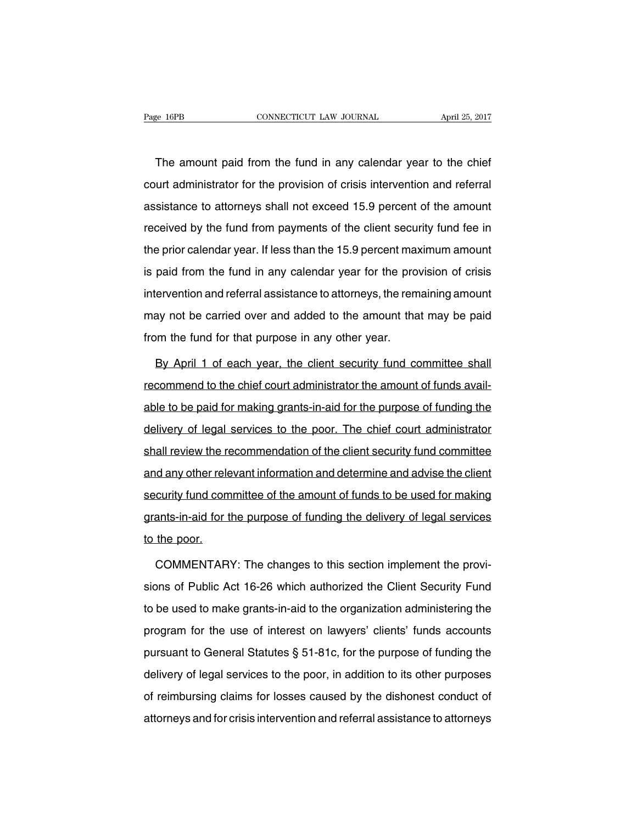The amount paid from the fund in any calendar year to the chief court administrator for the provision of crisis intervention and referral assistance to attorneys shall not exceed 15.9 percent of the amount received by the fund from payments of the client security fund fee in the prior calendar year. If less than the 15.9 percent maximum amount is paid from the fund in any calendar year for the provision of crisis intervention and referral assistance to attorneys, the remaining amount may not be carried over and added to the amount that may be paid from the fund for that purpose in any other year.

By April 1 of each year, the client security fund committee shall recommend to the chief court administrator the amount of funds available to be paid for making grants-in-aid for the purpose of funding the delivery of legal services to the poor. The chief court administrator shall review the recommendation of the client security fund committee and any other relevant information and determine and advise the client security fund committee of the amount of funds to be used for making grants-in-aid for the purpose of funding the delivery of legal services to the poor.

COMMENTARY: The changes to this section implement the provisions of Public Act 16-26 which authorized the Client Security Fund to be used to make grants-in-aid to the organization administering the program for the use of interest on lawyers' clients' funds accounts pursuant to General Statutes § 51-81c, for the purpose of funding the delivery of legal services to the poor, in addition to its other purposes of reimbursing claims for losses caused by the dishonest conduct of attorneys and for crisis intervention and referral assistance to attorneys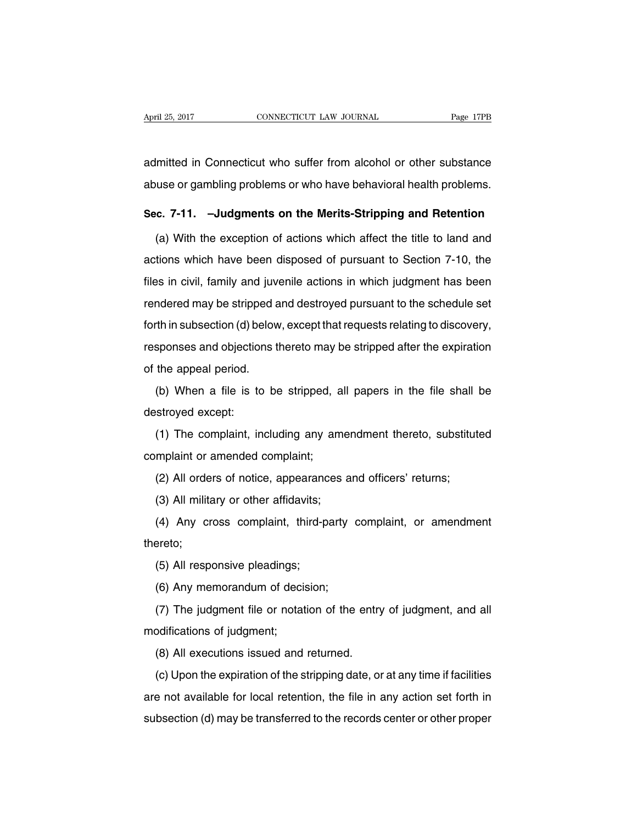admitted in Connecticut who suffer from alcohol or other substance abuse or gambling problems or who have behavioral health problems.

#### **Sec. 7-11. –Judgments on the Merits-Stripping and Retention**

(a) With the exception of actions which affect the title to land and actions which have been disposed of pursuant to Section 7-10, the files in civil, family and juvenile actions in which judgment has been rendered may be stripped and destroyed pursuant to the schedule set forth in subsection (d) below, except that requests relating to discovery, responses and objections thereto may be stripped after the expiration of the appeal period.

(b) When a file is to be stripped, all papers in the file shall be destroyed except:

(1) The complaint, including any amendment thereto, substituted complaint or amended complaint;

(2) All orders of notice, appearances and officers' returns;

(3) All military or other affidavits;

(4) Any cross complaint, third-party complaint, or amendment thereto;

(5) All responsive pleadings;

(6) Any memorandum of decision;

(7) The judgment file or notation of the entry of judgment, and all modifications of judgment;

(8) All executions issued and returned.

(c) Upon the expiration of the stripping date, or at any time if facilities are not available for local retention, the file in any action set forth in subsection (d) may be transferred to the records center or other proper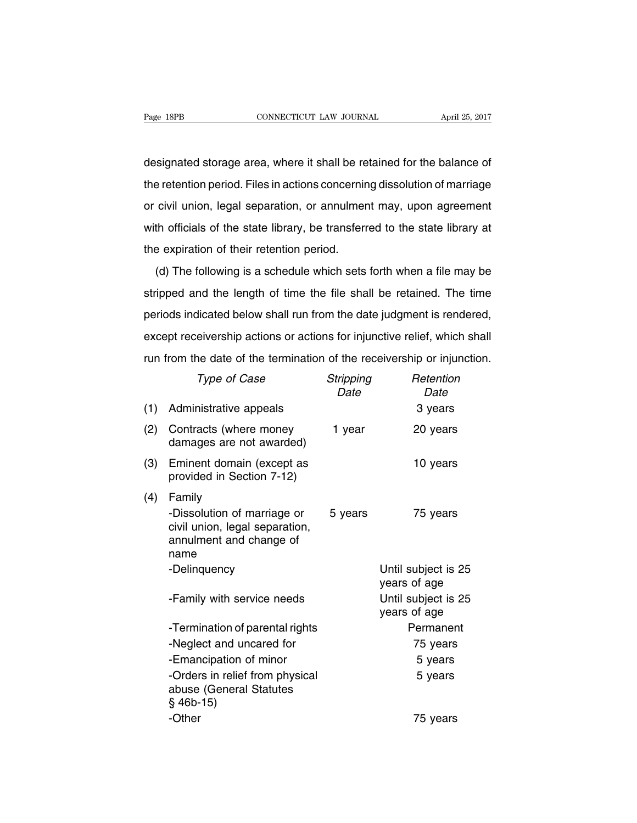designated storage area, where it shall be retained for the balance of the retention period. Files in actions concerning dissolution of marriage or civil union, legal separation, or annulment may, upon agreement with officials of the state library, be transferred to the state library at the expiration of their retention period.

(d) The following is a schedule which sets forth when a file may be stripped and the length of time the file shall be retained. The time periods indicated below shall run from the date judgment is rendered, except receivership actions or actions for injunctive relief, which shall run from the date of the termination of the receivership or injunction.

|     | Type of Case                                                                                               | Stripping<br>Date | Retention<br>Date                   |
|-----|------------------------------------------------------------------------------------------------------------|-------------------|-------------------------------------|
| (1) | Administrative appeals                                                                                     |                   | 3 years                             |
| (2) | Contracts (where money<br>damages are not awarded)                                                         | 1 year            | 20 years                            |
| (3) | Eminent domain (except as<br>provided in Section 7-12)                                                     |                   | 10 years                            |
| (4) | Family<br>-Dissolution of marriage or<br>civil union, legal separation,<br>annulment and change of<br>name | 5 years           | 75 years                            |
|     | -Delinquency                                                                                               |                   | Until subject is 25<br>years of age |
|     | -Family with service needs                                                                                 |                   | Until subject is 25<br>years of age |
|     | -Termination of parental rights                                                                            |                   | Permanent                           |
|     | -Neglect and uncared for                                                                                   |                   | 75 years                            |
|     | -Emancipation of minor                                                                                     |                   | 5 years                             |
|     | -Orders in relief from physical<br>abuse (General Statutes<br>$§$ 46b-15)                                  |                   | 5 years                             |
|     | -Other                                                                                                     |                   | 75 years                            |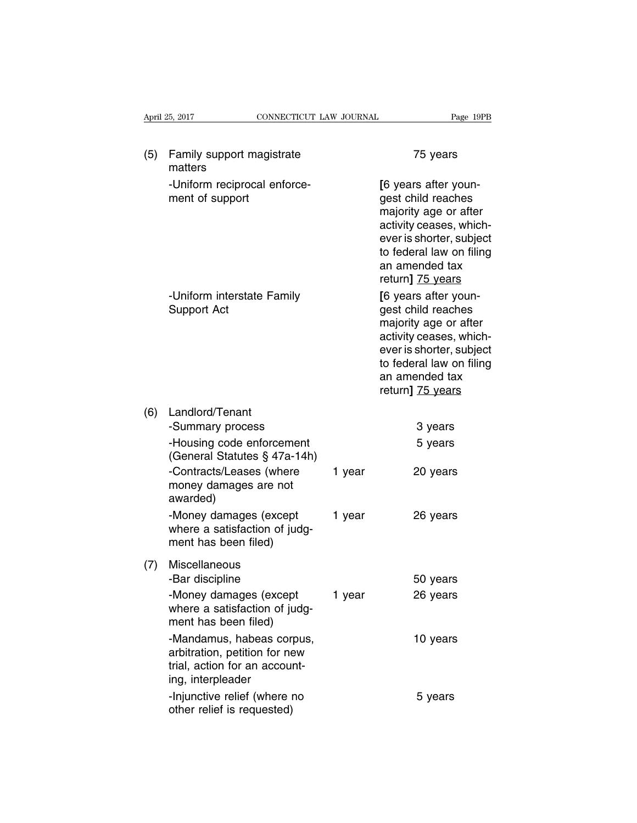|     | CONNECTICUT LAW JOURNAL<br>April 25, 2017                                                                        |        | Page 19PB                                                                                                                                                                                    |
|-----|------------------------------------------------------------------------------------------------------------------|--------|----------------------------------------------------------------------------------------------------------------------------------------------------------------------------------------------|
| (5) | Family support magistrate<br>matters                                                                             |        | 75 years                                                                                                                                                                                     |
|     | -Uniform reciprocal enforce-<br>ment of support                                                                  |        | [6 years after youn-<br>gest child reaches<br>majority age or after<br>activity ceases, which-<br>ever is shorter, subject<br>to federal law on filing<br>an amended tax<br>return] 75 years |
|     | -Uniform interstate Family<br>Support Act                                                                        |        | [6 years after youn-<br>gest child reaches<br>majority age or after<br>activity ceases, which-<br>ever is shorter, subject<br>to federal law on filing<br>an amended tax<br>return] 75 years |
| (6) | Landlord/Tenant                                                                                                  |        |                                                                                                                                                                                              |
|     | -Summary process                                                                                                 |        | 3 years                                                                                                                                                                                      |
|     | -Housing code enforcement<br>(General Statutes § 47a-14h)                                                        |        | 5 years                                                                                                                                                                                      |
|     | -Contracts/Leases (where<br>money damages are not<br>awarded)                                                    | 1 year | 20 years                                                                                                                                                                                     |
|     | -Money damages (except<br>where a satisfaction of judg-<br>ment has been filed)                                  | 1 year | 26 years                                                                                                                                                                                     |
| (7) | Miscellaneous<br>-Bar discipline                                                                                 |        | 50 years                                                                                                                                                                                     |
|     | -Money damages (except<br>where a satisfaction of judg-<br>ment has been filed)                                  | 1 year | 26 years                                                                                                                                                                                     |
|     | -Mandamus, habeas corpus,<br>arbitration, petition for new<br>trial, action for an account-<br>ing, interpleader |        | 10 years                                                                                                                                                                                     |
|     | -Injunctive relief (where no<br>other relief is requested)                                                       |        | 5 years                                                                                                                                                                                      |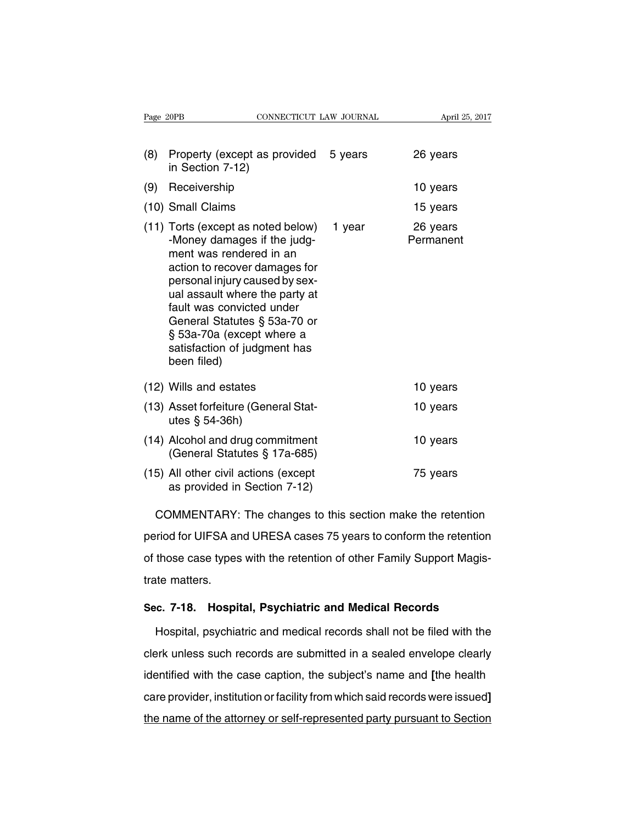| Page 20PB |                                                                                                                                                                                                                                                                                                                                            | CONNECTICUT LAW JOURNAL |         | April 25, 2017        |  |
|-----------|--------------------------------------------------------------------------------------------------------------------------------------------------------------------------------------------------------------------------------------------------------------------------------------------------------------------------------------------|-------------------------|---------|-----------------------|--|
| (8)       | Property (except as provided<br>in Section 7-12)                                                                                                                                                                                                                                                                                           |                         | 5 years | 26 years              |  |
| (9)       | Receivership                                                                                                                                                                                                                                                                                                                               |                         |         | 10 years              |  |
|           | (10) Small Claims                                                                                                                                                                                                                                                                                                                          |                         |         | 15 years              |  |
|           | (11) Torts (except as noted below)<br>-Money damages if the judg-<br>ment was rendered in an<br>action to recover damages for<br>personal injury caused by sex-<br>ual assault where the party at<br>fault was convicted under<br>General Statutes § 53a-70 or<br>§ 53a-70a (except where a<br>satisfaction of judgment has<br>been filed) |                         | 1 year  | 26 years<br>Permanent |  |
|           | (12) Wills and estates                                                                                                                                                                                                                                                                                                                     |                         |         | 10 years              |  |
|           | (13) Asset forfeiture (General Stat-<br>utes $\S$ 54-36h)                                                                                                                                                                                                                                                                                  |                         |         | 10 years              |  |
|           | (14) Alcohol and drug commitment<br>(General Statutes § 17a-685)                                                                                                                                                                                                                                                                           |                         |         | 10 years              |  |
|           | (15) All other civil actions (except<br>as provided in Section 7-12)                                                                                                                                                                                                                                                                       |                         |         | 75 years              |  |

COMMENTARY: The changes to this section make the retention period for UIFSA and URESA cases 75 years to conform the retention of those case types with the retention of other Family Support Magistrate matters.

### **Sec. 7-18. Hospital, Psychiatric and Medical Records**

Hospital, psychiatric and medical records shall not be filed with the clerk unless such records are submitted in a sealed envelope clearly identified with the case caption, the subject's name and **[**the health care provider, institution or facility from which said records were issued**]** the name of the attorney or self-represented party pursuant to Section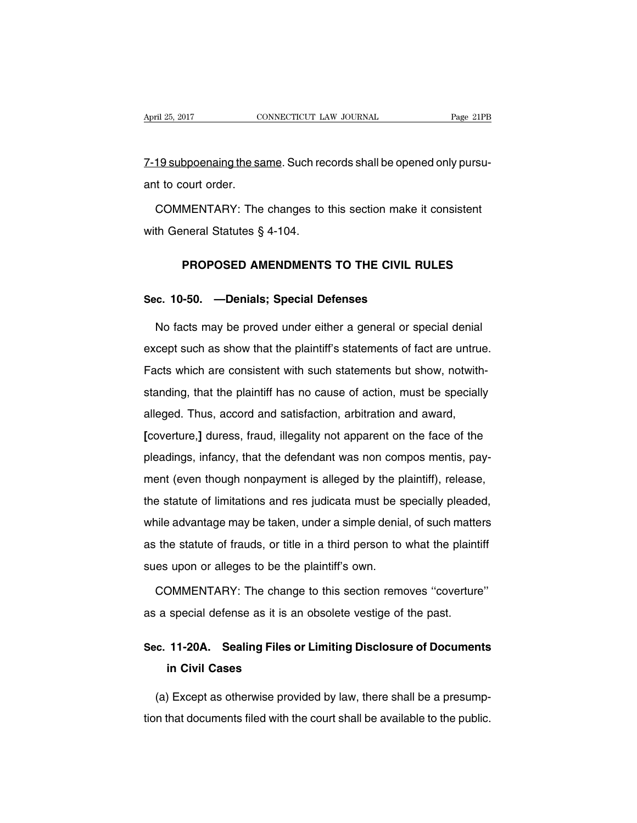7-19 subpoenaing the same. Such records shall be opened only pursuant to court order.

COMMENTARY: The changes to this section make it consistent with General Statutes § 4-104.

#### **PROPOSED AMENDMENTS TO THE CIVIL RULES**

#### **Sec. 10-50. —Denials; Special Defenses**

No facts may be proved under either a general or special denial except such as show that the plaintiff's statements of fact are untrue. Facts which are consistent with such statements but show, notwithstanding, that the plaintiff has no cause of action, must be specially alleged. Thus, accord and satisfaction, arbitration and award, **[**coverture,**]** duress, fraud, illegality not apparent on the face of the pleadings, infancy, that the defendant was non compos mentis, payment (even though nonpayment is alleged by the plaintiff), release, the statute of limitations and res judicata must be specially pleaded, while advantage may be taken, under a simple denial, of such matters as the statute of frauds, or title in a third person to what the plaintiff sues upon or alleges to be the plaintiff's own.

COMMENTARY: The change to this section removes ''coverture'' as a special defense as it is an obsolete vestige of the past.

### **Sec. 11-20A. Sealing Files or Limiting Disclosure of Documents in Civil Cases**

(a) Except as otherwise provided by law, there shall be a presumption that documents filed with the court shall be available to the public.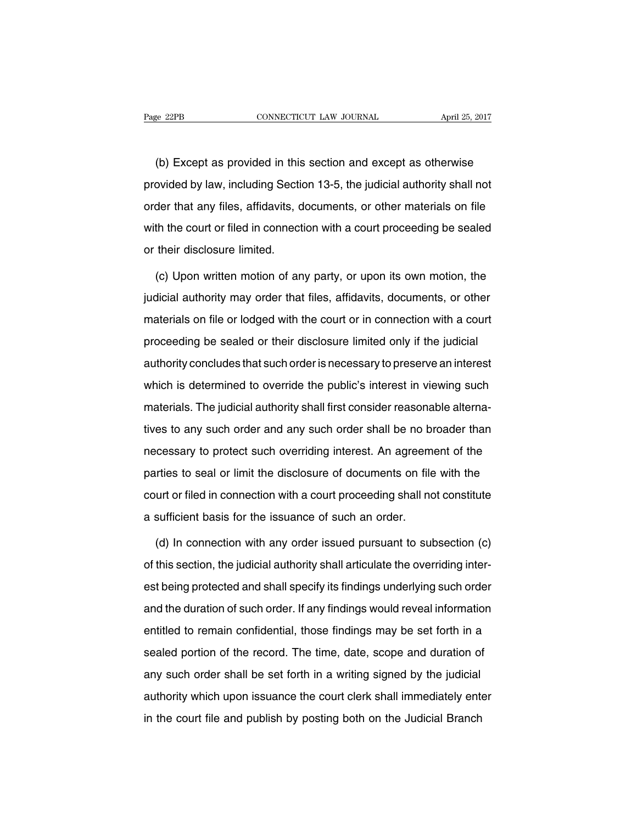(b) Except as provided in this section and except as otherwise provided by law, including Section 13-5, the judicial authority shall not order that any files, affidavits, documents, or other materials on file with the court or filed in connection with a court proceeding be sealed or their disclosure limited.

(c) Upon written motion of any party, or upon its own motion, the judicial authority may order that files, affidavits, documents, or other materials on file or lodged with the court or in connection with a court proceeding be sealed or their disclosure limited only if the judicial authority concludes that such order is necessary to preserve an interest which is determined to override the public's interest in viewing such materials. The judicial authority shall first consider reasonable alternatives to any such order and any such order shall be no broader than necessary to protect such overriding interest. An agreement of the parties to seal or limit the disclosure of documents on file with the court or filed in connection with a court proceeding shall not constitute a sufficient basis for the issuance of such an order.

(d) In connection with any order issued pursuant to subsection (c) of this section, the judicial authority shall articulate the overriding interest being protected and shall specify its findings underlying such order and the duration of such order. If any findings would reveal information entitled to remain confidential, those findings may be set forth in a sealed portion of the record. The time, date, scope and duration of any such order shall be set forth in a writing signed by the judicial authority which upon issuance the court clerk shall immediately enter in the court file and publish by posting both on the Judicial Branch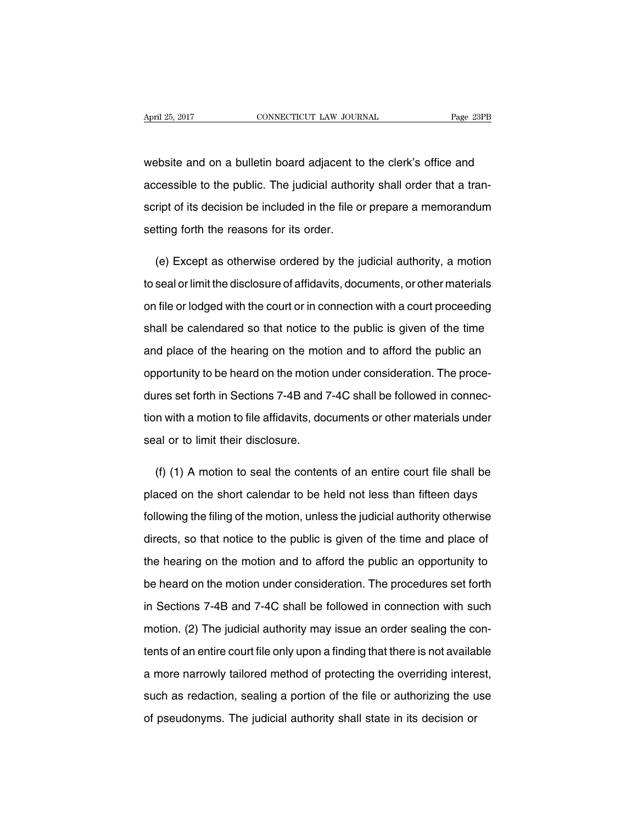website and on a bulletin board adjacent to the clerk's office and accessible to the public. The judicial authority shall order that a transcript of its decision be included in the file or prepare a memorandum setting forth the reasons for its order.

(e) Except as otherwise ordered by the judicial authority, a motion to seal or limit the disclosure of affidavits, documents, or other materials on file or lodged with the court or in connection with a court proceeding shall be calendared so that notice to the public is given of the time and place of the hearing on the motion and to afford the public an opportunity to be heard on the motion under consideration. The procedures set forth in Sections 7-4B and 7-4C shall be followed in connection with a motion to file affidavits, documents or other materials under seal or to limit their disclosure.

(f) (1) A motion to seal the contents of an entire court file shall be placed on the short calendar to be held not less than fifteen days following the filing of the motion, unless the judicial authority otherwise directs, so that notice to the public is given of the time and place of the hearing on the motion and to afford the public an opportunity to be heard on the motion under consideration. The procedures set forth in Sections 7-4B and 7-4C shall be followed in connection with such motion. (2) The judicial authority may issue an order sealing the contents of an entire court file only upon a finding that there is not available a more narrowly tailored method of protecting the overriding interest, such as redaction, sealing a portion of the file or authorizing the use of pseudonyms. The judicial authority shall state in its decision or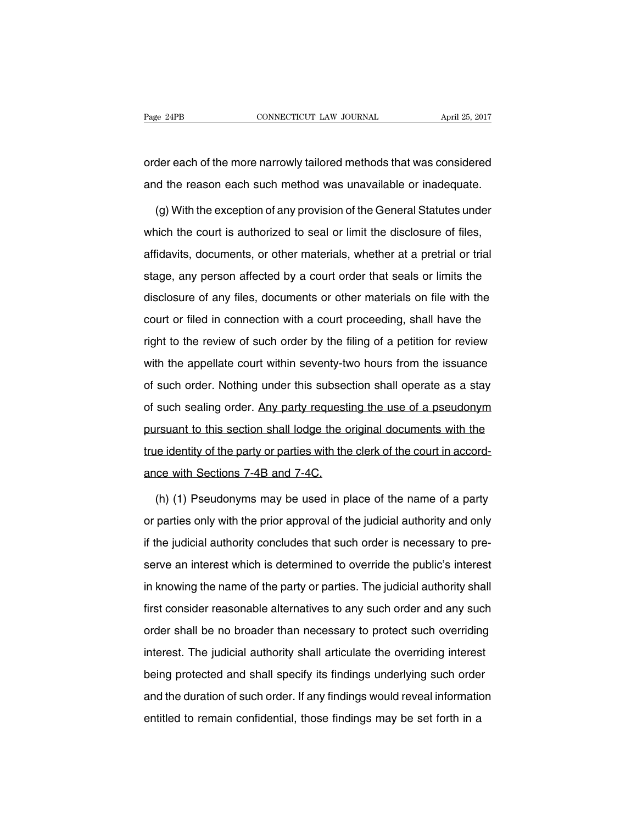order each of the more narrowly tailored methods that was considered and the reason each such method was unavailable or inadequate.

(g) With the exception of any provision of the General Statutes under which the court is authorized to seal or limit the disclosure of files, affidavits, documents, or other materials, whether at a pretrial or trial stage, any person affected by a court order that seals or limits the disclosure of any files, documents or other materials on file with the court or filed in connection with a court proceeding, shall have the right to the review of such order by the filing of a petition for review with the appellate court within seventy-two hours from the issuance of such order. Nothing under this subsection shall operate as a stay of such sealing order. Any party requesting the use of a pseudonym pursuant to this section shall lodge the original documents with the true identity of the party or parties with the clerk of the court in accordance with Sections 7-4B and 7-4C.

(h) (1) Pseudonyms may be used in place of the name of a party or parties only with the prior approval of the judicial authority and only if the judicial authority concludes that such order is necessary to preserve an interest which is determined to override the public's interest in knowing the name of the party or parties. The judicial authority shall first consider reasonable alternatives to any such order and any such order shall be no broader than necessary to protect such overriding interest. The judicial authority shall articulate the overriding interest being protected and shall specify its findings underlying such order and the duration of such order. If any findings would reveal information entitled to remain confidential, those findings may be set forth in a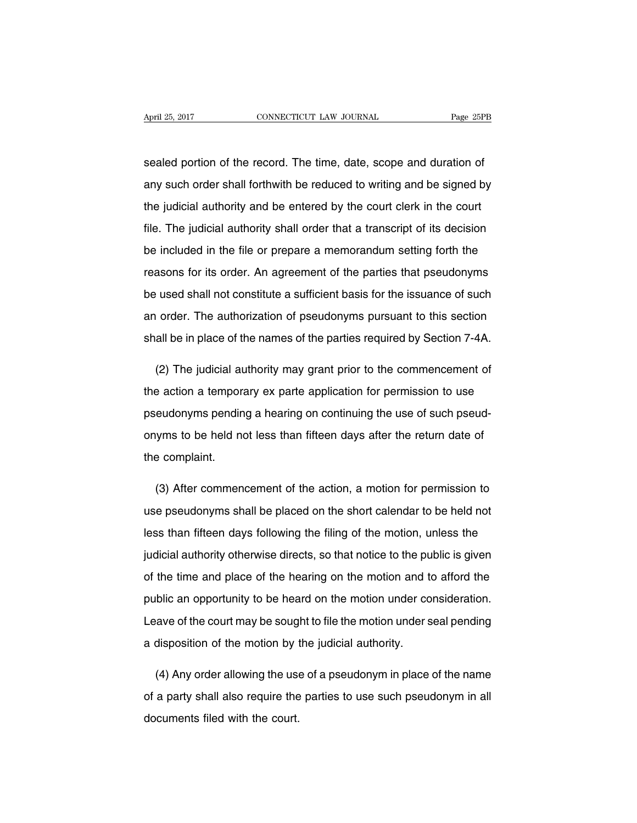sealed portion of the record. The time, date, scope and duration of any such order shall forthwith be reduced to writing and be signed by the judicial authority and be entered by the court clerk in the court file. The judicial authority shall order that a transcript of its decision be included in the file or prepare a memorandum setting forth the reasons for its order. An agreement of the parties that pseudonyms be used shall not constitute a sufficient basis for the issuance of such an order. The authorization of pseudonyms pursuant to this section shall be in place of the names of the parties required by Section 7-4A.

(2) The judicial authority may grant prior to the commencement of the action a temporary ex parte application for permission to use pseudonyms pending a hearing on continuing the use of such pseudonyms to be held not less than fifteen days after the return date of the complaint.

(3) After commencement of the action, a motion for permission to use pseudonyms shall be placed on the short calendar to be held not less than fifteen days following the filing of the motion, unless the judicial authority otherwise directs, so that notice to the public is given of the time and place of the hearing on the motion and to afford the public an opportunity to be heard on the motion under consideration. Leave of the court may be sought to file the motion under seal pending a disposition of the motion by the judicial authority.

(4) Any order allowing the use of a pseudonym in place of the name of a party shall also require the parties to use such pseudonym in all documents filed with the court.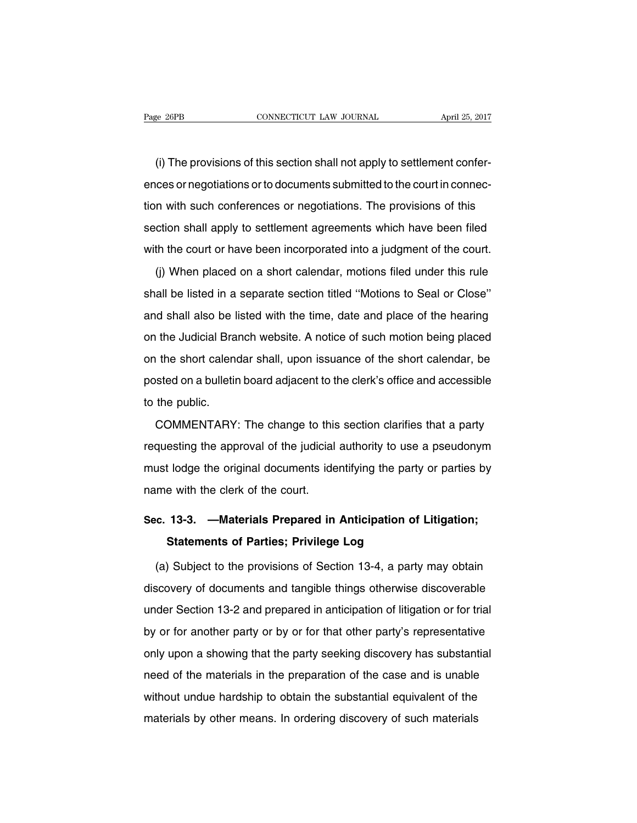(i) The provisions of this section shall not apply to settlement conferences or negotiations or to documents submitted to the court in connection with such conferences or negotiations. The provisions of this section shall apply to settlement agreements which have been filed with the court or have been incorporated into a judgment of the court.

(j) When placed on a short calendar, motions filed under this rule shall be listed in a separate section titled ''Motions to Seal or Close'' and shall also be listed with the time, date and place of the hearing on the Judicial Branch website. A notice of such motion being placed on the short calendar shall, upon issuance of the short calendar, be posted on a bulletin board adjacent to the clerk's office and accessible to the public.

COMMENTARY: The change to this section clarifies that a party requesting the approval of the judicial authority to use a pseudonym must lodge the original documents identifying the party or parties by name with the clerk of the court.

## **Sec. 13-3. —Materials Prepared in Anticipation of Litigation; Statements of Parties; Privilege Log**

(a) Subject to the provisions of Section 13-4, a party may obtain discovery of documents and tangible things otherwise discoverable under Section 13-2 and prepared in anticipation of litigation or for trial by or for another party or by or for that other party's representative only upon a showing that the party seeking discovery has substantial need of the materials in the preparation of the case and is unable without undue hardship to obtain the substantial equivalent of the materials by other means. In ordering discovery of such materials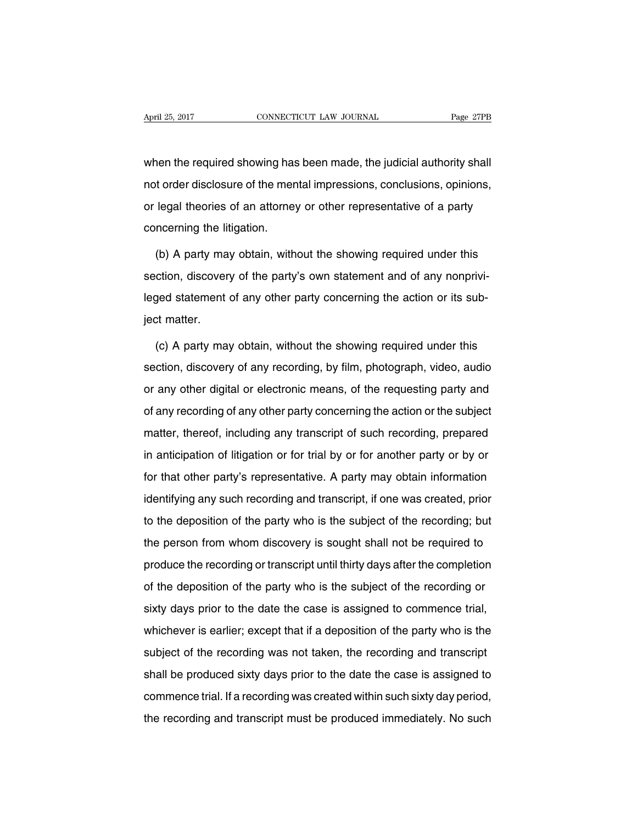when the required showing has been made, the judicial authority shall not order disclosure of the mental impressions, conclusions, opinions, or legal theories of an attorney or other representative of a party concerning the litigation.

(b) A party may obtain, without the showing required under this section, discovery of the party's own statement and of any nonprivileged statement of any other party concerning the action or its subject matter.

(c) A party may obtain, without the showing required under this section, discovery of any recording, by film, photograph, video, audio or any other digital or electronic means, of the requesting party and of any recording of any other party concerning the action or the subject matter, thereof, including any transcript of such recording, prepared in anticipation of litigation or for trial by or for another party or by or for that other party's representative. A party may obtain information identifying any such recording and transcript, if one was created, prior to the deposition of the party who is the subject of the recording; but the person from whom discovery is sought shall not be required to produce the recording or transcript until thirty days after the completion of the deposition of the party who is the subject of the recording or sixty days prior to the date the case is assigned to commence trial, whichever is earlier; except that if a deposition of the party who is the subject of the recording was not taken, the recording and transcript shall be produced sixty days prior to the date the case is assigned to commence trial. If a recording was created within such sixty day period, the recording and transcript must be produced immediately. No such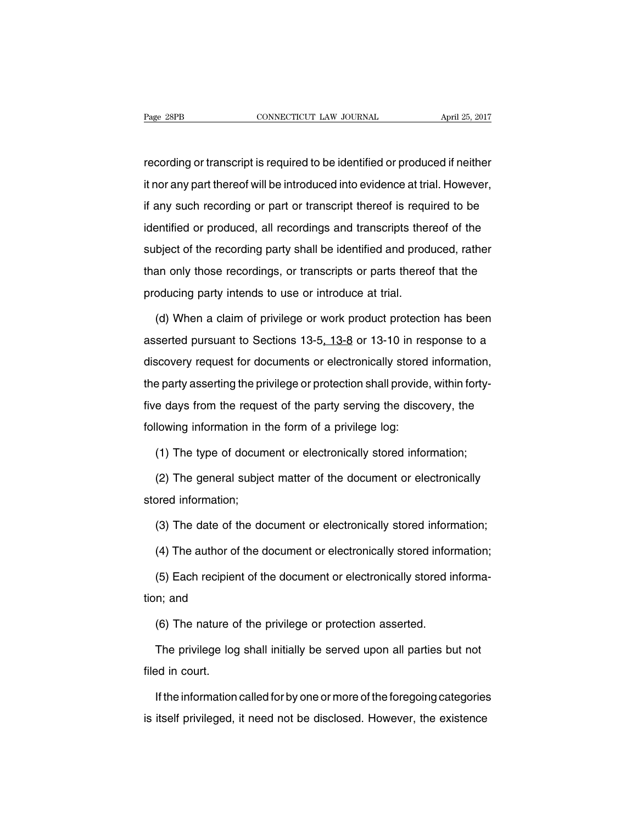recording or transcript is required to be identified or produced if neither it nor any part thereof will be introduced into evidence at trial. However, if any such recording or part or transcript thereof is required to be identified or produced, all recordings and transcripts thereof of the subject of the recording party shall be identified and produced, rather than only those recordings, or transcripts or parts thereof that the producing party intends to use or introduce at trial.

(d) When a claim of privilege or work product protection has been asserted pursuant to Sections 13-5, 13-8 or 13-10 in response to a discovery request for documents or electronically stored information, the party asserting the privilege or protection shall provide, within fortyfive days from the request of the party serving the discovery, the following information in the form of a privilege log:

(1) The type of document or electronically stored information;

(2) The general subject matter of the document or electronically stored information;

(3) The date of the document or electronically stored information;

(4) The author of the document or electronically stored information;

(5) Each recipient of the document or electronically stored information; and

(6) The nature of the privilege or protection asserted.

The privilege log shall initially be served upon all parties but not filed in court.

If the information called for by one or more of the foregoing categories is itself privileged, it need not be disclosed. However, the existence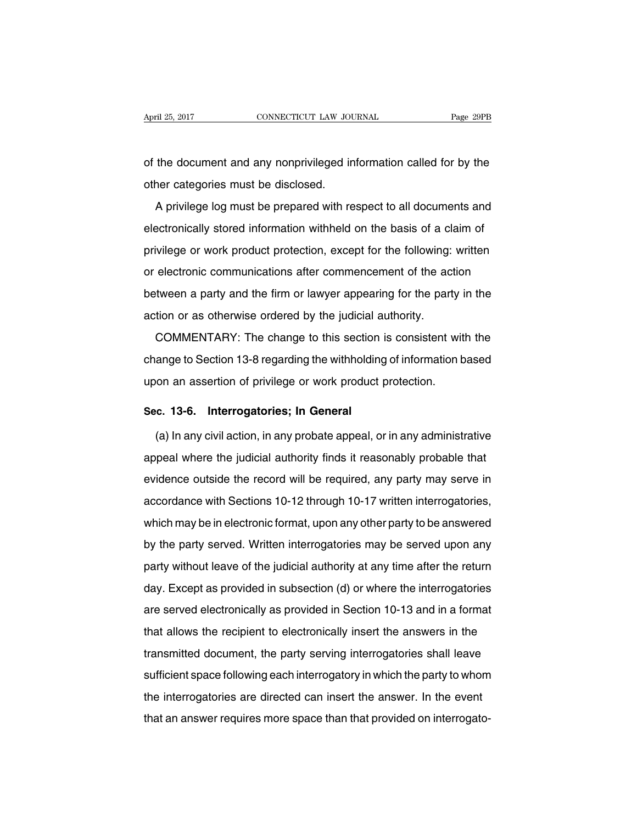of the document and any nonprivileged information called for by the other categories must be disclosed.

A privilege log must be prepared with respect to all documents and electronically stored information withheld on the basis of a claim of privilege or work product protection, except for the following: written or electronic communications after commencement of the action between a party and the firm or lawyer appearing for the party in the action or as otherwise ordered by the judicial authority.

COMMENTARY: The change to this section is consistent with the change to Section 13-8 regarding the withholding of information based upon an assertion of privilege or work product protection.

#### **Sec. 13-6. Interrogatories; In General**

(a) In any civil action, in any probate appeal, or in any administrative appeal where the judicial authority finds it reasonably probable that evidence outside the record will be required, any party may serve in accordance with Sections 10-12 through 10-17 written interrogatories, which may be in electronic format, upon any other party to be answered by the party served. Written interrogatories may be served upon any party without leave of the judicial authority at any time after the return day. Except as provided in subsection (d) or where the interrogatories are served electronically as provided in Section 10-13 and in a format that allows the recipient to electronically insert the answers in the transmitted document, the party serving interrogatories shall leave sufficient space following each interrogatory in which the party to whom the interrogatories are directed can insert the answer. In the event that an answer requires more space than that provided on interrogato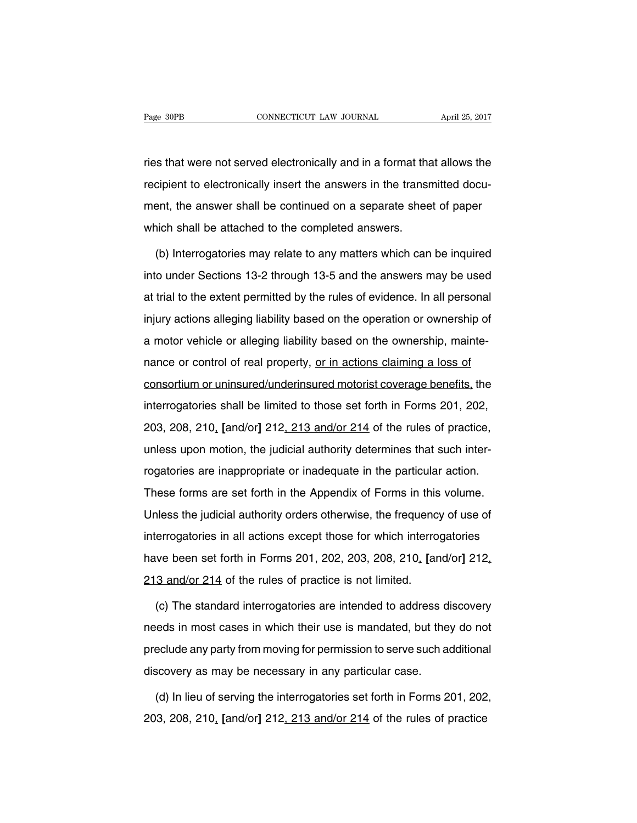ries that were not served electronically and in a format that allows the recipient to electronically insert the answers in the transmitted document, the answer shall be continued on a separate sheet of paper which shall be attached to the completed answers.

(b) Interrogatories may relate to any matters which can be inquired into under Sections 13-2 through 13-5 and the answers may be used at trial to the extent permitted by the rules of evidence. In all personal injury actions alleging liability based on the operation or ownership of a motor vehicle or alleging liability based on the ownership, maintenance or control of real property, or in actions claiming a loss of consortium or uninsured/underinsured motorist coverage benefits, the interrogatories shall be limited to those set forth in Forms 201, 202, 203, 208, 210, **[**and/or**]** 212, 213 and/or 214 of the rules of practice, unless upon motion, the judicial authority determines that such interrogatories are inappropriate or inadequate in the particular action. These forms are set forth in the Appendix of Forms in this volume. Unless the judicial authority orders otherwise, the frequency of use of interrogatories in all actions except those for which interrogatories have been set forth in Forms 201, 202, 203, 208, 210, **[**and/or**]** 212, 213 and/or 214 of the rules of practice is not limited.

(c) The standard interrogatories are intended to address discovery needs in most cases in which their use is mandated, but they do not preclude any party from moving for permission to serve such additional discovery as may be necessary in any particular case.

(d) In lieu of serving the interrogatories set forth in Forms 201, 202, 203, 208, 210, **[**and/or**]** 212, 213 and/or 214 of the rules of practice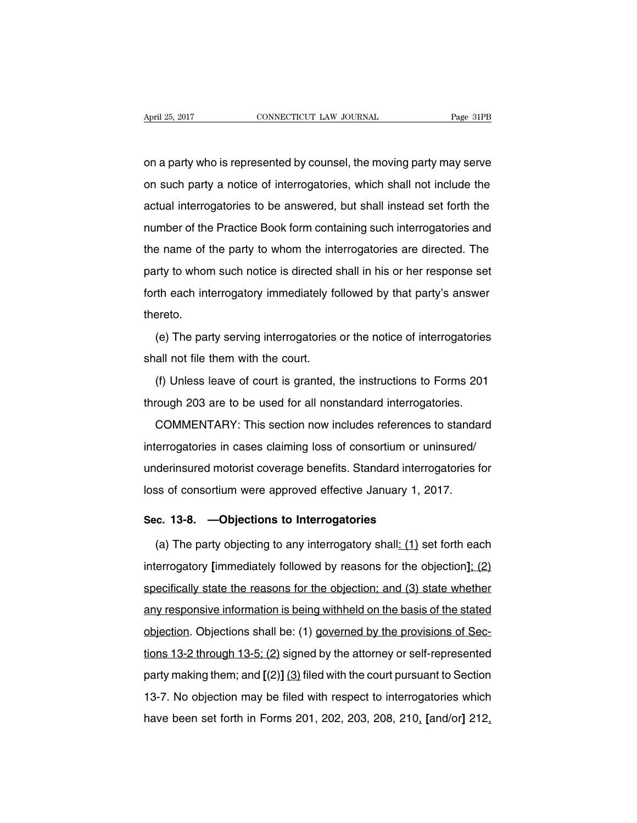on a party who is represented by counsel, the moving party may serve on such party a notice of interrogatories, which shall not include the actual interrogatories to be answered, but shall instead set forth the number of the Practice Book form containing such interrogatories and the name of the party to whom the interrogatories are directed. The party to whom such notice is directed shall in his or her response set forth each interrogatory immediately followed by that party's answer thereto.

(e) The party serving interrogatories or the notice of interrogatories shall not file them with the court.

(f) Unless leave of court is granted, the instructions to Forms 201 through 203 are to be used for all nonstandard interrogatories.

COMMENTARY: This section now includes references to standard interrogatories in cases claiming loss of consortium or uninsured/ underinsured motorist coverage benefits. Standard interrogatories for loss of consortium were approved effective January 1, 2017.

#### **Sec. 13-8. —Objections to Interrogatories**

(a) The party objecting to any interrogatory shall:  $(1)$  set forth each interrogatory **[**immediately followed by reasons for the objection**]**; (2) specifically state the reasons for the objection; and (3) state whether any responsive information is being withheld on the basis of the stated objection. Objections shall be: (1) governed by the provisions of Sections 13-2 through 13-5; (2) signed by the attorney or self-represented party making them; and **[**(2)**]** (3) filed with the court pursuant to Section 13-7. No objection may be filed with respect to interrogatories which have been set forth in Forms 201, 202, 203, 208, 210, **[**and/or**]** 212,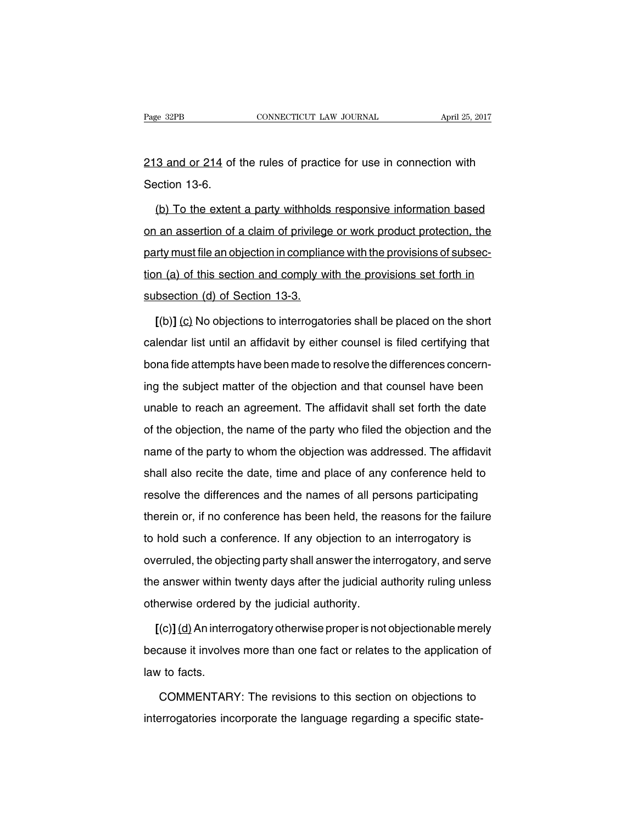213 and or 214 of the rules of practice for use in connection with Section 13-6.

(b) To the extent a party withholds responsive information based on an assertion of a claim of privilege or work product protection, the party must file an objection in compliance with the provisions of subsection (a) of this section and comply with the provisions set forth in subsection (d) of Section 13-3.

**[**(b)**]** (c) No objections to interrogatories shall be placed on the short calendar list until an affidavit by either counsel is filed certifying that bona fide attempts have been made to resolve the differences concerning the subject matter of the objection and that counsel have been unable to reach an agreement. The affidavit shall set forth the date of the objection, the name of the party who filed the objection and the name of the party to whom the objection was addressed. The affidavit shall also recite the date, time and place of any conference held to resolve the differences and the names of all persons participating therein or, if no conference has been held, the reasons for the failure to hold such a conference. If any objection to an interrogatory is overruled, the objecting party shall answer the interrogatory, and serve the answer within twenty days after the judicial authority ruling unless otherwise ordered by the judicial authority.

**[**(c)**]**(d)An interrogatory otherwise properis not objectionable merely because it involves more than one fact or relates to the application of law to facts.

COMMENTARY: The revisions to this section on objections to interrogatories incorporate the language regarding a specific state-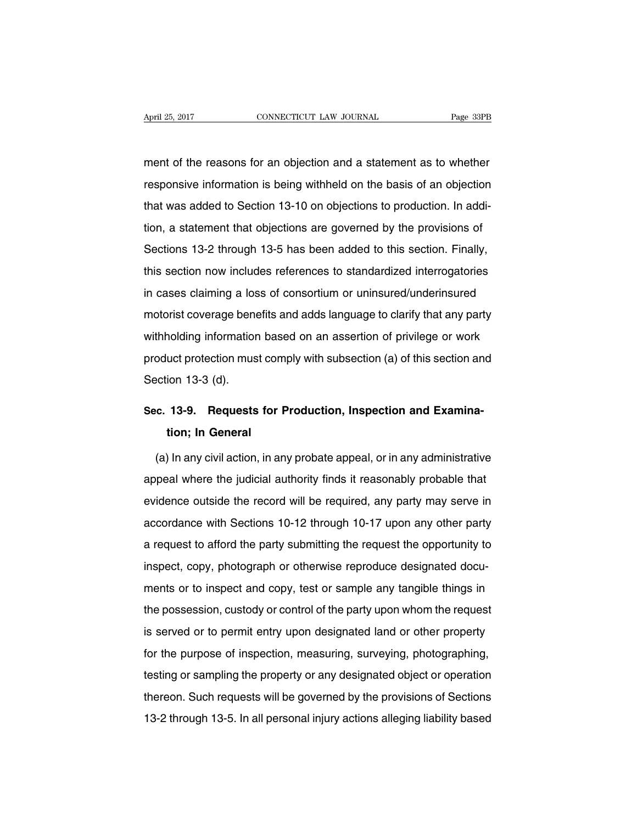ment of the reasons for an objection and a statement as to whether responsive information is being withheld on the basis of an objection that was added to Section 13-10 on objections to production. In addition, a statement that objections are governed by the provisions of Sections 13-2 through 13-5 has been added to this section. Finally, this section now includes references to standardized interrogatories in cases claiming a loss of consortium or uninsured/underinsured motorist coverage benefits and adds language to clarify that any party withholding information based on an assertion of privilege or work product protection must comply with subsection (a) of this section and Section 13-3 (d).

## **Sec. 13-9. Requests for Production, Inspection and Examination; In General**

(a) In any civil action, in any probate appeal, or in any administrative appeal where the judicial authority finds it reasonably probable that evidence outside the record will be required, any party may serve in accordance with Sections 10-12 through 10-17 upon any other party a request to afford the party submitting the request the opportunity to inspect, copy, photograph or otherwise reproduce designated documents or to inspect and copy, test or sample any tangible things in the possession, custody or control of the party upon whom the request is served or to permit entry upon designated land or other property for the purpose of inspection, measuring, surveying, photographing, testing or sampling the property or any designated object or operation thereon. Such requests will be governed by the provisions of Sections 13-2 through 13-5. In all personal injury actions alleging liability based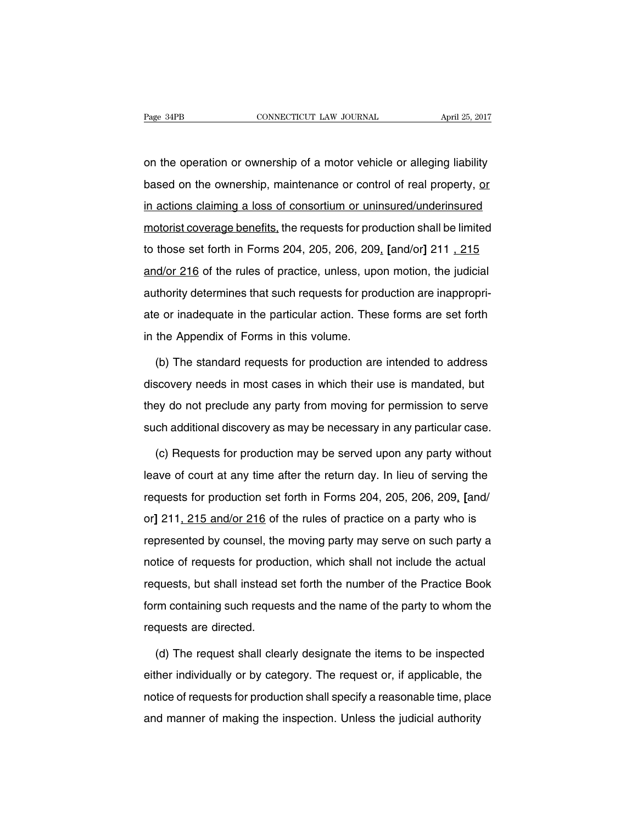on the operation or ownership of a motor vehicle or alleging liability based on the ownership, maintenance or control of real property, or in actions claiming a loss of consortium or uninsured/underinsured motorist coverage benefits, the requests for production shall be limited to those set forth in Forms 204, 205, 206, 209, **[**and/or**]** 211 , 215 and/or 216 of the rules of practice, unless, upon motion, the judicial authority determines that such requests for production are inappropriate or inadequate in the particular action. These forms are set forth in the Appendix of Forms in this volume.

(b) The standard requests for production are intended to address discovery needs in most cases in which their use is mandated, but they do not preclude any party from moving for permission to serve such additional discovery as may be necessary in any particular case.

(c) Requests for production may be served upon any party without leave of court at any time after the return day. In lieu of serving the requests for production set forth in Forms 204, 205, 206, 209, **[**and/ or**]** 211, 215 and/or 216 of the rules of practice on a party who is represented by counsel, the moving party may serve on such party a notice of requests for production, which shall not include the actual requests, but shall instead set forth the number of the Practice Book form containing such requests and the name of the party to whom the requests are directed.

(d) The request shall clearly designate the items to be inspected either individually or by category. The request or, if applicable, the notice of requests for production shall specify a reasonable time, place and manner of making the inspection. Unless the judicial authority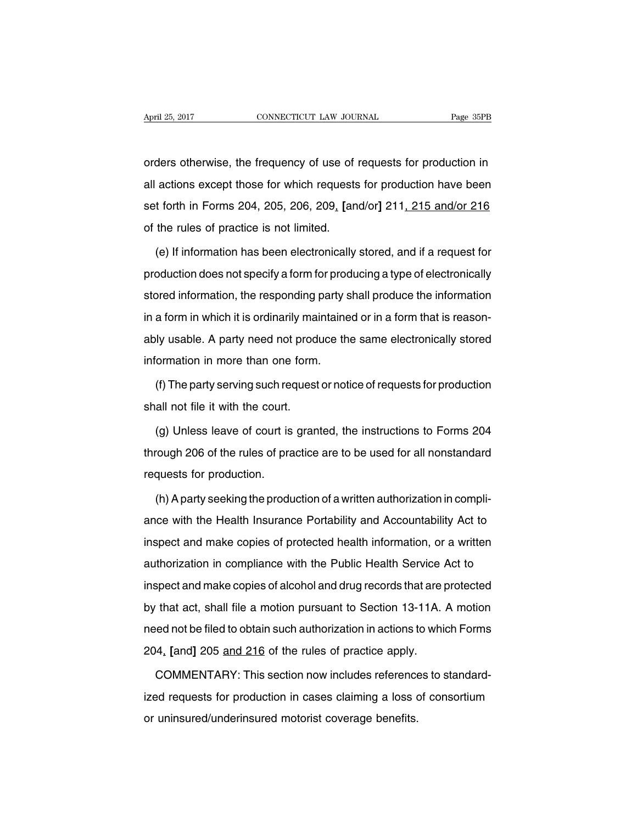orders otherwise, the frequency of use of requests for production in all actions except those for which requests for production have been set forth in Forms 204, 205, 206, 209, **[**and/or**]** 211, 215 and/or 216 of the rules of practice is not limited.

(e) If information has been electronically stored, and if a request for production does not specify a form for producing a type of electronically stored information, the responding party shall produce the information in a form in which it is ordinarily maintained or in a form that is reasonably usable. A party need not produce the same electronically stored information in more than one form.

(f) The party serving such request or notice of requests for production shall not file it with the court.

(g) Unless leave of court is granted, the instructions to Forms 204 through 206 of the rules of practice are to be used for all nonstandard requests for production.

(h) Aparty seeking the production of a written authorization in compliance with the Health Insurance Portability and Accountability Act to inspect and make copies of protected health information, or a written authorization in compliance with the Public Health Service Act to inspect and make copies of alcohol and drug records that are protected by that act, shall file a motion pursuant to Section 13-11A. A motion need not be filed to obtain such authorization in actions to which Forms 204, **[**and**]** 205 and 216 of the rules of practice apply.

COMMENTARY: This section now includes references to standardized requests for production in cases claiming a loss of consortium or uninsured/underinsured motorist coverage benefits.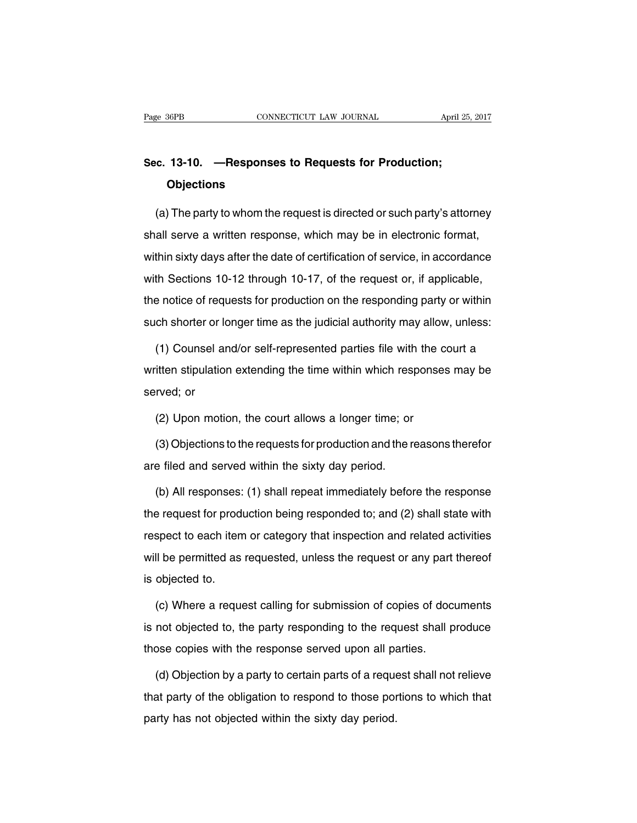## **Sec. 13-10. —Responses to Requests for Production; Objections**

(a) The party to whom the request is directed or such party's attorney shall serve a written response, which may be in electronic format, within sixty days after the date of certification of service, in accordance with Sections 10-12 through 10-17, of the request or, if applicable, the notice of requests for production on the responding party or within such shorter or longer time as the judicial authority may allow, unless:

(1) Counsel and/or self-represented parties file with the court a written stipulation extending the time within which responses may be served; or

(2) Upon motion, the court allows a longer time; or

(3) Objections to the requests for production and the reasons therefor are filed and served within the sixty day period.

(b) All responses: (1) shall repeat immediately before the response the request for production being responded to; and (2) shall state with respect to each item or category that inspection and related activities will be permitted as requested, unless the request or any part thereof is objected to.

(c) Where a request calling for submission of copies of documents is not objected to, the party responding to the request shall produce those copies with the response served upon all parties.

(d) Objection by a party to certain parts of a request shall not relieve that party of the obligation to respond to those portions to which that party has not objected within the sixty day period.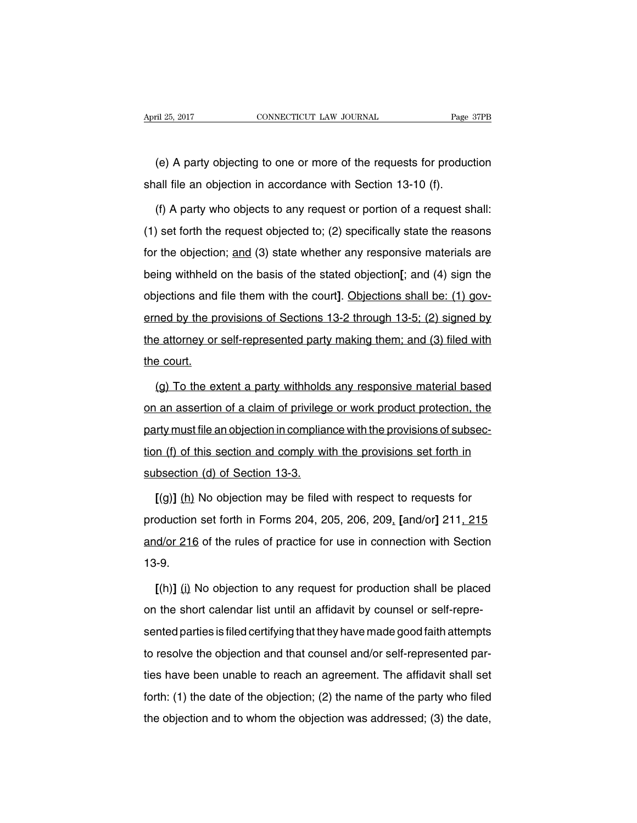(e) A party objecting to one or more of the requests for production shall file an objection in accordance with Section 13-10 (f).

(f) A party who objects to any request or portion of a request shall: (1) set forth the request objected to; (2) specifically state the reasons for the objection; and (3) state whether any responsive materials are being withheld on the basis of the stated objection**[**; and (4) sign the objections and file them with the court**]**. Objections shall be: (1) governed by the provisions of Sections 13-2 through 13-5; (2) signed by the attorney or self-represented party making them; and (3) filed with the court.

(g) To the extent a party withholds any responsive material based on an assertion of a claim of privilege or work product protection, the party must file an objection in compliance with the provisions of subsection (f) of this section and comply with the provisions set forth in subsection (d) of Section 13-3.

**[**(g)**]** (h) No objection may be filed with respect to requests for production set forth in Forms 204, 205, 206, 209, **[**and/or**]** 211, 215 and/or 216 of the rules of practice for use in connection with Section 13-9.

**[**(h)**]** (i) No objection to any request for production shall be placed on the short calendar list until an affidavit by counsel or self-represented parties is filed certifying that they have made good faith attempts to resolve the objection and that counsel and/or self-represented parties have been unable to reach an agreement. The affidavit shall set forth: (1) the date of the objection; (2) the name of the party who filed the objection and to whom the objection was addressed; (3) the date,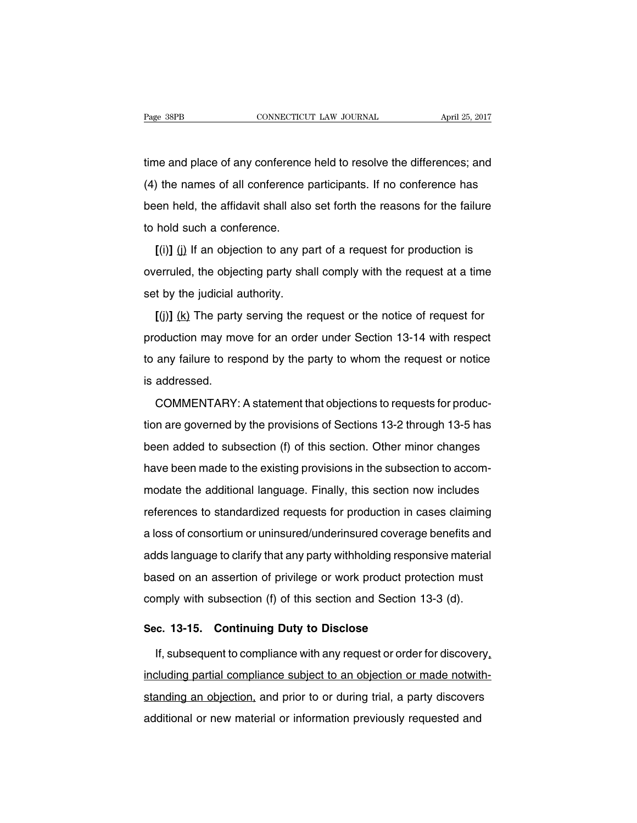time and place of any conference held to resolve the differences; and (4) the names of all conference participants. If no conference has been held, the affidavit shall also set forth the reasons for the failure to hold such a conference.

 $[(i)]$  (i) If an objection to any part of a request for production is overruled, the objecting party shall comply with the request at a time set by the judicial authority.

**[**(j)**]** (k) The party serving the request or the notice of request for production may move for an order under Section 13-14 with respect to any failure to respond by the party to whom the request or notice is addressed.

COMMENTARY: A statement that objections to requests for production are governed by the provisions of Sections 13-2 through 13-5 has been added to subsection (f) of this section. Other minor changes have been made to the existing provisions in the subsection to accommodate the additional language. Finally, this section now includes references to standardized requests for production in cases claiming a loss of consortium or uninsured/underinsured coverage benefits and adds language to clarify that any party withholding responsive material based on an assertion of privilege or work product protection must comply with subsection (f) of this section and Section 13-3 (d).

## **Sec. 13-15. Continuing Duty to Disclose**

If, subsequent to compliance with any request or order for discovery, including partial compliance subject to an objection or made notwithstanding an objection, and prior to or during trial, a party discovers additional or new material or information previously requested and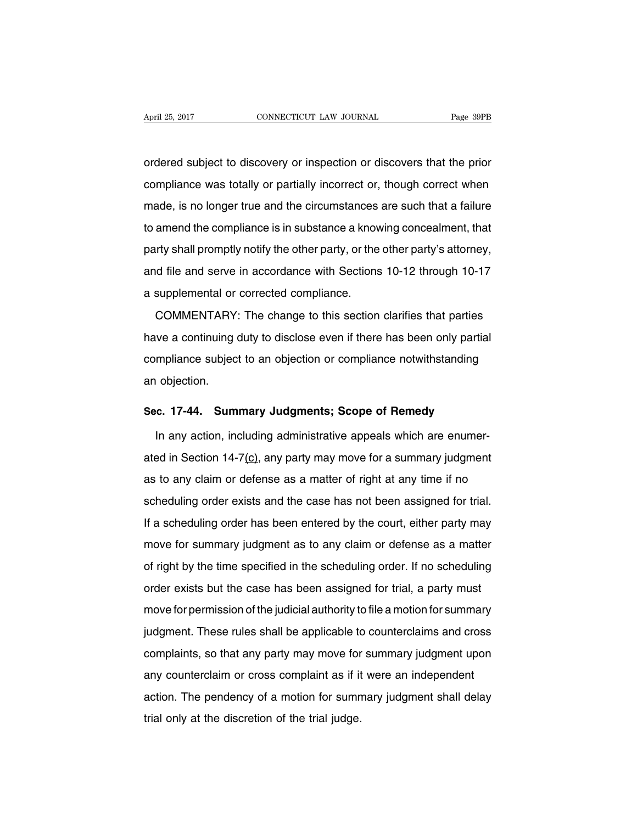ordered subject to discovery or inspection or discovers that the prior compliance was totally or partially incorrect or, though correct when made, is no longer true and the circumstances are such that a failure to amend the compliance is in substance a knowing concealment, that party shall promptly notify the other party, or the other party's attorney, and file and serve in accordance with Sections 10-12 through 10-17 a supplemental or corrected compliance.

COMMENTARY: The change to this section clarifies that parties have a continuing duty to disclose even if there has been only partial compliance subject to an objection or compliance notwithstanding an objection.

#### **Sec. 17-44. Summary Judgments; Scope of Remedy**

In any action, including administrative appeals which are enumerated in Section 14-7 $(c)$ , any party may move for a summary judgment as to any claim or defense as a matter of right at any time if no scheduling order exists and the case has not been assigned for trial. If a scheduling order has been entered by the court, either party may move for summary judgment as to any claim or defense as a matter of right by the time specified in the scheduling order. If no scheduling order exists but the case has been assigned for trial, a party must move for permission of the judicial authority to file a motion for summary judgment. These rules shall be applicable to counterclaims and cross complaints, so that any party may move for summary judgment upon any counterclaim or cross complaint as if it were an independent action. The pendency of a motion for summary judgment shall delay trial only at the discretion of the trial judge.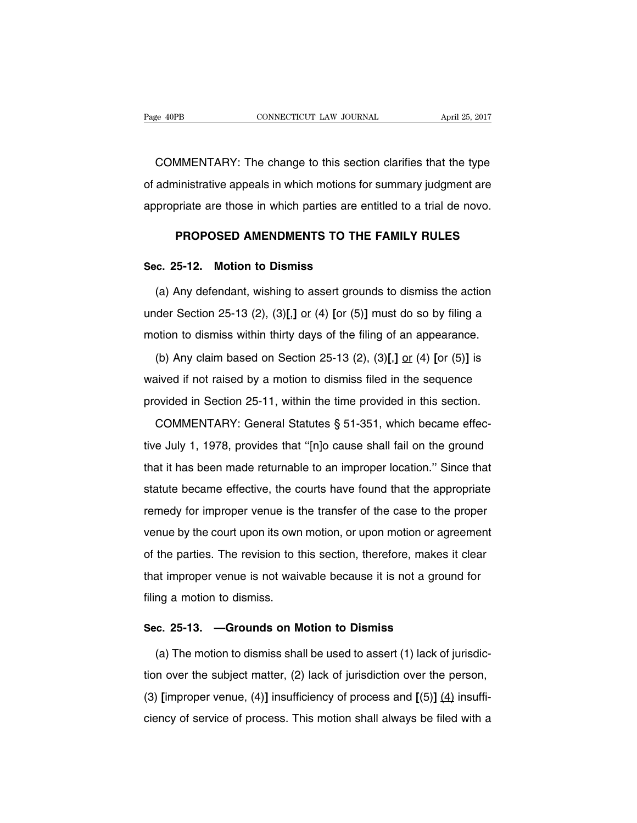COMMENTARY: The change to this section clarifies that the type of administrative appeals in which motions for summary judgment are appropriate are those in which parties are entitled to a trial de novo.

## **PROPOSED AMENDMENTS TO THE FAMILY RULES**

#### **Sec. 25-12. Motion to Dismiss**

(a) Any defendant, wishing to assert grounds to dismiss the action under Section 25-13 (2), (3)**[**,**]** or (4) **[**or (5)**]** must do so by filing a motion to dismiss within thirty days of the filing of an appearance.

(b) Any claim based on Section 25-13 (2), (3)**[**,**]** or (4) **[**or (5)**]** is waived if not raised by a motion to dismiss filed in the sequence provided in Section 25-11, within the time provided in this section.

COMMENTARY: General Statutes § 51-351, which became effective July 1, 1978, provides that ''[n]o cause shall fail on the ground that it has been made returnable to an improper location.'' Since that statute became effective, the courts have found that the appropriate remedy for improper venue is the transfer of the case to the proper venue by the court upon its own motion, or upon motion or agreement of the parties. The revision to this section, therefore, makes it clear that improper venue is not waivable because it is not a ground for filing a motion to dismiss.

#### **Sec. 25-13. —Grounds on Motion to Dismiss**

(a) The motion to dismiss shall be used to assert (1) lack of jurisdiction over the subject matter, (2) lack of jurisdiction over the person, (3) **[**improper venue, (4)**]** insufficiency of process and **[**(5)**]** (4) insufficiency of service of process. This motion shall always be filed with a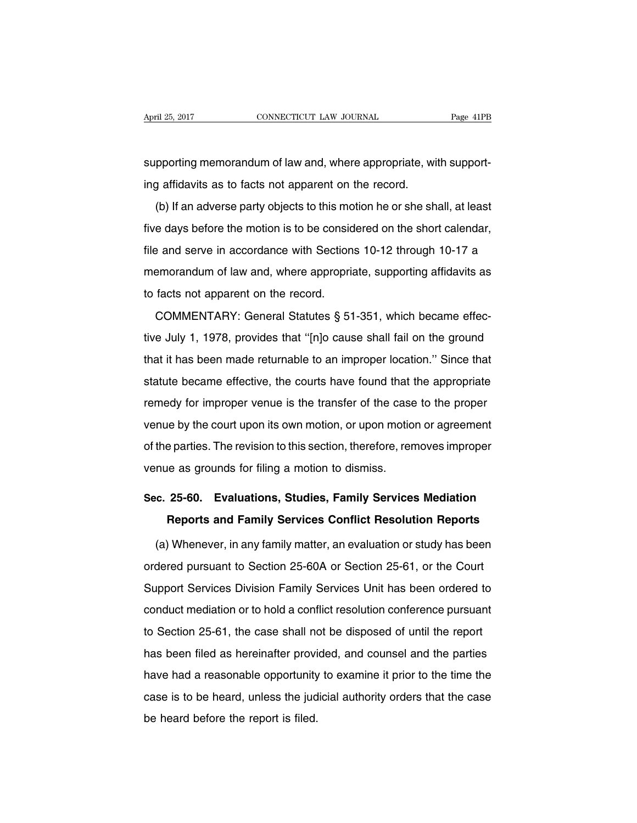supporting memorandum of law and, where appropriate, with supporting affidavits as to facts not apparent on the record.

(b) If an adverse party objects to this motion he or she shall, at least five days before the motion is to be considered on the short calendar, file and serve in accordance with Sections 10-12 through 10-17 a memorandum of law and, where appropriate, supporting affidavits as to facts not apparent on the record.

COMMENTARY: General Statutes § 51-351, which became effective July 1, 1978, provides that ''[n]o cause shall fail on the ground that it has been made returnable to an improper location.'' Since that statute became effective, the courts have found that the appropriate remedy for improper venue is the transfer of the case to the proper venue by the court upon its own motion, or upon motion or agreement of the parties. The revision to this section, therefore, removes improper venue as grounds for filing a motion to dismiss.

# **Sec. 25-60. Evaluations, Studies, Family Services Mediation Reports and Family Services Conflict Resolution Reports**

(a) Whenever, in any family matter, an evaluation or study has been ordered pursuant to Section 25-60A or Section 25-61, or the Court Support Services Division Family Services Unit has been ordered to conduct mediation or to hold a conflict resolution conference pursuant to Section 25-61, the case shall not be disposed of until the report has been filed as hereinafter provided, and counsel and the parties have had a reasonable opportunity to examine it prior to the time the case is to be heard, unless the judicial authority orders that the case be heard before the report is filed.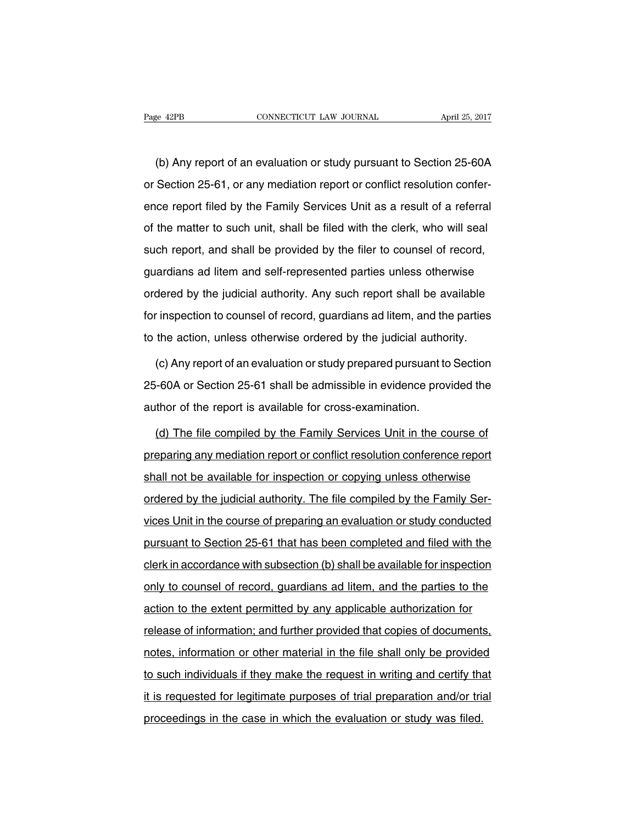(b) Any report of an evaluation or study pursuant to Section 25-60A or Section 25-61, or any mediation report or conflict resolution conference report filed by the Family Services Unit as a result of a referral of the matter to such unit, shall be filed with the clerk, who will seal such report, and shall be provided by the filer to counsel of record, guardians ad litem and self-represented parties unless otherwise ordered by the judicial authority. Any such report shall be available for inspection to counsel of record, guardians ad litem, and the parties to the action, unless otherwise ordered by the judicial authority.

(c) Any report of an evaluation or study prepared pursuant to Section 25-60A or Section 25-61 shall be admissible in evidence provided the author of the report is available for cross-examination.

(d) The file compiled by the Family Services Unit in the course of preparing any mediation report or conflict resolution conference report shall not be available for inspection or copying unless otherwise ordered by the judicial authority. The file compiled by the Family Services Unit in the course of preparing an evaluation or study conducted pursuant to Section 25-61 that has been completed and filed with the clerk in accordance with subsection (b) shall be available for inspection only to counsel of record, guardians ad litem, and the parties to the action to the extent permitted by any applicable authorization for release of information; and further provided that copies of documents, notes, information or other material in the file shall only be provided to such individuals if they make the request in writing and certify that it is requested for legitimate purposes of trial preparation and/or trial proceedings in the case in which the evaluation or study was filed.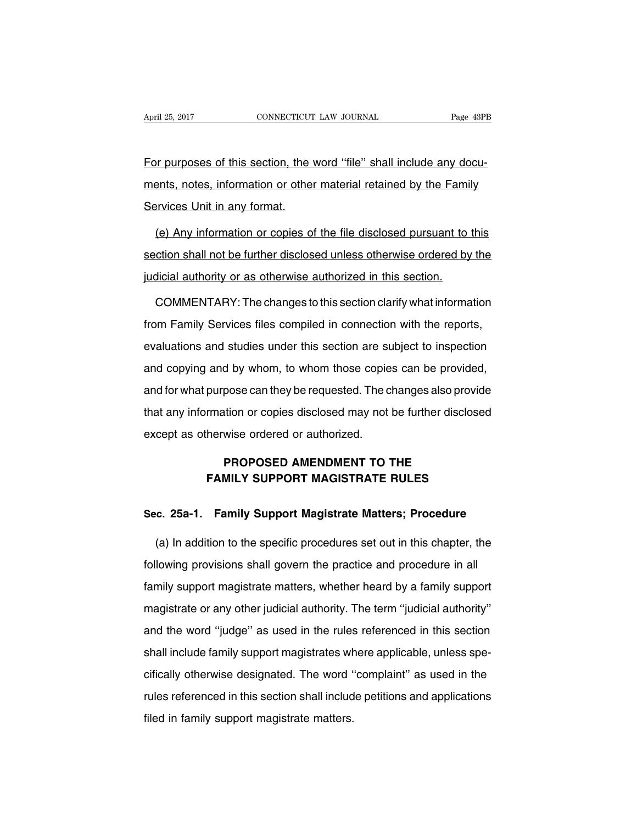For purposes of this section, the word "file" shall include any documents, notes, information or other material retained by the Family Services Unit in any format.

(e) Any information or copies of the file disclosed pursuant to this section shall not be further disclosed unless otherwise ordered by the judicial authority or as otherwise authorized in this section.

COMMENTARY: The changes to this section clarify what information from Family Services files compiled in connection with the reports, evaluations and studies under this section are subject to inspection and copying and by whom, to whom those copies can be provided, and for what purpose can they be requested. The changes also provide that any information or copies disclosed may not be further disclosed except as otherwise ordered or authorized.

## **PROPOSED AMENDMENT TO THE FAMILY SUPPORT MAGISTRATE RULES**

## **Sec. 25a-1. Family Support Magistrate Matters; Procedure**

(a) In addition to the specific procedures set out in this chapter, the following provisions shall govern the practice and procedure in all family support magistrate matters, whether heard by a family support magistrate or any other judicial authority. The term ''judicial authority'' and the word ''judge'' as used in the rules referenced in this section shall include family support magistrates where applicable, unless specifically otherwise designated. The word ''complaint'' as used in the rules referenced in this section shall include petitions and applications filed in family support magistrate matters.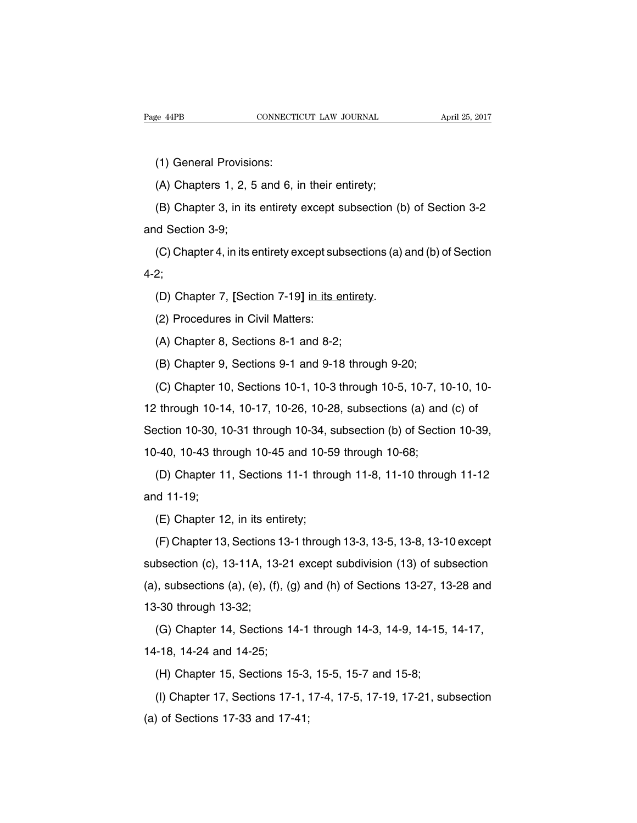(1) General Provisions:

(A) Chapters 1, 2, 5 and 6, in their entirety;

(B) Chapter 3, in its entirety except subsection (b) of Section 3-2 and Section 3-9;

(C) Chapter 4, in its entirety except subsections (a) and (b) of Section 4-2;

(D) Chapter 7, **[**Section 7-19**]** in its entirety.

(2) Procedures in Civil Matters:

(A) Chapter 8, Sections 8-1 and 8-2;

(B) Chapter 9, Sections 9-1 and 9-18 through 9-20;

(C) Chapter 10, Sections 10-1, 10-3 through 10-5, 10-7, 10-10, 10-

12 through 10-14, 10-17, 10-26, 10-28, subsections (a) and (c) of

Section 10-30, 10-31 through 10-34, subsection (b) of Section 10-39,

10-40, 10-43 through 10-45 and 10-59 through 10-68;

(D) Chapter 11, Sections 11-1 through 11-8, 11-10 through 11-12 and 11-19;

(E) Chapter 12, in its entirety;

(F) Chapter 13, Sections 13-1 through 13-3, 13-5, 13-8, 13-10 except subsection (c), 13-11A, 13-21 except subdivision (13) of subsection  $(a)$ , subsections  $(a)$ ,  $(e)$ ,  $(f)$ ,  $(g)$  and  $(h)$  of Sections 13-27, 13-28 and 13-30 through 13-32;

(G) Chapter 14, Sections 14-1 through 14-3, 14-9, 14-15, 14-17, 14-18, 14-24 and 14-25;

(H) Chapter 15, Sections 15-3, 15-5, 15-7 and 15-8;

(I) Chapter 17, Sections 17-1, 17-4, 17-5, 17-19, 17-21, subsection (a) of Sections 17-33 and 17-41;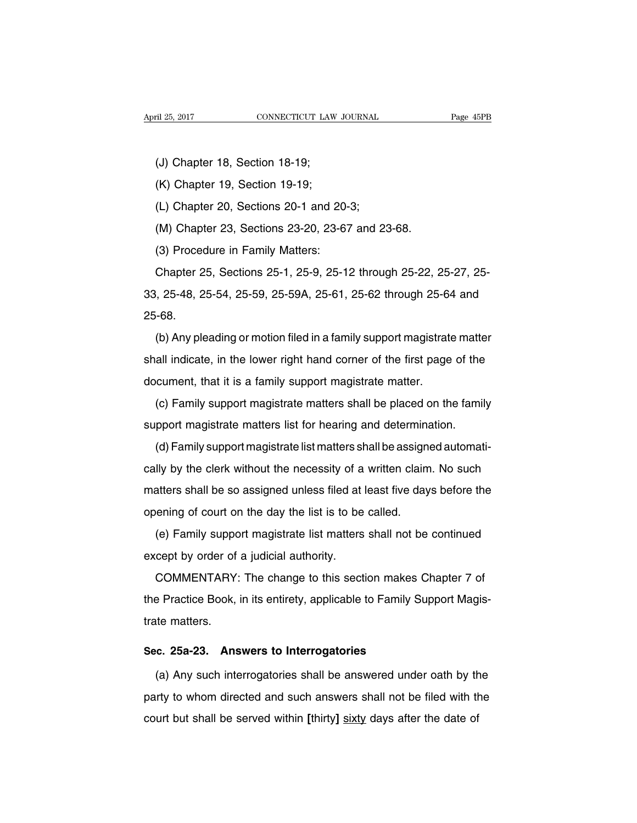- (J) Chapter 18, Section 18-19;
- (K) Chapter 19, Section 19-19;
- (L) Chapter 20, Sections 20-1 and 20-3;
- (M) Chapter 23, Sections 23-20, 23-67 and 23-68.
- (3) Procedure in Family Matters:

Chapter 25, Sections 25-1, 25-9, 25-12 through 25-22, 25-27, 25- 33, 25-48, 25-54, 25-59, 25-59A, 25-61, 25-62 through 25-64 and 25-68.

(b) Any pleading or motion filed in a family support magistrate matter shall indicate, in the lower right hand corner of the first page of the document, that it is a family support magistrate matter.

(c) Family support magistrate matters shall be placed on the family support magistrate matters list for hearing and determination.

(d) Family support magistrate list matters shall be assigned automatically by the clerk without the necessity of a written claim. No such matters shall be so assigned unless filed at least five days before the opening of court on the day the list is to be called.

(e) Family support magistrate list matters shall not be continued except by order of a judicial authority.

COMMENTARY: The change to this section makes Chapter 7 of the Practice Book, in its entirety, applicable to Family Support Magistrate matters.

### **Sec. 25a-23. Answers to Interrogatories**

(a) Any such interrogatories shall be answered under oath by the party to whom directed and such answers shall not be filed with the court but shall be served within **[**thirty**]** sixty days after the date of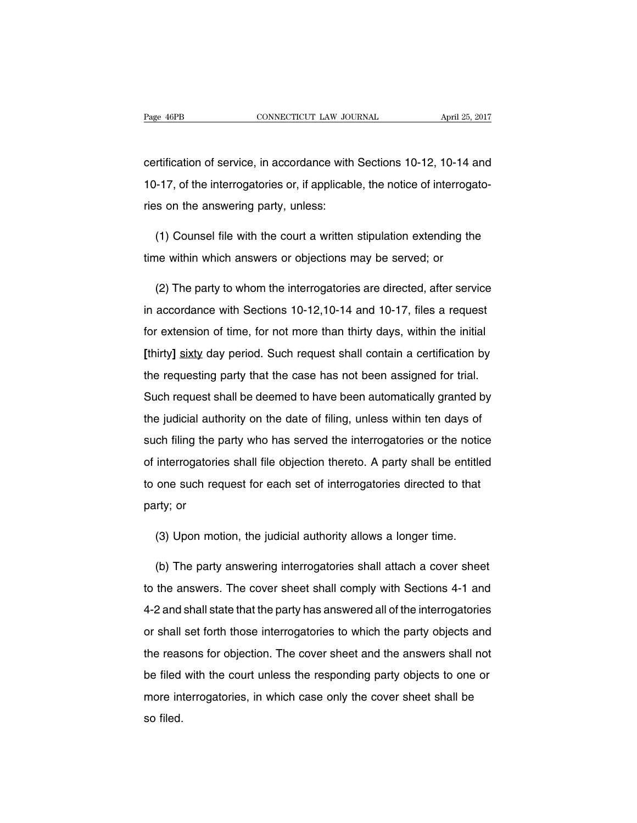certification of service, in accordance with Sections 10-12, 10-14 and 10-17, of the interrogatories or, if applicable, the notice of interrogatories on the answering party, unless:

(1) Counsel file with the court a written stipulation extending the time within which answers or objections may be served; or

(2) The party to whom the interrogatories are directed, after service in accordance with Sections 10-12,10-14 and 10-17, files a request for extension of time, for not more than thirty days, within the initial **[**thirty**]** sixty day period. Such request shall contain a certification by the requesting party that the case has not been assigned for trial. Such request shall be deemed to have been automatically granted by the judicial authority on the date of filing, unless within ten days of such filing the party who has served the interrogatories or the notice of interrogatories shall file objection thereto. A party shall be entitled to one such request for each set of interrogatories directed to that party; or

(3) Upon motion, the judicial authority allows a longer time.

(b) The party answering interrogatories shall attach a cover sheet to the answers. The cover sheet shall comply with Sections 4-1 and 4-2 and shall state that the party has answered all of the interrogatories or shall set forth those interrogatories to which the party objects and the reasons for objection. The cover sheet and the answers shall not be filed with the court unless the responding party objects to one or more interrogatories, in which case only the cover sheet shall be so filed.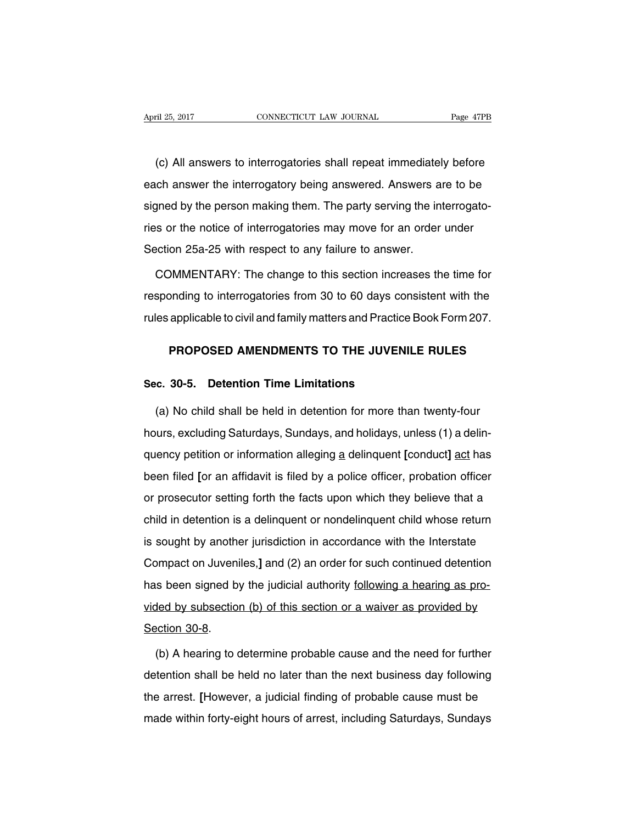(c) All answers to interrogatories shall repeat immediately before each answer the interrogatory being answered. Answers are to be signed by the person making them. The party serving the interrogatories or the notice of interrogatories may move for an order under Section 25a-25 with respect to any failure to answer.

COMMENTARY: The change to this section increases the time for responding to interrogatories from 30 to 60 days consistent with the rules applicable to civil and family matters and Practice Book Form 207.

## **PROPOSED AMENDMENTS TO THE JUVENILE RULES**

### **Sec. 30-5. Detention Time Limitations**

(a) No child shall be held in detention for more than twenty-four hours, excluding Saturdays, Sundays, and holidays, unless (1) a delinquency petition or information alleging a delinquent **[**conduct**]** act has been filed **[**or an affidavit is filed by a police officer, probation officer or prosecutor setting forth the facts upon which they believe that a child in detention is a delinquent or nondelinquent child whose return is sought by another jurisdiction in accordance with the Interstate Compact on Juveniles,**]** and (2) an order for such continued detention has been signed by the judicial authority following a hearing as provided by subsection (b) of this section or a waiver as provided by Section 30-8.

(b) A hearing to determine probable cause and the need for further detention shall be held no later than the next business day following the arrest. **[**However, a judicial finding of probable cause must be made within forty-eight hours of arrest, including Saturdays, Sundays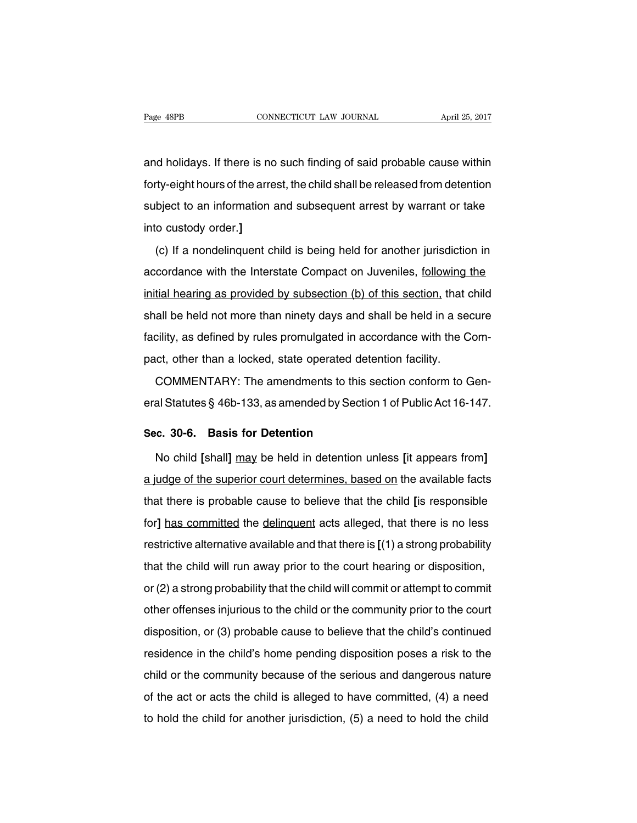and holidays. If there is no such finding of said probable cause within forty-eight hours of the arrest, the child shall be released from detention subject to an information and subsequent arrest by warrant or take into custody order.**]**

(c) If a nondelinquent child is being held for another jurisdiction in accordance with the Interstate Compact on Juveniles, following the initial hearing as provided by subsection (b) of this section, that child shall be held not more than ninety days and shall be held in a secure facility, as defined by rules promulgated in accordance with the Compact, other than a locked, state operated detention facility.

COMMENTARY: The amendments to this section conform to General Statutes § 46b-133, as amended by Section 1 of Public Act 16-147.

#### **Sec. 30-6. Basis for Detention**

No child **[**shall**]** may be held in detention unless **[**it appears from**]** a judge of the superior court determines, based on the available facts that there is probable cause to believe that the child **[**is responsible for**]** has committed the delinguent acts alleged, that there is no less restrictive alternative available and that there is **[**(1) a strong probability that the child will run away prior to the court hearing or disposition, or (2) a strong probability that the child will commit or attempt to commit other offenses injurious to the child or the community prior to the court disposition, or (3) probable cause to believe that the child's continued residence in the child's home pending disposition poses a risk to the child or the community because of the serious and dangerous nature of the act or acts the child is alleged to have committed, (4) a need to hold the child for another jurisdiction, (5) a need to hold the child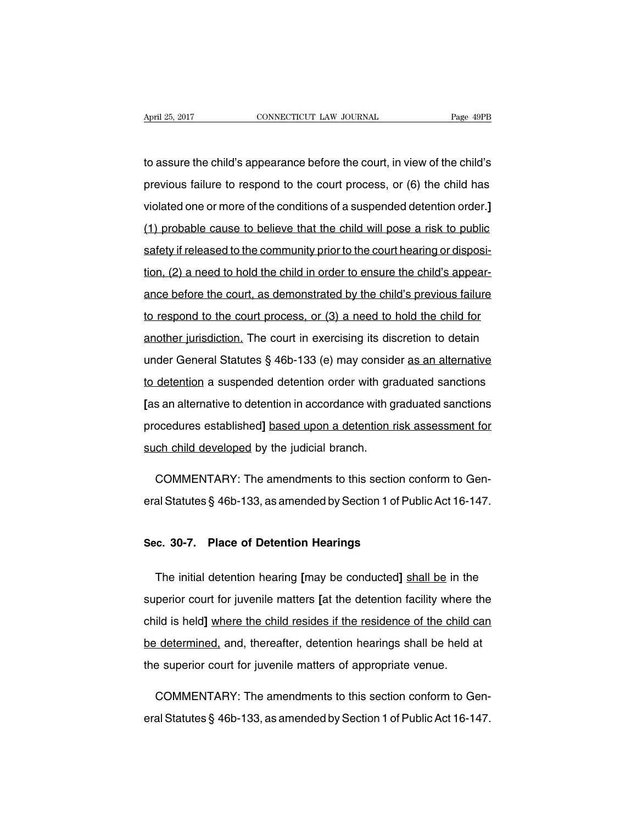to assure the child's appearance before the court, in view of the child's previous failure to respond to the court process, or (6) the child has violated one or more of the conditions of a suspended detention order.**]** (1) probable cause to believe that the child will pose a risk to public safety if released to the community prior to the court hearing or disposition, (2) a need to hold the child in order to ensure the child's appearance before the court, as demonstrated by the child's previous failure to respond to the court process, or (3) a need to hold the child for another jurisdiction. The court in exercising its discretion to detain under General Statutes § 46b-133 (e) may consider as an alternative to detention a suspended detention order with graduated sanctions **[**as an alternative to detention in accordance with graduated sanctions procedures established**]** based upon a detention risk assessment for such child developed by the judicial branch.

COMMENTARY: The amendments to this section conform to General Statutes § 46b-133, as amended by Section 1 of Public Act 16-147.

#### **Sec. 30-7. Place of Detention Hearings**

The initial detention hearing **[**may be conducted**]** shall be in the superior court for juvenile matters **[**at the detention facility where the child is held**]** where the child resides if the residence of the child can be determined, and, thereafter, detention hearings shall be held at the superior court for juvenile matters of appropriate venue.

COMMENTARY: The amendments to this section conform to General Statutes § 46b-133, as amended by Section 1 of Public Act 16-147.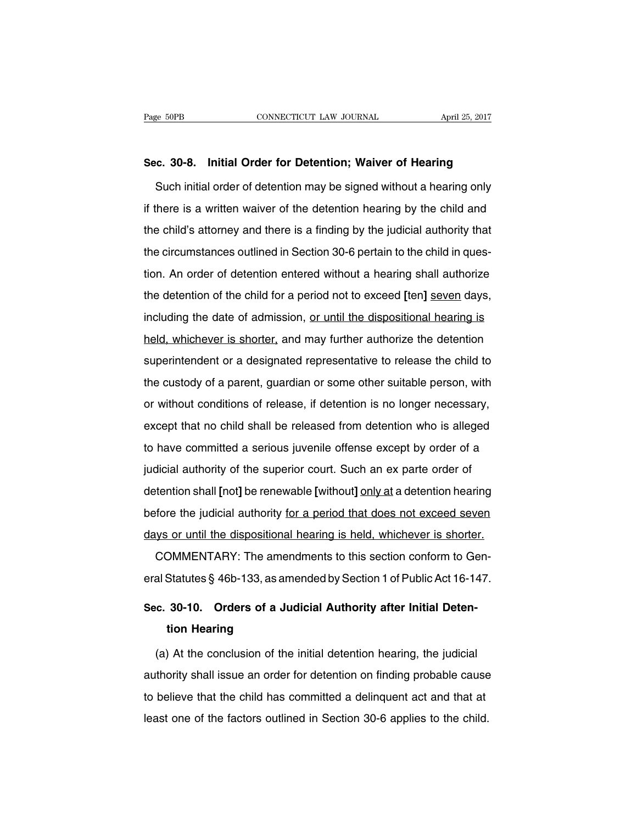#### **Sec. 30-8. Initial Order for Detention; Waiver of Hearing**

Such initial order of detention may be signed without a hearing only if there is a written waiver of the detention hearing by the child and the child's attorney and there is a finding by the judicial authority that the circumstances outlined in Section 30-6 pertain to the child in question. An order of detention entered without a hearing shall authorize the detention of the child for a period not to exceed **[**ten**]** seven days, including the date of admission, or until the dispositional hearing is held, whichever is shorter, and may further authorize the detention superintendent or a designated representative to release the child to the custody of a parent, guardian or some other suitable person, with or without conditions of release, if detention is no longer necessary, except that no child shall be released from detention who is alleged to have committed a serious juvenile offense except by order of a judicial authority of the superior court. Such an ex parte order of detention shall **[**not**]** be renewable **[**without**]** only at a detention hearing before the judicial authority for a period that does not exceed seven days or until the dispositional hearing is held, whichever is shorter.

COMMENTARY: The amendments to this section conform to General Statutes § 46b-133, as amended by Section 1 of Public Act 16-147.

## **Sec. 30-10. Orders of a Judicial Authority after Initial Detention Hearing**

(a) At the conclusion of the initial detention hearing, the judicial authority shall issue an order for detention on finding probable cause to believe that the child has committed a delinquent act and that at least one of the factors outlined in Section 30-6 applies to the child.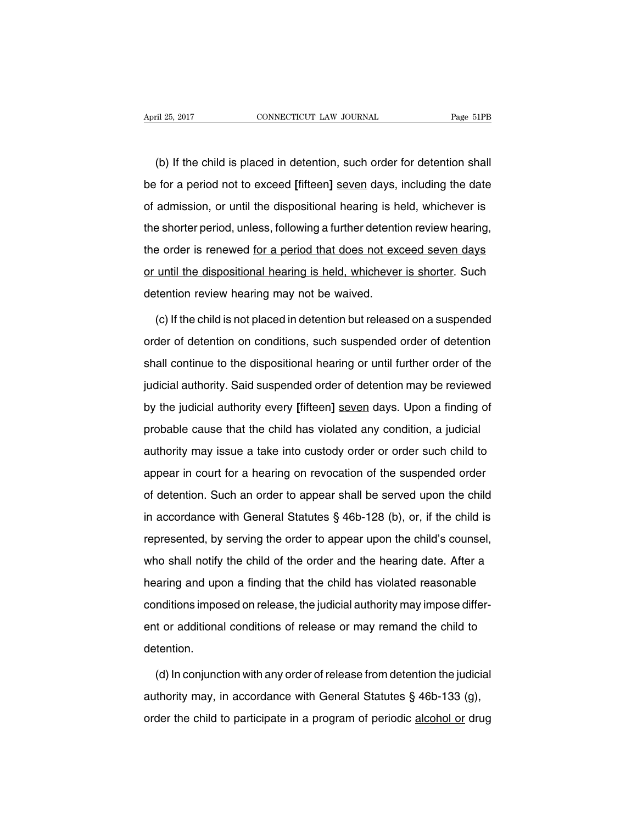(b) If the child is placed in detention, such order for detention shall be for a period not to exceed **[**fifteen**]** seven days, including the date of admission, or until the dispositional hearing is held, whichever is the shorter period, unless, following a further detention review hearing, the order is renewed for a period that does not exceed seven days or until the dispositional hearing is held, whichever is shorter. Such detention review hearing may not be waived.

(c) If the child is not placed in detention but released on a suspended order of detention on conditions, such suspended order of detention shall continue to the dispositional hearing or until further order of the judicial authority. Said suspended order of detention may be reviewed by the judicial authority every **[**fifteen**]** seven days. Upon a finding of probable cause that the child has violated any condition, a judicial authority may issue a take into custody order or order such child to appear in court for a hearing on revocation of the suspended order of detention. Such an order to appear shall be served upon the child in accordance with General Statutes § 46b-128 (b), or, if the child is represented, by serving the order to appear upon the child's counsel, who shall notify the child of the order and the hearing date. After a hearing and upon a finding that the child has violated reasonable conditions imposed on release, the judicial authority may impose different or additional conditions of release or may remand the child to detention.

(d) In conjunction with any order of release from detention the judicial authority may, in accordance with General Statutes § 46b-133 (g), order the child to participate in a program of periodic alcohol or drug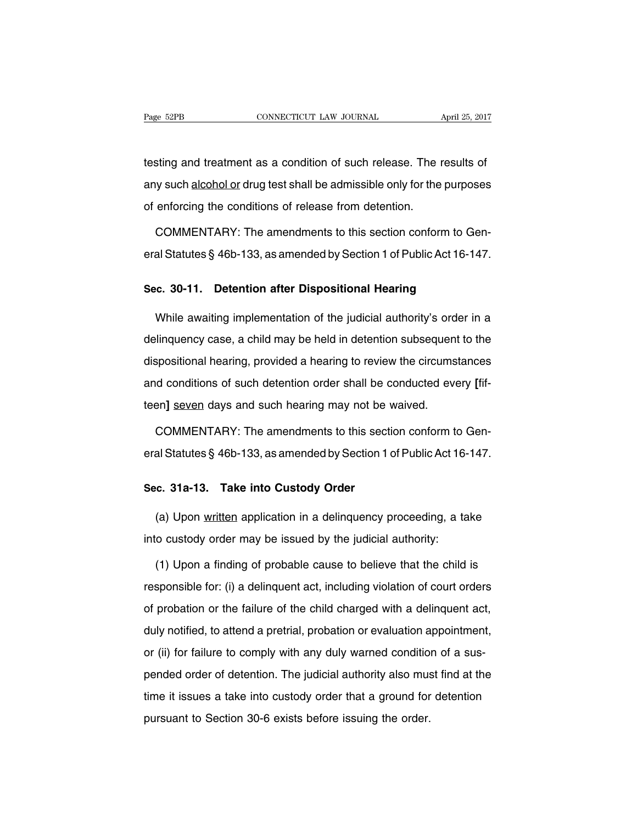testing and treatment as a condition of such release. The results of any such alcohol or drug test shall be admissible only for the purposes of enforcing the conditions of release from detention.

COMMENTARY: The amendments to this section conform to General Statutes § 46b-133, as amended by Section 1 of Public Act 16-147.

#### **Sec. 30-11. Detention after Dispositional Hearing**

While awaiting implementation of the judicial authority's order in a delinquency case, a child may be held in detention subsequent to the dispositional hearing, provided a hearing to review the circumstances and conditions of such detention order shall be conducted every **[**fifteen**]** seven days and such hearing may not be waived.

COMMENTARY: The amendments to this section conform to General Statutes § 46b-133, as amended by Section 1 of Public Act 16-147.

#### **Sec. 31a-13. Take into Custody Order**

(a) Upon written application in a delinquency proceeding, a take into custody order may be issued by the judicial authority:

(1) Upon a finding of probable cause to believe that the child is responsible for: (i) a delinquent act, including violation of court orders of probation or the failure of the child charged with a delinquent act, duly notified, to attend a pretrial, probation or evaluation appointment, or (ii) for failure to comply with any duly warned condition of a suspended order of detention. The judicial authority also must find at the time it issues a take into custody order that a ground for detention pursuant to Section 30-6 exists before issuing the order.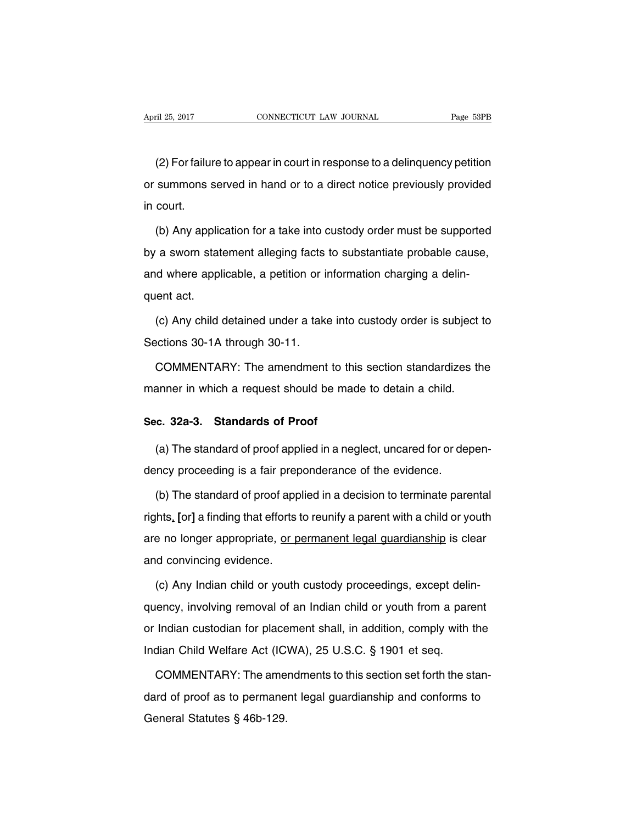(2) For failure to appear in court in response to a delinquency petition or summons served in hand or to a direct notice previously provided in court.

(b) Any application for a take into custody order must be supported by a sworn statement alleging facts to substantiate probable cause, and where applicable, a petition or information charging a delinquent act.

(c) Any child detained under a take into custody order is subject to Sections 30-1A through 30-11.

COMMENTARY: The amendment to this section standardizes the manner in which a request should be made to detain a child.

#### **Sec. 32a-3. Standards of Proof**

(a) The standard of proof applied in a neglect, uncared for or dependency proceeding is a fair preponderance of the evidence.

(b) The standard of proof applied in a decision to terminate parental rights, **[**or**]** a finding that efforts to reunify a parent with a child or youth are no longer appropriate, or permanent legal guardianship is clear and convincing evidence.

(c) Any Indian child or youth custody proceedings, except delinquency, involving removal of an Indian child or youth from a parent or Indian custodian for placement shall, in addition, comply with the Indian Child Welfare Act (ICWA), 25 U.S.C. § 1901 et seq.

COMMENTARY: The amendments to this section set forth the standard of proof as to permanent legal guardianship and conforms to General Statutes § 46b-129.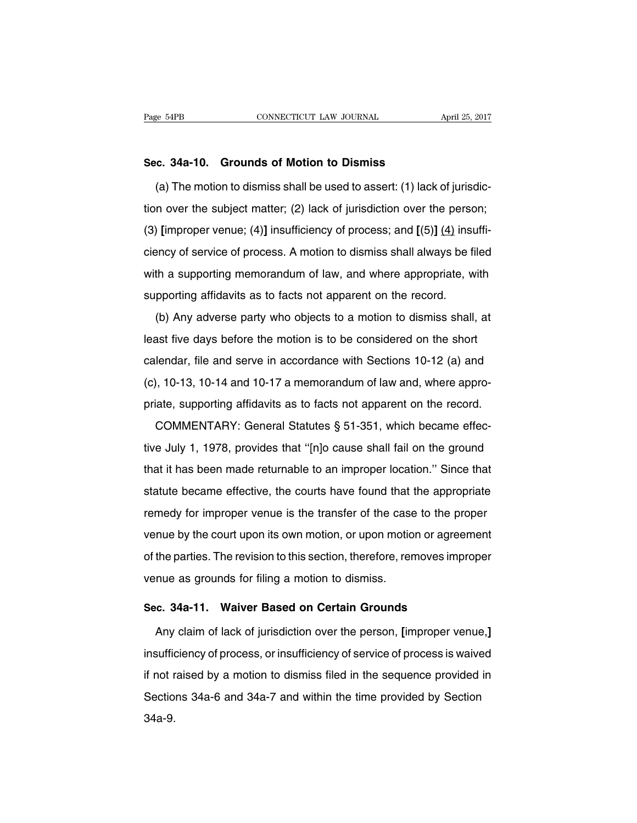## **Sec. 34a-10. Grounds of Motion to Dismiss**

(a) The motion to dismiss shall be used to assert: (1) lack of jurisdiction over the subject matter; (2) lack of jurisdiction over the person; (3) **[**improper venue; (4)**]** insufficiency of process; and **[**(5)**]** (4) insufficiency of service of process. A motion to dismiss shall always be filed with a supporting memorandum of law, and where appropriate, with supporting affidavits as to facts not apparent on the record.

(b) Any adverse party who objects to a motion to dismiss shall, at least five days before the motion is to be considered on the short calendar, file and serve in accordance with Sections 10-12 (a) and (c), 10-13, 10-14 and 10-17 a memorandum of law and, where appropriate, supporting affidavits as to facts not apparent on the record.

COMMENTARY: General Statutes § 51-351, which became effective July 1, 1978, provides that ''[n]o cause shall fail on the ground that it has been made returnable to an improper location.'' Since that statute became effective, the courts have found that the appropriate remedy for improper venue is the transfer of the case to the proper venue by the court upon its own motion, or upon motion or agreement of the parties. The revision to this section, therefore, removes improper venue as grounds for filing a motion to dismiss.

#### **Sec. 34a-11. Waiver Based on Certain Grounds**

Any claim of lack of jurisdiction over the person, **[**improper venue,**]** insufficiency of process, or insufficiency of service of process is waived if not raised by a motion to dismiss filed in the sequence provided in Sections 34a-6 and 34a-7 and within the time provided by Section 34a-9.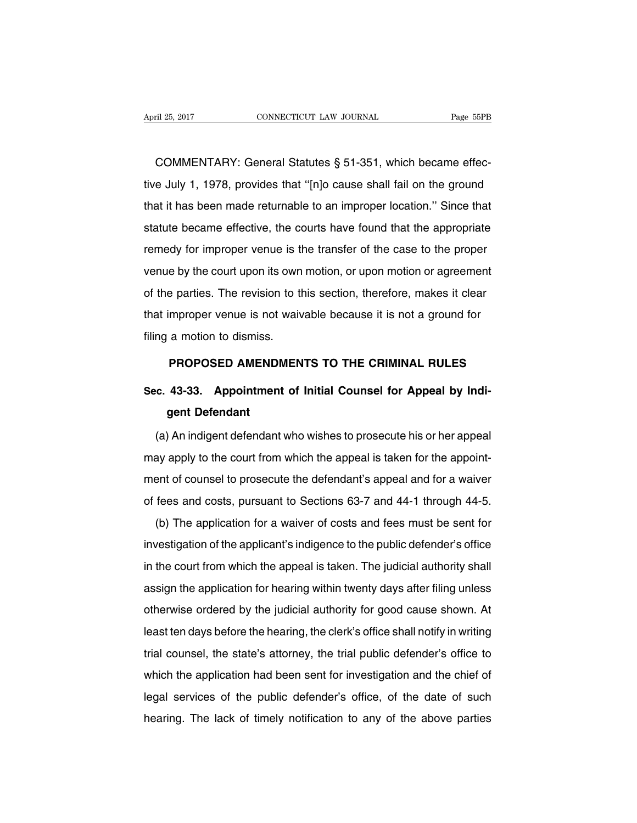COMMENTARY: General Statutes § 51-351, which became effective July 1, 1978, provides that ''[n]o cause shall fail on the ground that it has been made returnable to an improper location.'' Since that statute became effective, the courts have found that the appropriate remedy for improper venue is the transfer of the case to the proper venue by the court upon its own motion, or upon motion or agreement of the parties. The revision to this section, therefore, makes it clear that improper venue is not waivable because it is not a ground for filing a motion to dismiss.

#### **PROPOSED AMENDMENTS TO THE CRIMINAL RULES**

# **Sec. 43-33. Appointment of Initial Counsel for Appeal by Indigent Defendant**

(a) An indigent defendant who wishes to prosecute his or her appeal may apply to the court from which the appeal is taken for the appointment of counsel to prosecute the defendant's appeal and for a waiver of fees and costs, pursuant to Sections 63-7 and 44-1 through 44-5.

(b) The application for a waiver of costs and fees must be sent for investigation of the applicant's indigence to the public defender's office in the court from which the appeal is taken. The judicial authority shall assign the application for hearing within twenty days after filing unless otherwise ordered by the judicial authority for good cause shown. At least ten days before the hearing, the clerk's office shall notify in writing trial counsel, the state's attorney, the trial public defender's office to which the application had been sent for investigation and the chief of legal services of the public defender's office, of the date of such hearing. The lack of timely notification to any of the above parties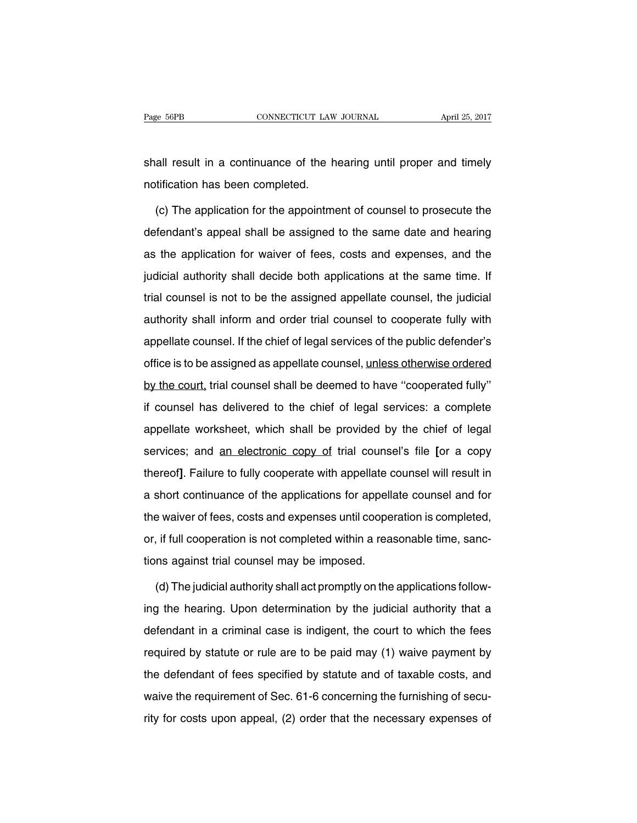shall result in a continuance of the hearing until proper and timely notification has been completed.

(c) The application for the appointment of counsel to prosecute the defendant's appeal shall be assigned to the same date and hearing as the application for waiver of fees, costs and expenses, and the judicial authority shall decide both applications at the same time. If trial counsel is not to be the assigned appellate counsel, the judicial authority shall inform and order trial counsel to cooperate fully with appellate counsel. If the chief of legal services of the public defender's office is to be assigned as appellate counsel, unless otherwise ordered by the court, trial counsel shall be deemed to have ''cooperated fully'' if counsel has delivered to the chief of legal services: a complete appellate worksheet, which shall be provided by the chief of legal services; and an electronic copy of trial counsel's file **[**or a copy thereof**]**. Failure to fully cooperate with appellate counsel will result in a short continuance of the applications for appellate counsel and for the waiver of fees, costs and expenses until cooperation is completed, or, if full cooperation is not completed within a reasonable time, sanctions against trial counsel may be imposed.

(d) The judicial authority shall act promptly on the applications following the hearing. Upon determination by the judicial authority that a defendant in a criminal case is indigent, the court to which the fees required by statute or rule are to be paid may (1) waive payment by the defendant of fees specified by statute and of taxable costs, and waive the requirement of Sec. 61-6 concerning the furnishing of security for costs upon appeal, (2) order that the necessary expenses of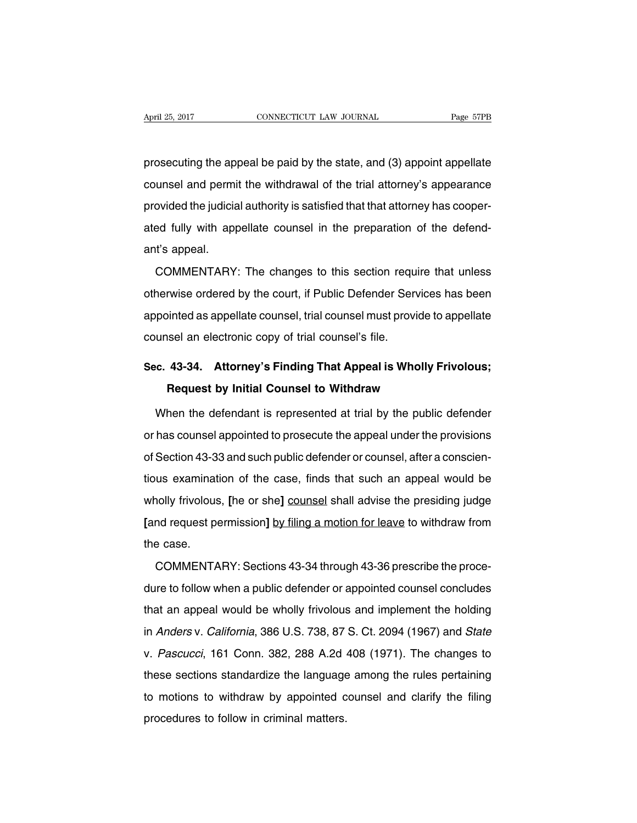prosecuting the appeal be paid by the state, and (3) appoint appellate counsel and permit the withdrawal of the trial attorney's appearance provided the judicial authority is satisfied that that attorney has cooperated fully with appellate counsel in the preparation of the defendant's appeal.

COMMENTARY: The changes to this section require that unless otherwise ordered by the court, if Public Defender Services has been appointed as appellate counsel, trial counsel must provide to appellate counsel an electronic copy of trial counsel's file.

# **Sec. 43-34. Attorney's Finding That Appeal is Wholly Frivolous; Request by Initial Counsel to Withdraw**

When the defendant is represented at trial by the public defender or has counsel appointed to prosecute the appeal under the provisions of Section 43-33 and such public defender or counsel, after a conscientious examination of the case, finds that such an appeal would be wholly frivolous, **[**he or she**]** counsel shall advise the presiding judge **[**and request permission**]** by filing a motion for leave to withdraw from the case.

COMMENTARY: Sections 43-34 through 43-36 prescribe the procedure to follow when a public defender or appointed counsel concludes that an appeal would be wholly frivolous and implement the holding in Anders v. California, 386 U.S. 738, 87 S. Ct. 2094 (1967) and State v. Pascucci, 161 Conn. 382, 288 A.2d 408 (1971). The changes to these sections standardize the language among the rules pertaining to motions to withdraw by appointed counsel and clarify the filing procedures to follow in criminal matters.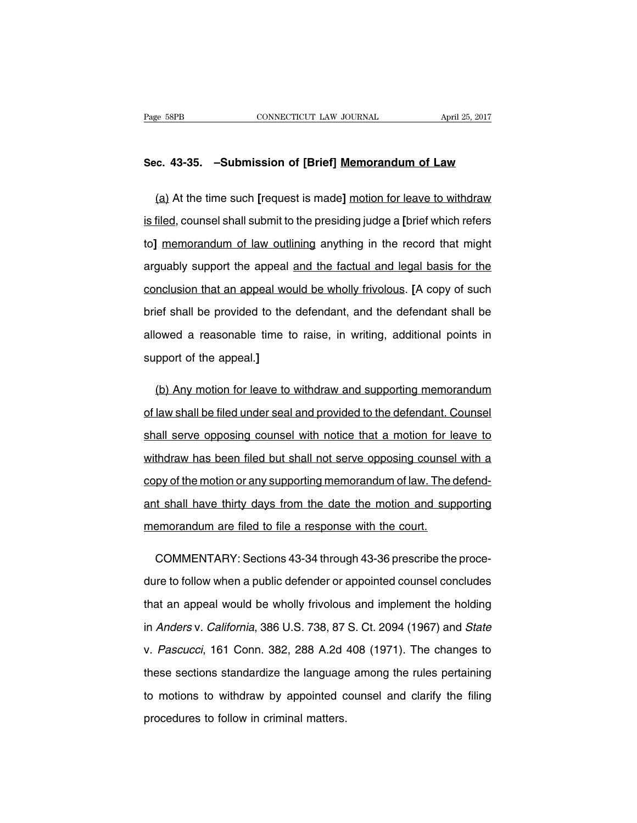#### **Sec. 43-35. –Submission of [Brief] Memorandum of Law**

(a) At the time such **[**request is made**]** motion for leave to withdraw is filed, counsel shall submit to the presiding judge a **[**brief which refers to**]** memorandum of law outlining anything in the record that might arguably support the appeal and the factual and legal basis for the conclusion that an appeal would be wholly frivolous. **[**A copy of such brief shall be provided to the defendant, and the defendant shall be allowed a reasonable time to raise, in writing, additional points in support of the appeal.**]**

(b) Any motion for leave to withdraw and supporting memorandum of law shall be filed under seal and provided to the defendant. Counsel shall serve opposing counsel with notice that a motion for leave to withdraw has been filed but shall not serve opposing counsel with a copy of the motion or any supporting memorandum of law. The defendant shall have thirty days from the date the motion and supporting memorandum are filed to file a response with the court.

COMMENTARY: Sections 43-34 through 43-36 prescribe the procedure to follow when a public defender or appointed counsel concludes that an appeal would be wholly frivolous and implement the holding in Anders v. California, 386 U.S. 738, 87 S. Ct. 2094 (1967) and State v. Pascucci, 161 Conn. 382, 288 A.2d 408 (1971). The changes to these sections standardize the language among the rules pertaining to motions to withdraw by appointed counsel and clarify the filing procedures to follow in criminal matters.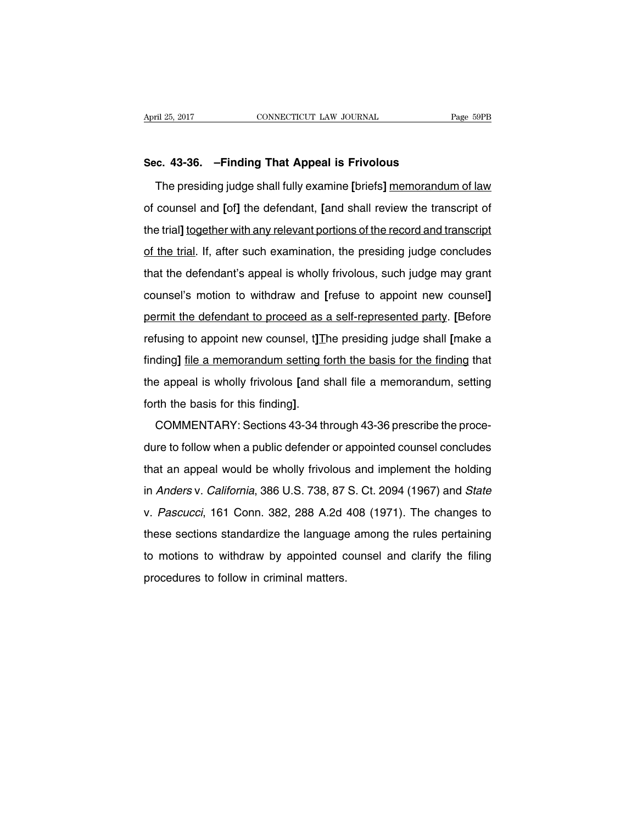#### **Sec. 43-36. –Finding That Appeal is Frivolous**

The presiding judge shall fully examine **[**briefs**]** memorandum of law of counsel and **[**of**]** the defendant, **[**and shall review the transcript of the trial**]** together with any relevant portions of the record and transcript of the trial. If, after such examination, the presiding judge concludes that the defendant's appeal is wholly frivolous, such judge may grant counsel's motion to withdraw and **[**refuse to appoint new counsel**]** permit the defendant to proceed as a self-represented party. **[**Before refusing to appoint new counsel, t**]**The presiding judge shall **[**make a finding**]** file a memorandum setting forth the basis for the finding that the appeal is wholly frivolous **[**and shall file a memorandum, setting forth the basis for this finding**]**.

COMMENTARY: Sections 43-34 through 43-36 prescribe the procedure to follow when a public defender or appointed counsel concludes that an appeal would be wholly frivolous and implement the holding in Anders v. California, 386 U.S. 738, 87 S. Ct. 2094 (1967) and State v. Pascucci, 161 Conn. 382, 288 A.2d 408 (1971). The changes to these sections standardize the language among the rules pertaining to motions to withdraw by appointed counsel and clarify the filing procedures to follow in criminal matters.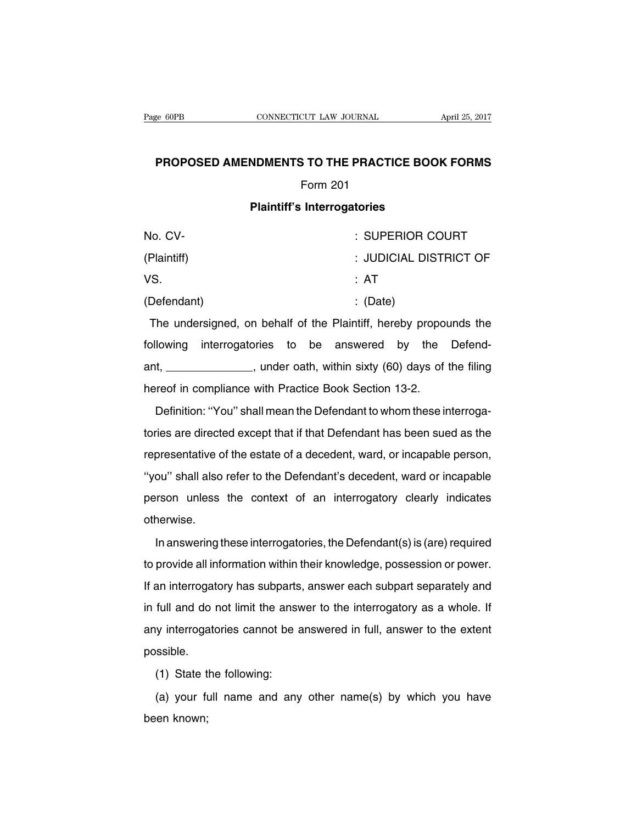### **PROPOSED AMENDMENTS TO THE PRACTICE BOOK FORMS**

### Form 201

## **Plaintiff's Interrogatories**

| No. CV-     | : SUPERIOR COURT       |
|-------------|------------------------|
| (Plaintiff) | : JUDICIAL DISTRICT OF |
| VS.         | : AT                   |
| (Defendant) | $\therefore$ (Date)    |

The undersigned, on behalf of the Plaintiff, hereby propounds the following interrogatories to be answered by the Defendant, \_\_\_\_\_\_\_\_\_\_\_\_\_\_, under oath, within sixty (60) days of the filing hereof in compliance with Practice Book Section 13-2.

Definition: ''You'' shall mean the Defendant to whom these interrogatories are directed except that if that Defendant has been sued as the representative of the estate of a decedent, ward, or incapable person, ''you'' shall also refer to the Defendant's decedent, ward or incapable person unless the context of an interrogatory clearly indicates otherwise.

In answering these interrogatories, the Defendant(s) is (are) required to provide all information within their knowledge, possession or power. If an interrogatory has subparts, answer each subpart separately and in full and do not limit the answer to the interrogatory as a whole. If any interrogatories cannot be answered in full, answer to the extent possible.

(1) State the following:

(a) your full name and any other name(s) by which you have been known;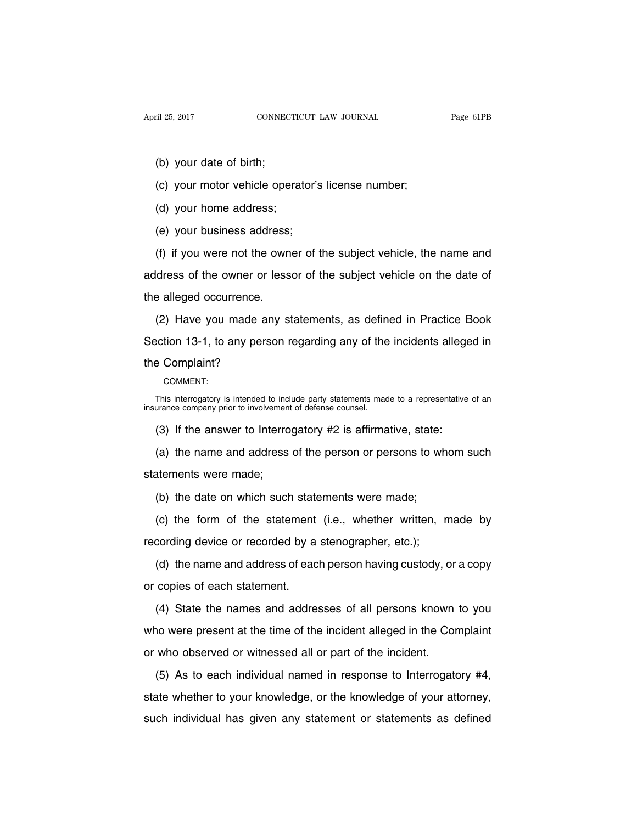- (b) your date of birth;
- (c) your motor vehicle operator's license number;
- (d) your home address;
- (e) your business address;

(f) if you were not the owner of the subject vehicle, the name and address of the owner or lessor of the subject vehicle on the date of the alleged occurrence.

(2) Have you made any statements, as defined in Practice Book Section 13-1, to any person regarding any of the incidents alleged in the Complaint?

COMMENT:

This interrogatory is intended to include party statements made to a representative of an insurance company prior to involvement of defense counsel.

(3) If the answer to Interrogatory #2 is affirmative, state:

(a) the name and address of the person or persons to whom such statements were made;

(b) the date on which such statements were made;

(c) the form of the statement (i.e., whether written, made by recording device or recorded by a stenographer, etc.);

(d) the name and address of each person having custody, or a copy or copies of each statement.

(4) State the names and addresses of all persons known to you who were present at the time of the incident alleged in the Complaint or who observed or witnessed all or part of the incident.

(5) As to each individual named in response to Interrogatory #4, state whether to your knowledge, or the knowledge of your attorney, such individual has given any statement or statements as defined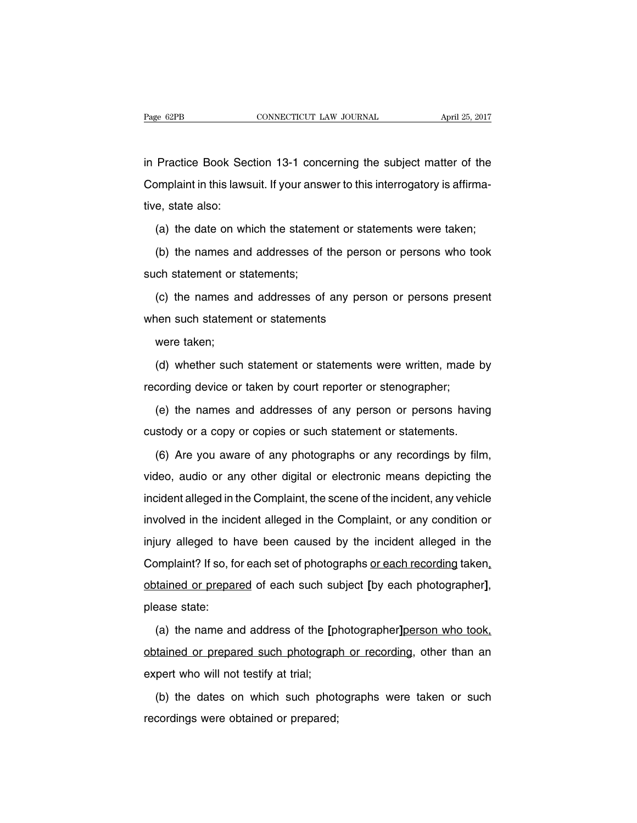in Practice Book Section 13-1 concerning the subject matter of the Complaint in this lawsuit. If your answer to this interrogatory is affirmative, state also:

(a) the date on which the statement or statements were taken;

(b) the names and addresses of the person or persons who took such statement or statements;

(c) the names and addresses of any person or persons present when such statement or statements

were taken;

(d) whether such statement or statements were written, made by recording device or taken by court reporter or stenographer;

(e) the names and addresses of any person or persons having custody or a copy or copies or such statement or statements.

(6) Are you aware of any photographs or any recordings by film, video, audio or any other digital or electronic means depicting the incident alleged in the Complaint, the scene of the incident, any vehicle involved in the incident alleged in the Complaint, or any condition or injury alleged to have been caused by the incident alleged in the Complaint? If so, for each set of photographs or each recording taken, obtained or prepared of each such subject **[**by each photographer**]**, please state:

(a) the name and address of the **[**photographer**]**person who took, obtained or prepared such photograph or recording, other than an expert who will not testify at trial;

(b) the dates on which such photographs were taken or such recordings were obtained or prepared;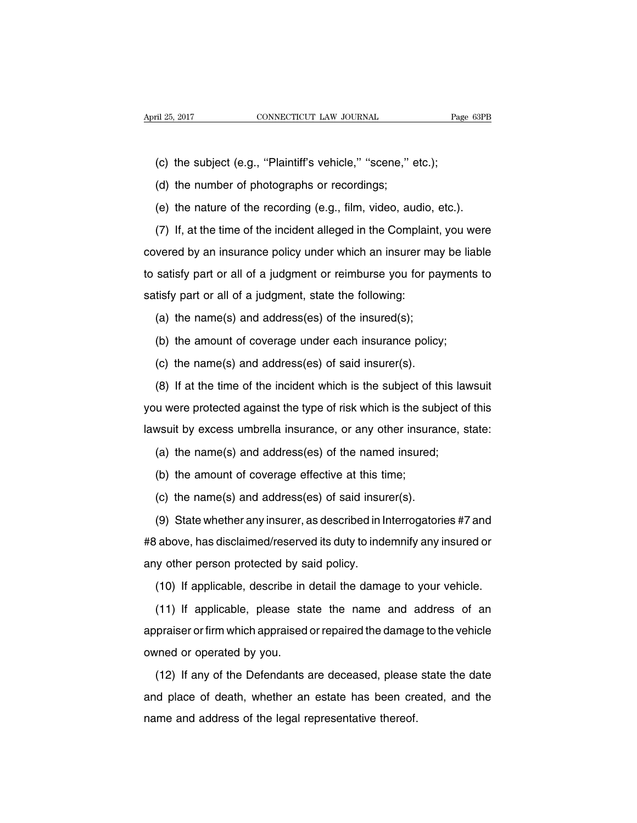(c) the subject (e.g., ''Plaintiff's vehicle,'' ''scene,'' etc.);

(d) the number of photographs or recordings;

(e) the nature of the recording (e.g., film, video, audio, etc.).

(7) If, at the time of the incident alleged in the Complaint, you were covered by an insurance policy under which an insurer may be liable to satisfy part or all of a judgment or reimburse you for payments to satisfy part or all of a judgment, state the following:

(a) the name(s) and address(es) of the insured(s);

(b) the amount of coverage under each insurance policy;

(c) the name(s) and address(es) of said insurer(s).

(8) If at the time of the incident which is the subject of this lawsuit you were protected against the type of risk which is the subject of this lawsuit by excess umbrella insurance, or any other insurance, state:

(a) the name(s) and address(es) of the named insured;

(b) the amount of coverage effective at this time;

(c) the name(s) and address(es) of said insurer(s).

(9) State whether any insurer, as described in Interrogatories #7 and #8 above, has disclaimed/reserved its duty to indemnify any insured or any other person protected by said policy.

(10) If applicable, describe in detail the damage to your vehicle.

(11) If applicable, please state the name and address of an appraiser or firm which appraised or repaired the damage to the vehicle owned or operated by you.

(12) If any of the Defendants are deceased, please state the date and place of death, whether an estate has been created, and the name and address of the legal representative thereof.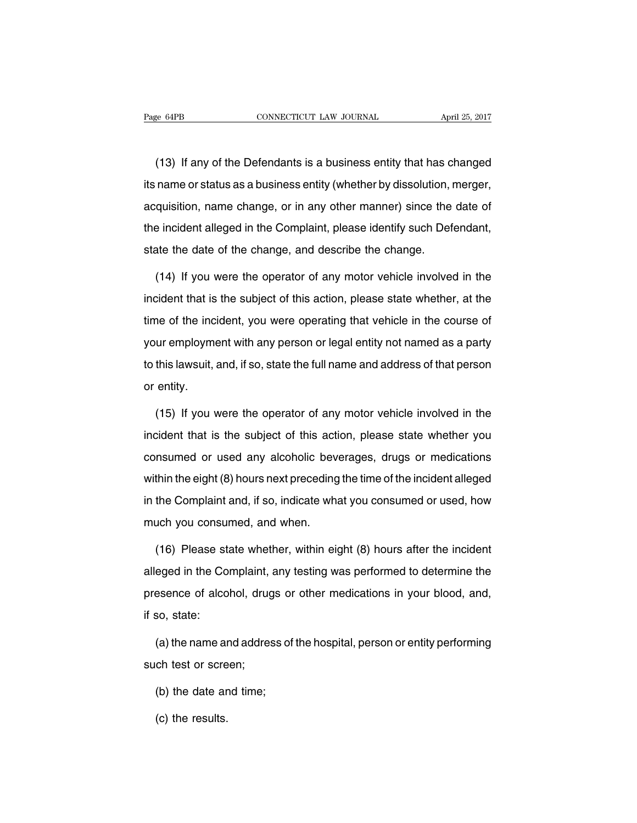(13) If any of the Defendants is a business entity that has changed its name or status as a business entity (whether by dissolution, merger, acquisition, name change, or in any other manner) since the date of the incident alleged in the Complaint, please identify such Defendant, state the date of the change, and describe the change.

(14) If you were the operator of any motor vehicle involved in the incident that is the subject of this action, please state whether, at the time of the incident, you were operating that vehicle in the course of your employment with any person or legal entity not named as a party to this lawsuit, and, if so, state the full name and address of that person or entity.

(15) If you were the operator of any motor vehicle involved in the incident that is the subject of this action, please state whether you consumed or used any alcoholic beverages, drugs or medications within the eight (8) hours next preceding the time of the incident alleged in the Complaint and, if so, indicate what you consumed or used, how much you consumed, and when.

(16) Please state whether, within eight (8) hours after the incident alleged in the Complaint, any testing was performed to determine the presence of alcohol, drugs or other medications in your blood, and, if so, state:

(a) the name and address of the hospital, person or entity performing such test or screen;

- (b) the date and time;
- (c) the results.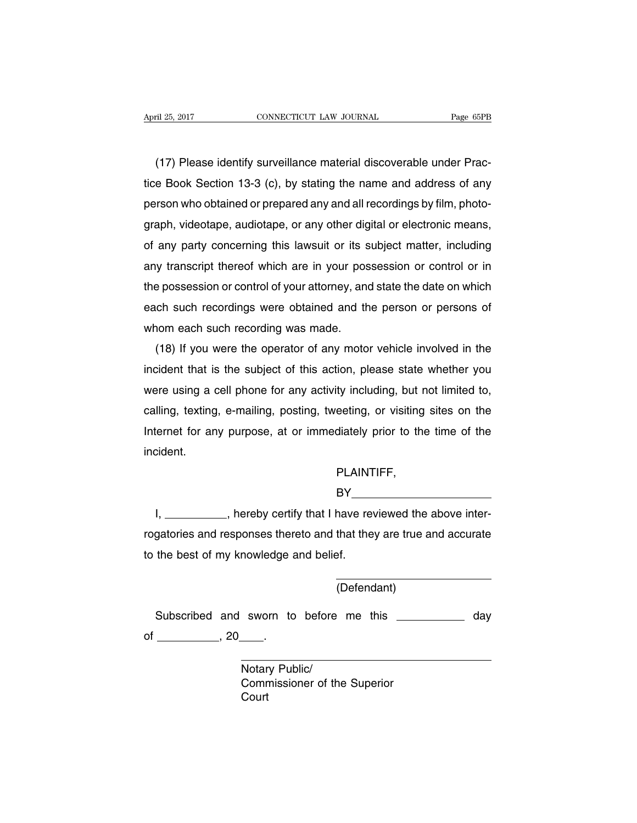(17) Please identify surveillance material discoverable under Practice Book Section 13-3 (c), by stating the name and address of any person who obtained or prepared any and all recordings by film, photograph, videotape, audiotape, or any other digital or electronic means, of any party concerning this lawsuit or its subject matter, including any transcript thereof which are in your possession or control or in the possession or control of your attorney, and state the date on which each such recordings were obtained and the person or persons of whom each such recording was made.

(18) If you were the operator of any motor vehicle involved in the incident that is the subject of this action, please state whether you were using a cell phone for any activity including, but not limited to, calling, texting, e-mailing, posting, tweeting, or visiting sites on the Internet for any purpose, at or immediately prior to the time of the incident.

## PLAINTIFF,

## $BY$ <sub>--</sub>

I, \_\_\_\_\_\_\_\_\_\_, hereby certify that I have reviewed the above interrogatories and responses thereto and that they are true and accurate to the best of my knowledge and belief.

(Defendant)

Subscribed and sworn to before me this \_\_\_\_\_\_\_\_\_\_\_\_ day of  $\frac{1}{20}$ , 20  $\frac{1}{20}$ .

> Notary Public/ Commissioner of the Superior **Court**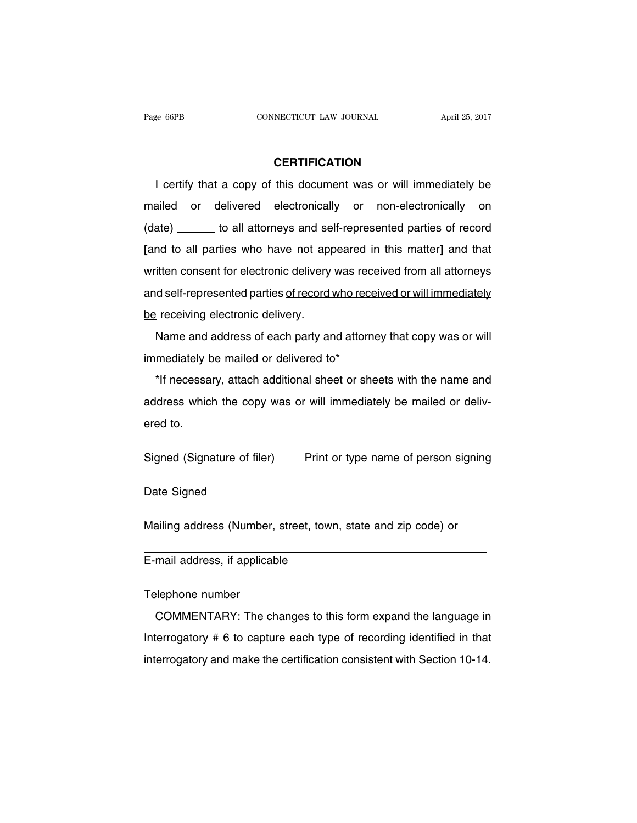## **CERTIFICATION**

I certify that a copy of this document was or will immediately be mailed or delivered electronically or non-electronically on (date) \_\_\_\_\_\_\_ to all attorneys and self-represented parties of record **[**and to all parties who have not appeared in this matter**]** and that written consent for electronic delivery was received from all attorneys and self-represented parties of record who received or will immediately be receiving electronic delivery.

Name and address of each party and attorney that copy was or will immediately be mailed or delivered to\*

\*If necessary, attach additional sheet or sheets with the name and address which the copy was or will immediately be mailed or delivered to.

Signed (Signature of filer) Print or type name of person signing

Date Signed

Mailing address (Number, street, town, state and zip code) or

E-mail address, if applicable

#### Telephone number

COMMENTARY: The changes to this form expand the language in Interrogatory # 6 to capture each type of recording identified in that interrogatory and make the certification consistent with Section 10-14.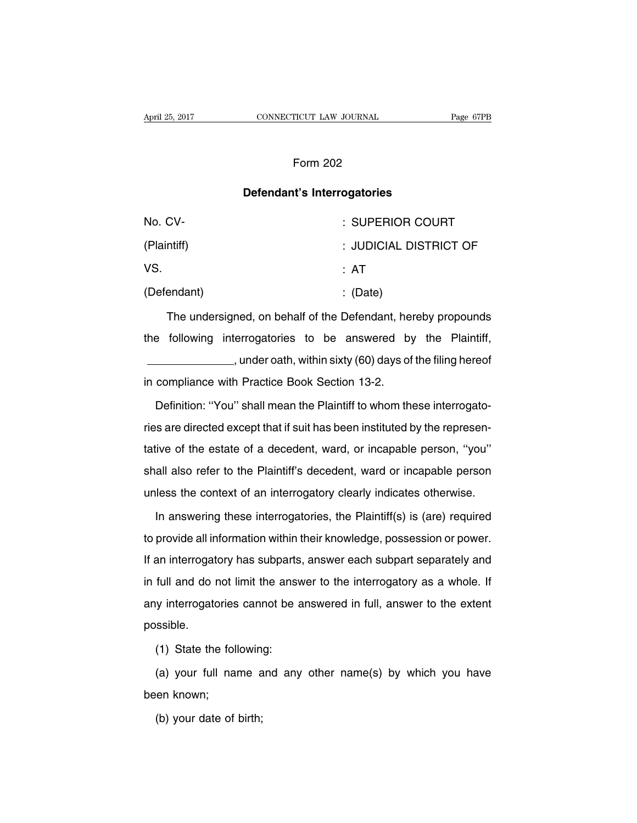## Form 202

#### **Defendant's Interrogatories**

| No. CV-     | : SUPERIOR COURT       |
|-------------|------------------------|
| (Plaintiff) | : JUDICIAL DISTRICT OF |
| VS.         | : AT                   |
| (Defendant) | $\therefore$ (Date)    |

The undersigned, on behalf of the Defendant, hereby propounds the following interrogatories to be answered by the Plaintiff, (60) days of the filing hereof patch within sixty (60) days of the filing hereof in compliance with Practice Book Section 13-2.

Definition: ''You'' shall mean the Plaintiff to whom these interrogatories are directed except that if suit has been instituted by the representative of the estate of a decedent, ward, or incapable person, ''you'' shall also refer to the Plaintiff's decedent, ward or incapable person unless the context of an interrogatory clearly indicates otherwise.

In answering these interrogatories, the Plaintiff(s) is (are) required to provide all information within their knowledge, possession or power. If an interrogatory has subparts, answer each subpart separately and in full and do not limit the answer to the interrogatory as a whole. If any interrogatories cannot be answered in full, answer to the extent possible.

(1) State the following:

(a) your full name and any other name(s) by which you have been known;

(b) your date of birth;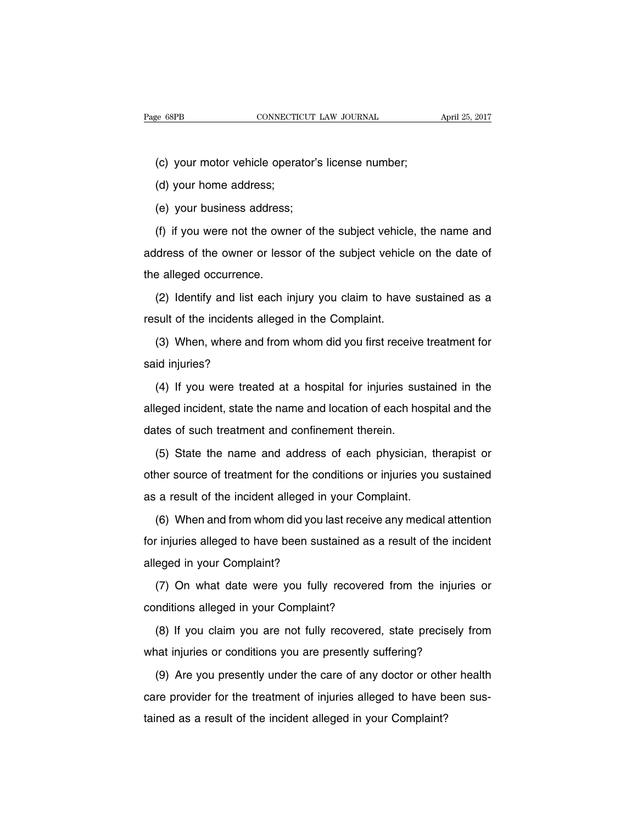(c) your motor vehicle operator's license number;

(d) your home address;

(e) your business address;

(f) if you were not the owner of the subject vehicle, the name and address of the owner or lessor of the subject vehicle on the date of the alleged occurrence.

(2) Identify and list each injury you claim to have sustained as a result of the incidents alleged in the Complaint.

(3) When, where and from whom did you first receive treatment for said injuries?

(4) If you were treated at a hospital for injuries sustained in the alleged incident, state the name and location of each hospital and the dates of such treatment and confinement therein.

(5) State the name and address of each physician, therapist or other source of treatment for the conditions or injuries you sustained as a result of the incident alleged in your Complaint.

(6) When and from whom did you last receive any medical attention for injuries alleged to have been sustained as a result of the incident alleged in your Complaint?

(7) On what date were you fully recovered from the injuries or conditions alleged in your Complaint?

(8) If you claim you are not fully recovered, state precisely from what injuries or conditions you are presently suffering?

(9) Are you presently under the care of any doctor or other health care provider for the treatment of injuries alleged to have been sustained as a result of the incident alleged in your Complaint?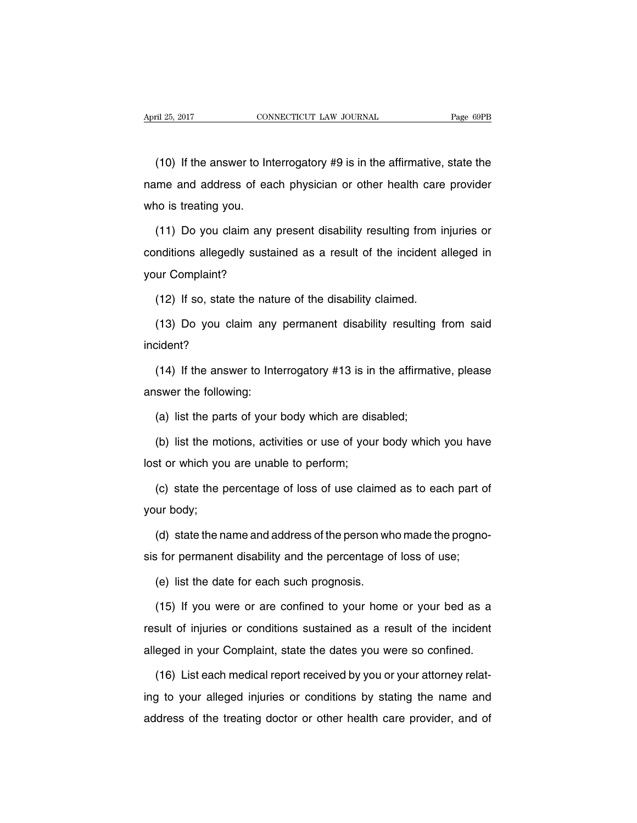(10) If the answer to Interrogatory #9 is in the affirmative, state the name and address of each physician or other health care provider who is treating you.

(11) Do you claim any present disability resulting from injuries or conditions allegedly sustained as a result of the incident alleged in your Complaint?

(12) If so, state the nature of the disability claimed.

(13) Do you claim any permanent disability resulting from said incident?

(14) If the answer to Interrogatory #13 is in the affirmative, please answer the following:

(a) list the parts of your body which are disabled;

(b) list the motions, activities or use of your body which you have lost or which you are unable to perform;

(c) state the percentage of loss of use claimed as to each part of your body;

(d) state the name and address of the person who made the prognosis for permanent disability and the percentage of loss of use;

(e) list the date for each such prognosis.

(15) If you were or are confined to your home or your bed as a result of injuries or conditions sustained as a result of the incident alleged in your Complaint, state the dates you were so confined.

(16) List each medical report received by you or your attorney relating to your alleged injuries or conditions by stating the name and address of the treating doctor or other health care provider, and of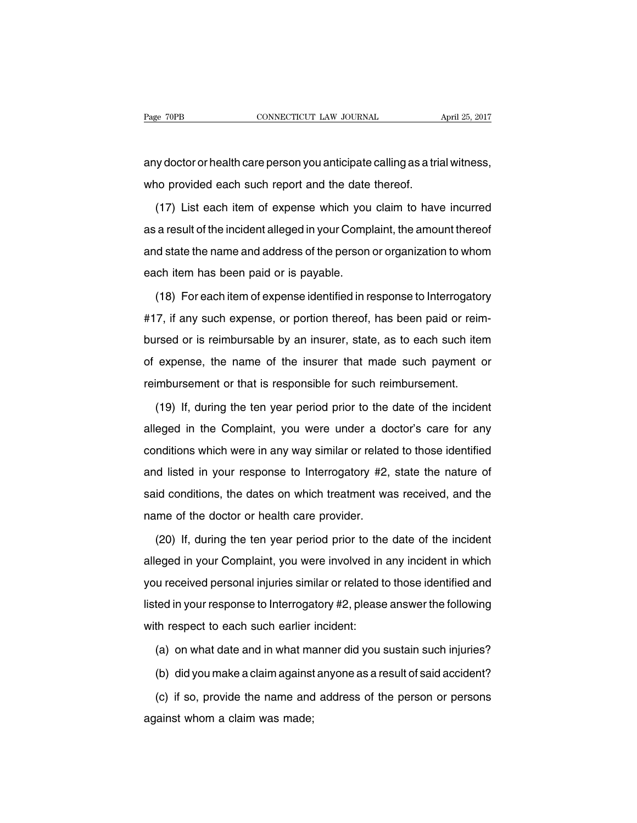any doctor or health care person you anticipate calling as a trial witness, who provided each such report and the date thereof.

(17) List each item of expense which you claim to have incurred as a result of the incident alleged in your Complaint, the amount thereof and state the name and address of the person or organization to whom each item has been paid or is payable.

(18) For each item of expense identified in response to Interrogatory #17, if any such expense, or portion thereof, has been paid or reimbursed or is reimbursable by an insurer, state, as to each such item of expense, the name of the insurer that made such payment or reimbursement or that is responsible for such reimbursement.

(19) If, during the ten year period prior to the date of the incident alleged in the Complaint, you were under a doctor's care for any conditions which were in any way similar or related to those identified and listed in your response to Interrogatory #2, state the nature of said conditions, the dates on which treatment was received, and the name of the doctor or health care provider.

(20) If, during the ten year period prior to the date of the incident alleged in your Complaint, you were involved in any incident in which you received personal injuries similar or related to those identified and listed in your response to Interrogatory #2, please answer the following with respect to each such earlier incident:

(a) on what date and in what manner did you sustain such injuries?

(b) did you make a claim against anyone as a result of said accident?

(c) if so, provide the name and address of the person or persons against whom a claim was made;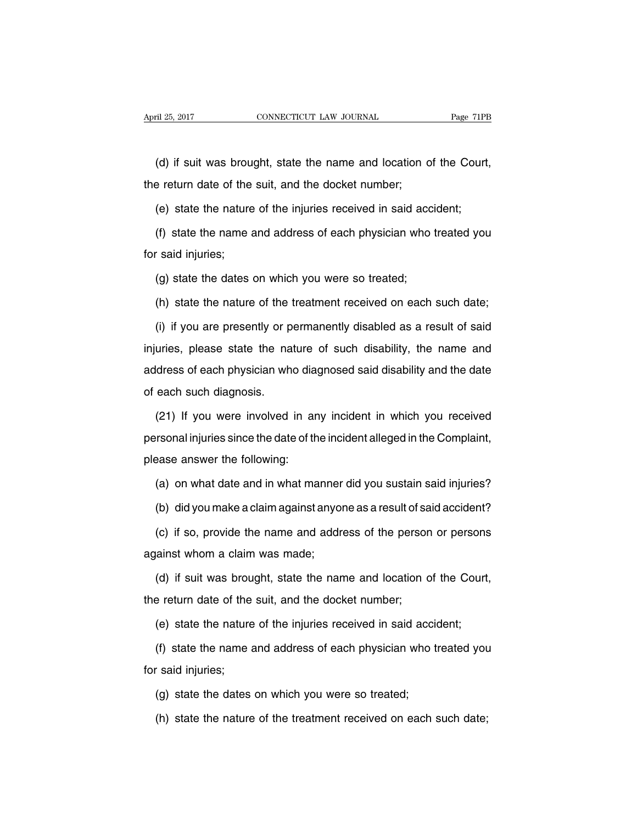(d) if suit was brought, state the name and location of the Court, the return date of the suit, and the docket number;

(e) state the nature of the injuries received in said accident;

(f) state the name and address of each physician who treated you for said injuries;

(g) state the dates on which you were so treated;

(h) state the nature of the treatment received on each such date;

(i) if you are presently or permanently disabled as a result of said injuries, please state the nature of such disability, the name and address of each physician who diagnosed said disability and the date of each such diagnosis.

(21) If you were involved in any incident in which you received personal injuries since the date of the incident alleged in the Complaint, please answer the following:

(a) on what date and in what manner did you sustain said injuries?

(b) did you make a claim against anyone as a result of said accident?

(c) if so, provide the name and address of the person or persons against whom a claim was made;

(d) if suit was brought, state the name and location of the Court, the return date of the suit, and the docket number;

(e) state the nature of the injuries received in said accident;

(f) state the name and address of each physician who treated you for said injuries;

(g) state the dates on which you were so treated;

(h) state the nature of the treatment received on each such date;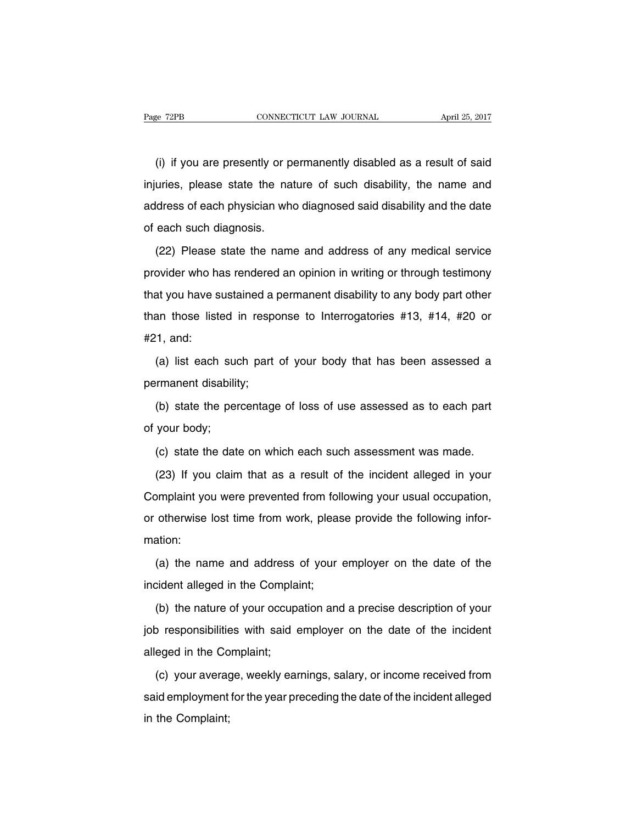(i) if you are presently or permanently disabled as a result of said injuries, please state the nature of such disability, the name and address of each physician who diagnosed said disability and the date of each such diagnosis.

(22) Please state the name and address of any medical service provider who has rendered an opinion in writing or through testimony that you have sustained a permanent disability to any body part other than those listed in response to Interrogatories #13, #14, #20 or #21, and:

(a) list each such part of your body that has been assessed a permanent disability;

(b) state the percentage of loss of use assessed as to each part of your body;

(c) state the date on which each such assessment was made.

(23) If you claim that as a result of the incident alleged in your Complaint you were prevented from following your usual occupation, or otherwise lost time from work, please provide the following information:

(a) the name and address of your employer on the date of the incident alleged in the Complaint;

(b) the nature of your occupation and a precise description of your job responsibilities with said employer on the date of the incident alleged in the Complaint;

(c) your average, weekly earnings, salary, or income received from said employment for the year preceding the date of the incident alleged in the Complaint;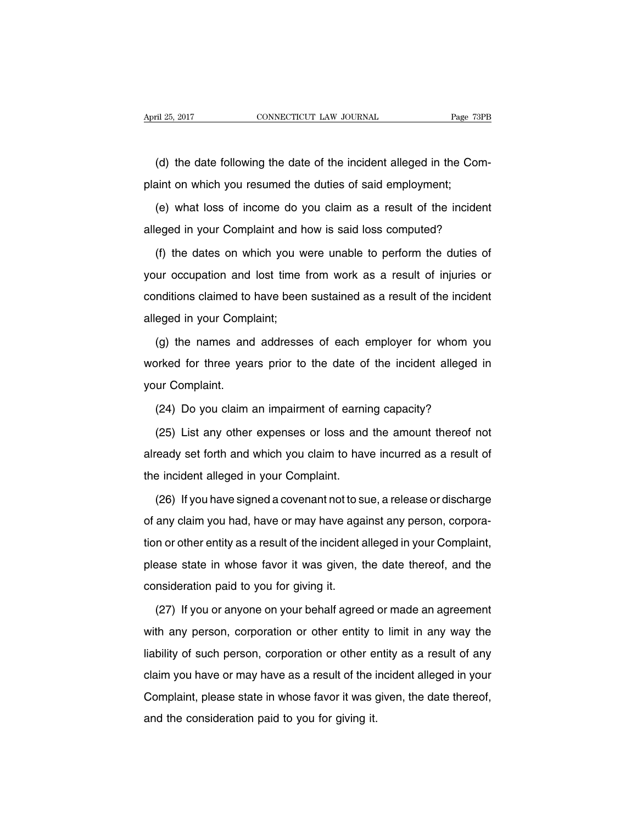(d) the date following the date of the incident alleged in the Complaint on which you resumed the duties of said employment;

(e) what loss of income do you claim as a result of the incident alleged in your Complaint and how is said loss computed?

(f) the dates on which you were unable to perform the duties of your occupation and lost time from work as a result of injuries or conditions claimed to have been sustained as a result of the incident alleged in your Complaint;

(g) the names and addresses of each employer for whom you worked for three years prior to the date of the incident alleged in your Complaint.

(24) Do you claim an impairment of earning capacity?

(25) List any other expenses or loss and the amount thereof not already set forth and which you claim to have incurred as a result of the incident alleged in your Complaint.

(26) If you have signed a covenant not to sue, a release or discharge of any claim you had, have or may have against any person, corporation or other entity as a result of the incident alleged in your Complaint, please state in whose favor it was given, the date thereof, and the consideration paid to you for giving it.

(27) If you or anyone on your behalf agreed or made an agreement with any person, corporation or other entity to limit in any way the liability of such person, corporation or other entity as a result of any claim you have or may have as a result of the incident alleged in your Complaint, please state in whose favor it was given, the date thereof, and the consideration paid to you for giving it.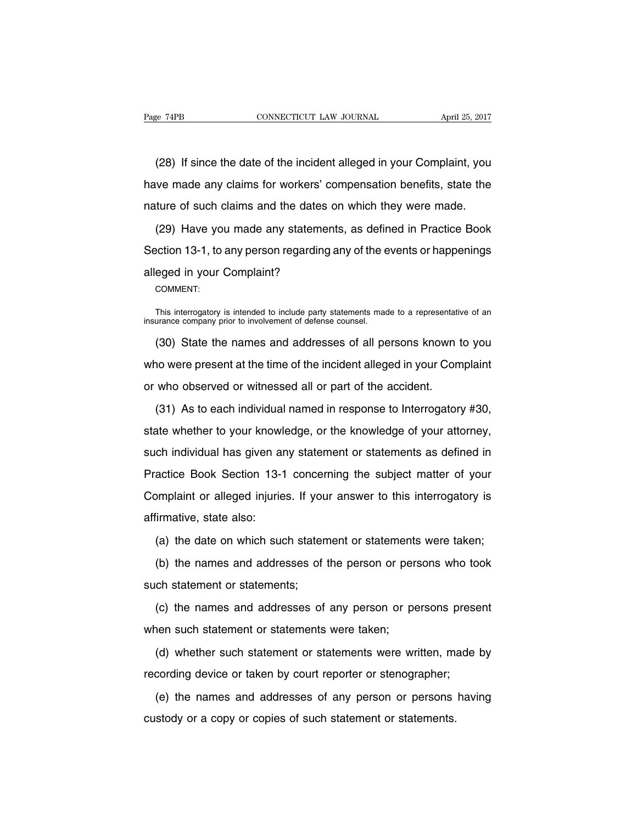(28) If since the date of the incident alleged in your Complaint, you have made any claims for workers' compensation benefits, state the nature of such claims and the dates on which they were made.

(29) Have you made any statements, as defined in Practice Book Section 13-1, to any person regarding any of the events or happenings alleged in your Complaint?

COMMENT:

This interrogatory is intended to include party statements made to a representative of an insurance company prior to involvement of defense counsel.

(30) State the names and addresses of all persons known to you who were present at the time of the incident alleged in your Complaint or who observed or witnessed all or part of the accident.

(31) As to each individual named in response to Interrogatory #30, state whether to your knowledge, or the knowledge of your attorney, such individual has given any statement or statements as defined in Practice Book Section 13-1 concerning the subject matter of your Complaint or alleged injuries. If your answer to this interrogatory is affirmative, state also:

(a) the date on which such statement or statements were taken;

(b) the names and addresses of the person or persons who took such statement or statements;

(c) the names and addresses of any person or persons present when such statement or statements were taken;

(d) whether such statement or statements were written, made by recording device or taken by court reporter or stenographer;

(e) the names and addresses of any person or persons having custody or a copy or copies of such statement or statements.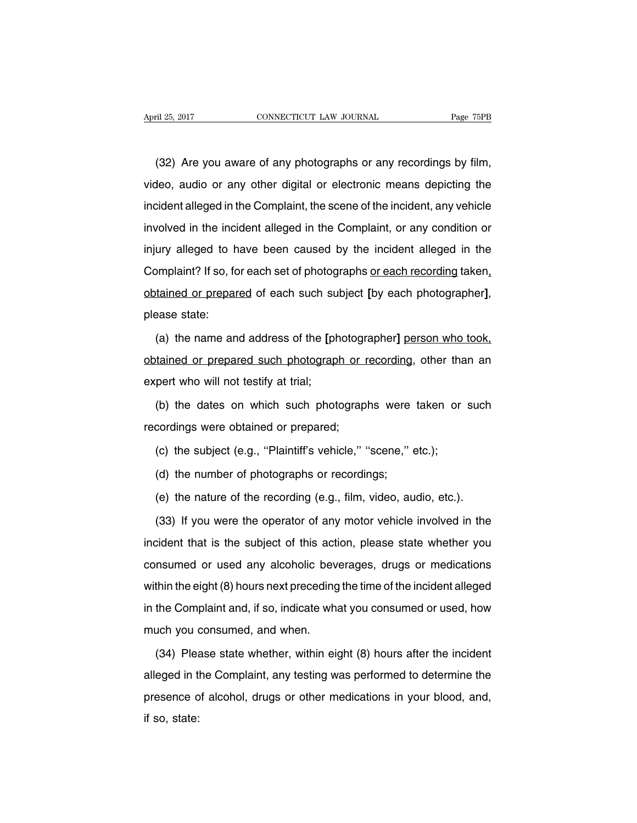(32) Are you aware of any photographs or any recordings by film, video, audio or any other digital or electronic means depicting the incident alleged in the Complaint, the scene of the incident, any vehicle involved in the incident alleged in the Complaint, or any condition or injury alleged to have been caused by the incident alleged in the Complaint? If so, for each set of photographs or each recording taken, obtained or prepared of each such subject **[**by each photographer**]**, please state:

(a) the name and address of the **[**photographer**]** person who took, obtained or prepared such photograph or recording, other than an expert who will not testify at trial;

(b) the dates on which such photographs were taken or such recordings were obtained or prepared;

- (c) the subject (e.g., "Plaintiff's vehicle," "scene," etc.);
- (d) the number of photographs or recordings;
- (e) the nature of the recording (e.g., film, video, audio, etc.).

(33) If you were the operator of any motor vehicle involved in the incident that is the subject of this action, please state whether you consumed or used any alcoholic beverages, drugs or medications within the eight (8) hours next preceding the time of the incident alleged in the Complaint and, if so, indicate what you consumed or used, how much you consumed, and when.

(34) Please state whether, within eight (8) hours after the incident alleged in the Complaint, any testing was performed to determine the presence of alcohol, drugs or other medications in your blood, and, if so, state: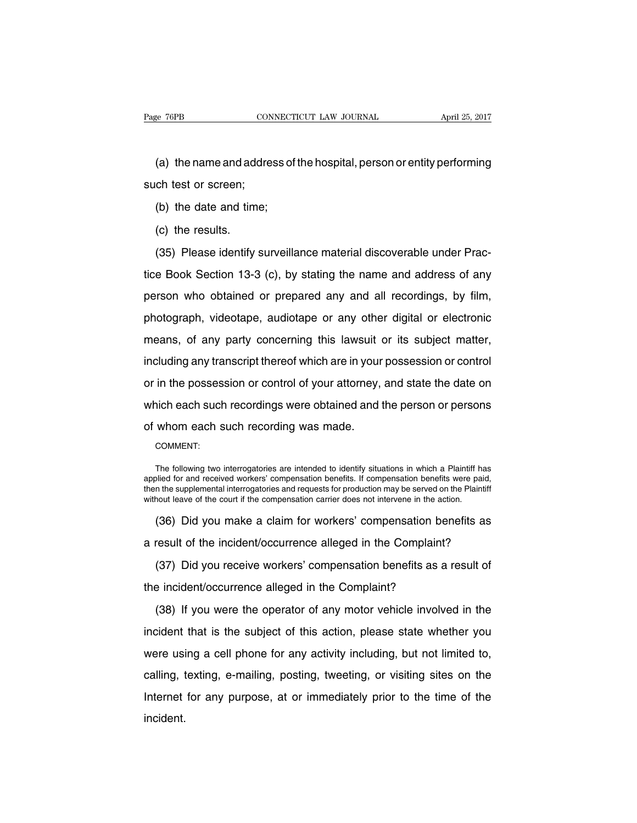(a) the name and address of the hospital, person or entity performing such test or screen;

- (b) the date and time;
- (c) the results.

(35) Please identify surveillance material discoverable under Practice Book Section 13-3 (c), by stating the name and address of any person who obtained or prepared any and all recordings, by film, photograph, videotape, audiotape or any other digital or electronic means, of any party concerning this lawsuit or its subject matter, including any transcript thereof which are in your possession or control or in the possession or control of your attorney, and state the date on which each such recordings were obtained and the person or persons of whom each such recording was made.

COMMENT:

The following two interrogatories are intended to identify situations in which a Plaintiff has applied for and received workers' compensation benefits. If compensation benefits were paid, then the supplemental interrogatories and requests for production may be served on the Plaintiff without leave of the court if the compensation carrier does not intervene in the action.

(36) Did you make a claim for workers' compensation benefits as

a result of the incident/occurrence alleged in the Complaint?

(37) Did you receive workers' compensation benefits as a result of the incident/occurrence alleged in the Complaint?

(38) If you were the operator of any motor vehicle involved in the incident that is the subject of this action, please state whether you were using a cell phone for any activity including, but not limited to, calling, texting, e-mailing, posting, tweeting, or visiting sites on the Internet for any purpose, at or immediately prior to the time of the incident.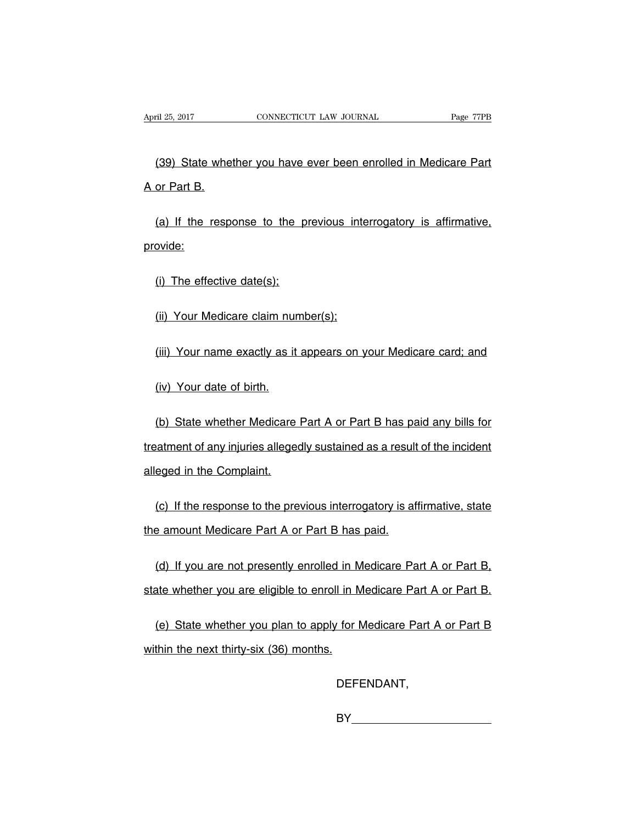(39) State whether you have ever been enrolled in Medicare Part A or Part B.

(a) If the response to the previous interrogatory is affirmative, provide:

(i) The effective date(s);

(ii) Your Medicare claim number(s);

(iii) Your name exactly as it appears on your Medicare card; and

(iv) Your date of birth.

(b) State whether Medicare Part A or Part B has paid any bills for treatment of any injuries allegedly sustained as a result of the incident alleged in the Complaint.

(c) If the response to the previous interrogatory is affirmative, state the amount Medicare Part A or Part B has paid.

(d) If you are not presently enrolled in Medicare Part A or Part B, state whether you are eligible to enroll in Medicare Part A or Part B.

(e) State whether you plan to apply for Medicare Part A or Part B within the next thirty-six (36) months.

DEFENDANT,

**BY\_\_\_\_\_\_\_\_\_\_\_\_\_\_\_\_\_\_\_\_\_\_\_\_\_\_\_\_**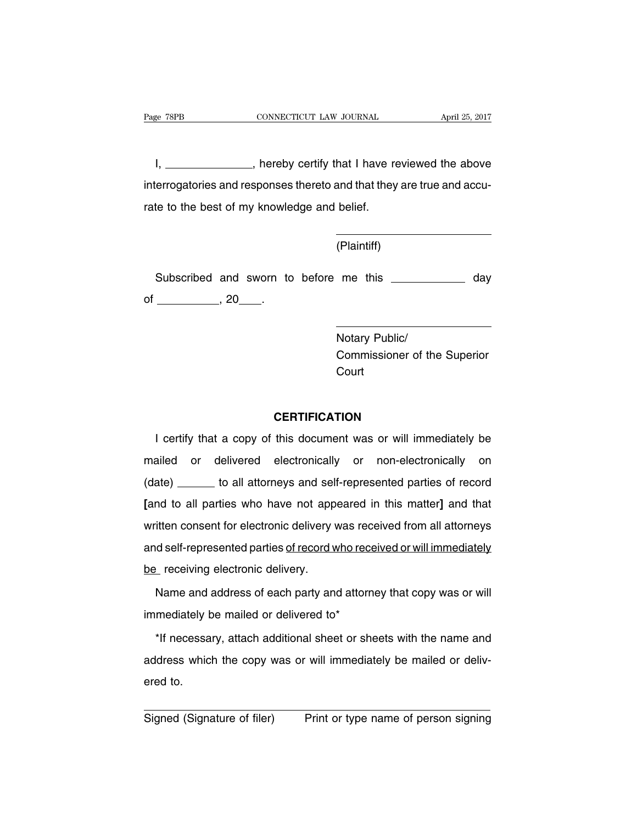I, \_\_\_\_\_\_\_\_\_\_\_\_\_\_, hereby certify that I have reviewed the above interrogatories and responses thereto and that they are true and accurate to the best of my knowledge and belief.

(Plaintiff)

Subscribed and sworn to before me this **constantly day** day of \_\_\_\_\_\_\_\_\_\_\_\_\_\_, 20\_\_\_\_\_.

> Notary Public/ Commissioner of the Superior **Court**

## **CERTIFICATION**

I certify that a copy of this document was or will immediately be mailed or delivered electronically or non-electronically on (date) \_\_\_\_\_\_ to all attorneys and self-represented parties of record **[**and to all parties who have not appeared in this matter**]** and that written consent for electronic delivery was received from all attorneys and self-represented parties of record who received or will immediately be receiving electronic delivery.

Name and address of each party and attorney that copy was or will immediately be mailed or delivered to\*

\*If necessary, attach additional sheet or sheets with the name and address which the copy was or will immediately be mailed or delivered to.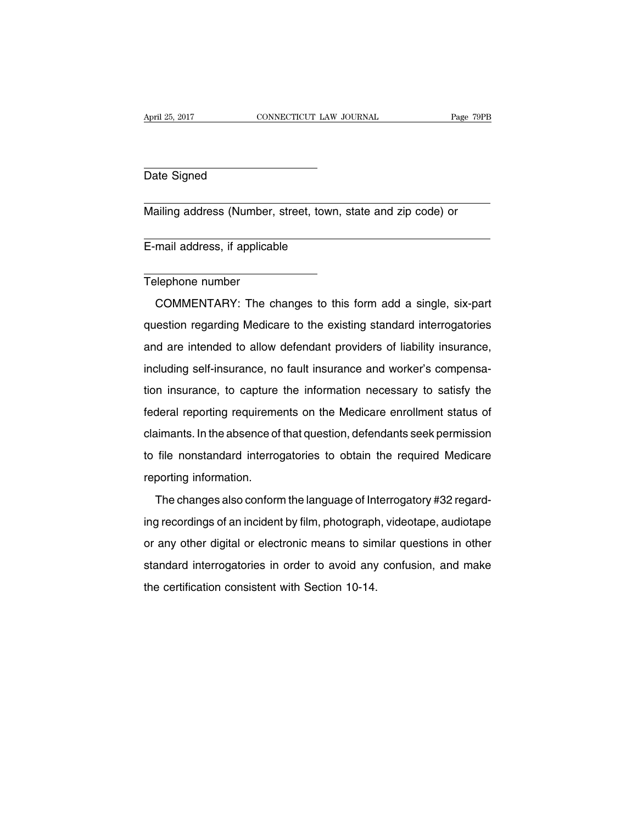#### Date Signed

Mailing address (Number, street, town, state and zip code) or

E-mail address, if applicable

#### Telephone number

COMMENTARY: The changes to this form add a single, six-part question regarding Medicare to the existing standard interrogatories and are intended to allow defendant providers of liability insurance, including self-insurance, no fault insurance and worker's compensation insurance, to capture the information necessary to satisfy the federal reporting requirements on the Medicare enrollment status of claimants. In the absence of that question, defendants seek permission to file nonstandard interrogatories to obtain the required Medicare reporting information.

The changes also conform the language of Interrogatory #32 regarding recordings of an incident by film, photograph, videotape, audiotape or any other digital or electronic means to similar questions in other standard interrogatories in order to avoid any confusion, and make the certification consistent with Section 10-14.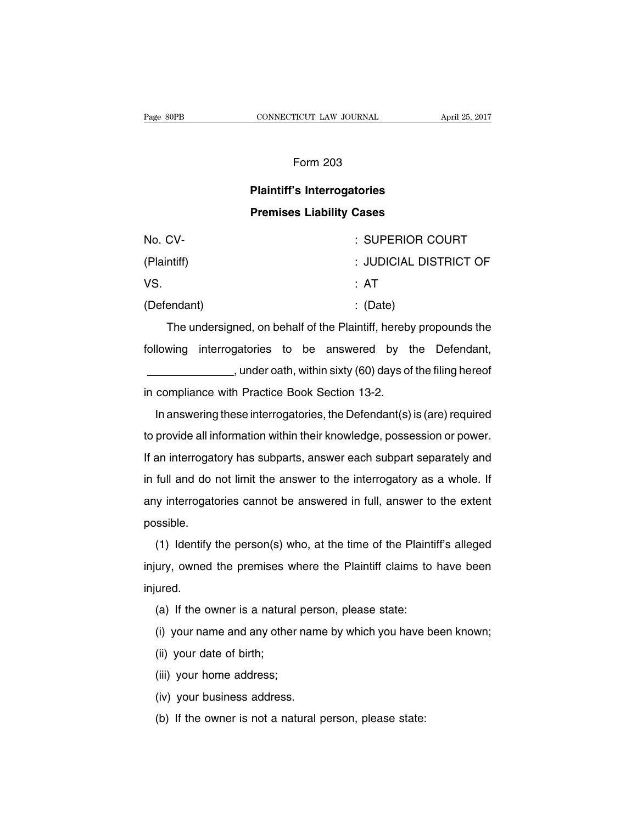## Form 203

# **Plaintiff's Interrogatories Premises Liability Cases**

| No. CV-     | : SUPERIOR COURT       |
|-------------|------------------------|
| (Plaintiff) | : JUDICIAL DISTRICT OF |
| VS.         | :AT                    |
| (Defendant) | $\therefore$ (Date)    |

The undersigned, on behalf of the Plaintiff, hereby propounds the following interrogatories to be answered by the Defendant, , under oath, within sixty (60) days of the filing hereof in compliance with Practice Book Section 13-2.

In answering these interrogatories, the Defendant(s) is (are) required to provide all information within their knowledge, possession or power. If an interrogatory has subparts, answer each subpart separately and in full and do not limit the answer to the interrogatory as a whole. If any interrogatories cannot be answered in full, answer to the extent possible.

(1) Identify the person(s) who, at the time of the Plaintiff's alleged injury, owned the premises where the Plaintiff claims to have been injured.

- (a) If the owner is a natural person, please state:
- (i) your name and any other name by which you have been known;
- (ii) your date of birth;
- (iii) your home address;
- (iv) your business address.
- (b) If the owner is not a natural person, please state: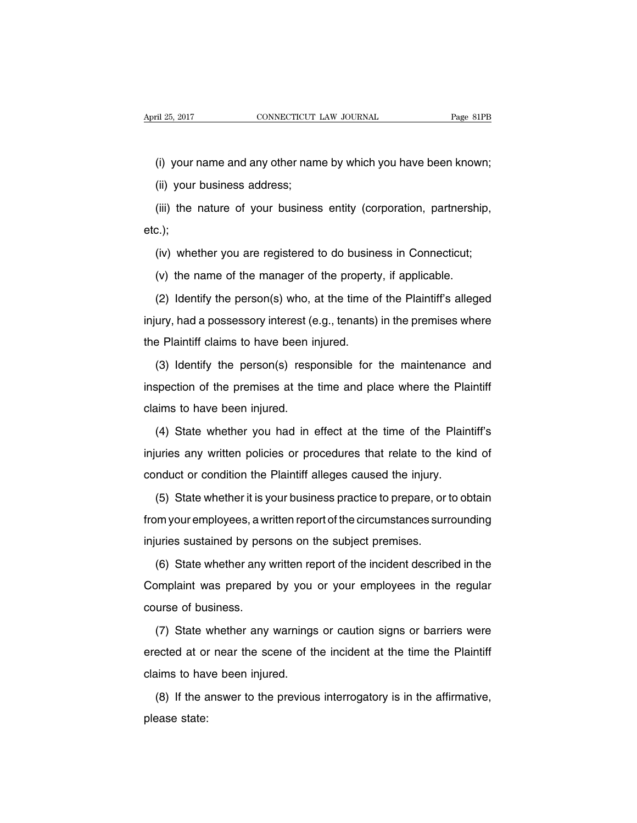(i) your name and any other name by which you have been known;

(ii) your business address;

(iii) the nature of your business entity (corporation, partnership, etc.);

(iv) whether you are registered to do business in Connecticut;

(v) the name of the manager of the property, if applicable.

(2) Identify the person(s) who, at the time of the Plaintiff's alleged injury, had a possessory interest (e.g., tenants) in the premises where the Plaintiff claims to have been injured.

(3) Identify the person(s) responsible for the maintenance and inspection of the premises at the time and place where the Plaintiff claims to have been injured.

(4) State whether you had in effect at the time of the Plaintiff's injuries any written policies or procedures that relate to the kind of conduct or condition the Plaintiff alleges caused the injury.

(5) State whether it is your business practice to prepare, or to obtain from your employees, a written report of the circumstances surrounding injuries sustained by persons on the subject premises.

(6) State whether any written report of the incident described in the Complaint was prepared by you or your employees in the regular course of business.

(7) State whether any warnings or caution signs or barriers were erected at or near the scene of the incident at the time the Plaintiff claims to have been injured.

(8) If the answer to the previous interrogatory is in the affirmative, please state: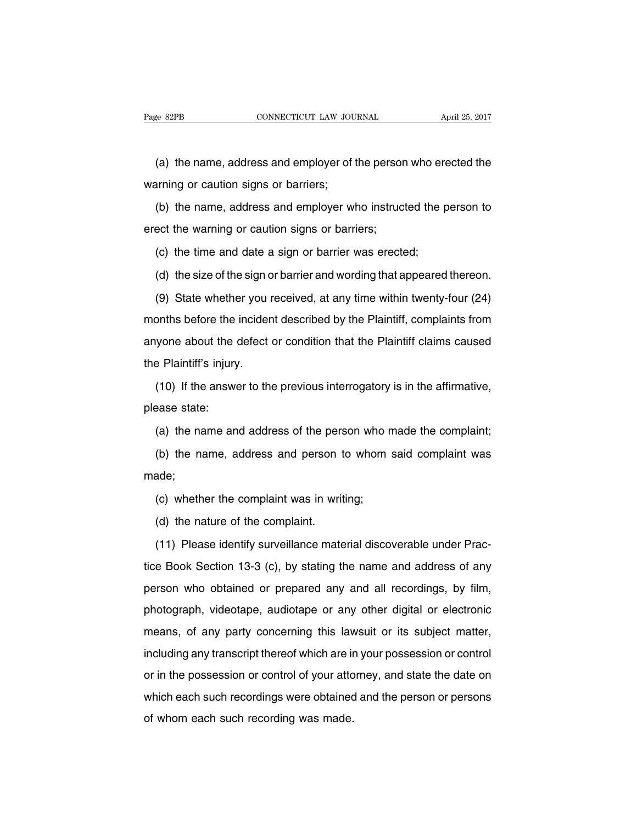(a) the name, address and employer of the person who erected the warning or caution signs or barriers;

(b) the name, address and employer who instructed the person to erect the warning or caution signs or barriers;

(c) the time and date a sign or barrier was erected;

(d) the size of the sign or barrier and wording that appeared thereon.

(9) State whether you received, at any time within twenty-four (24) months before the incident described by the Plaintiff, complaints from anyone about the defect or condition that the Plaintiff claims caused the Plaintiff's injury.

(10) If the answer to the previous interrogatory is in the affirmative, please state:

(a) the name and address of the person who made the complaint;

(b) the name, address and person to whom said complaint was made;

(c) whether the complaint was in writing;

(d) the nature of the complaint.

(11) Please identify surveillance material discoverable under Practice Book Section 13-3 (c), by stating the name and address of any person who obtained or prepared any and all recordings, by film, photograph, videotape, audiotape or any other digital or electronic means, of any party concerning this lawsuit or its subject matter, including any transcript thereof which are in your possession or control or in the possession or control of your attorney, and state the date on which each such recordings were obtained and the person or persons of whom each such recording was made.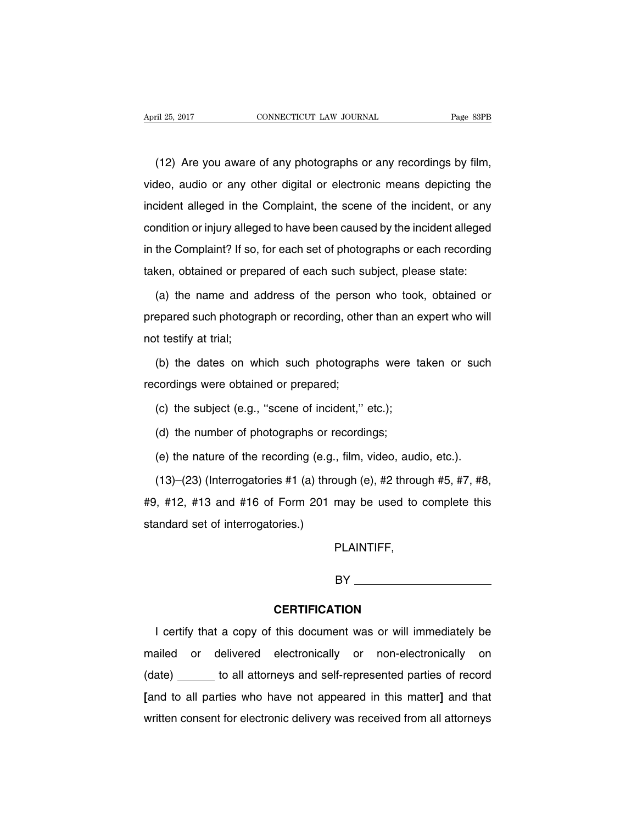(12) Are you aware of any photographs or any recordings by film, video, audio or any other digital or electronic means depicting the incident alleged in the Complaint, the scene of the incident, or any condition or injury alleged to have been caused by the incident alleged in the Complaint? If so, for each set of photographs or each recording taken, obtained or prepared of each such subject, please state:

(a) the name and address of the person who took, obtained or prepared such photograph or recording, other than an expert who will not testify at trial;

(b) the dates on which such photographs were taken or such recordings were obtained or prepared;

(c) the subject (e.g., ''scene of incident,'' etc.);

(d) the number of photographs or recordings;

(e) the nature of the recording (e.g., film, video, audio, etc.).

(13)–(23) (Interrogatories #1 (a) through (e), #2 through #5, #7, #8, #9, #12, #13 and #16 of Form 201 may be used to complete this standard set of interrogatories.)

PLAINTIFF,

BY

#### **CERTIFICATION**

I certify that a copy of this document was or will immediately be mailed or delivered electronically or non-electronically on (date) to all attorneys and self-represented parties of record **[**and to all parties who have not appeared in this matter**]** and that written consent for electronic delivery was received from all attorneys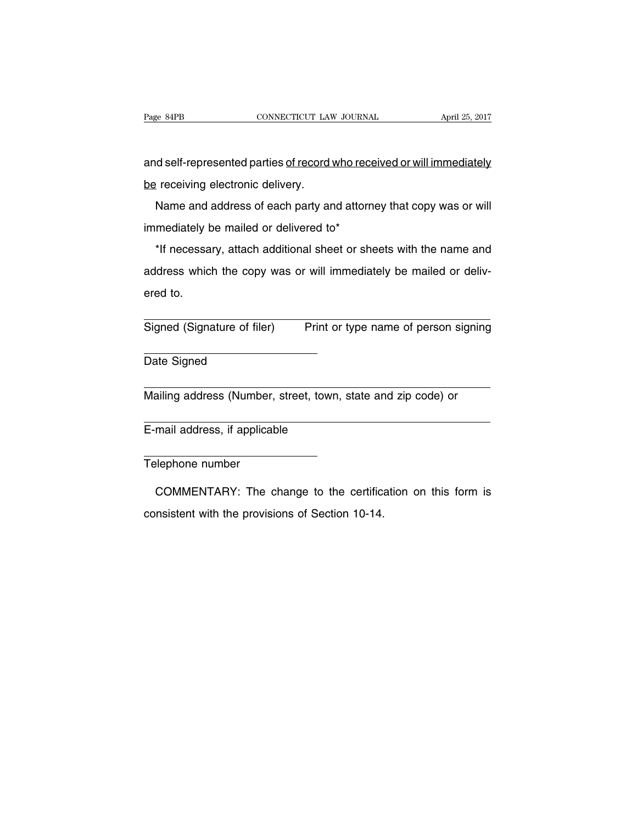and self-represented parties of record who received or will immediately be receiving electronic delivery.

Name and address of each party and attorney that copy was or will immediately be mailed or delivered to\*

\*If necessary, attach additional sheet or sheets with the name and address which the copy was or will immediately be mailed or delivered to.

Signed (Signature of filer) Print or type name of person signing

Date Signed

Mailing address (Number, street, town, state and zip code) or

E-mail address, if applicable

Telephone number

COMMENTARY: The change to the certification on this form is consistent with the provisions of Section 10-14.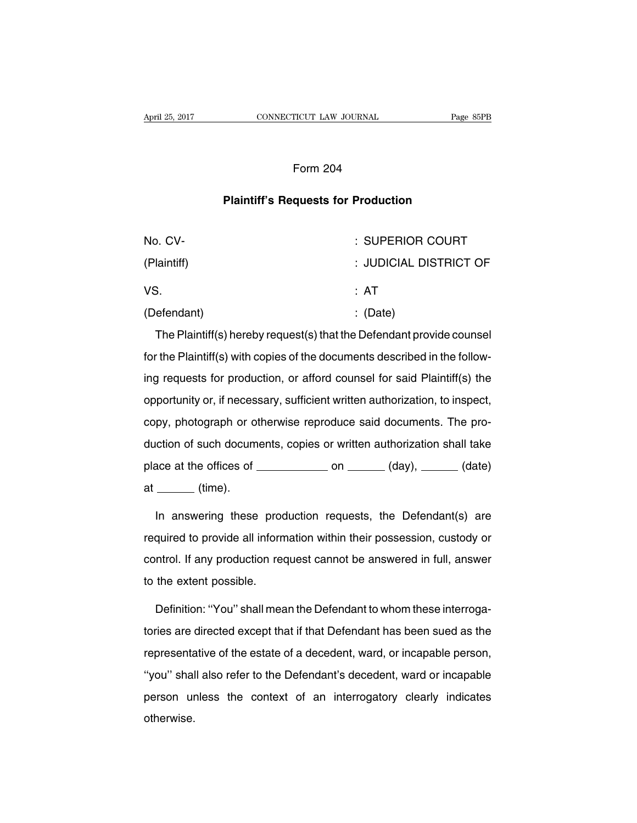#### Form 204

#### **Plaintiff's Requests for Production**

| No. CV-     | : SUPERIOR COURT       |
|-------------|------------------------|
| (Plaintiff) | : JUDICIAL DISTRICT OF |
| VS.         | : AT                   |
| (Defendant) | $\therefore$ (Date)    |

The Plaintiff(s) hereby request(s) that the Defendant provide counsel for the Plaintiff(s) with copies of the documents described in the following requests for production, or afford counsel for said Plaintiff(s) the opportunity or, if necessary, sufficient written authorization, to inspect, copy, photograph or otherwise reproduce said documents. The production of such documents, copies or written authorization shall take place at the offices of  $\_\_\_\_\_$  on  $\_\_\_\_\_$  (day),  $\_\_\_\_\_$  (date)  $at$   $(time)$ .

In answering these production requests, the Defendant(s) are required to provide all information within their possession, custody or control. If any production request cannot be answered in full, answer to the extent possible.

Definition: ''You'' shall mean the Defendant to whom these interrogatories are directed except that if that Defendant has been sued as the representative of the estate of a decedent, ward, or incapable person, ''you'' shall also refer to the Defendant's decedent, ward or incapable person unless the context of an interrogatory clearly indicates otherwise.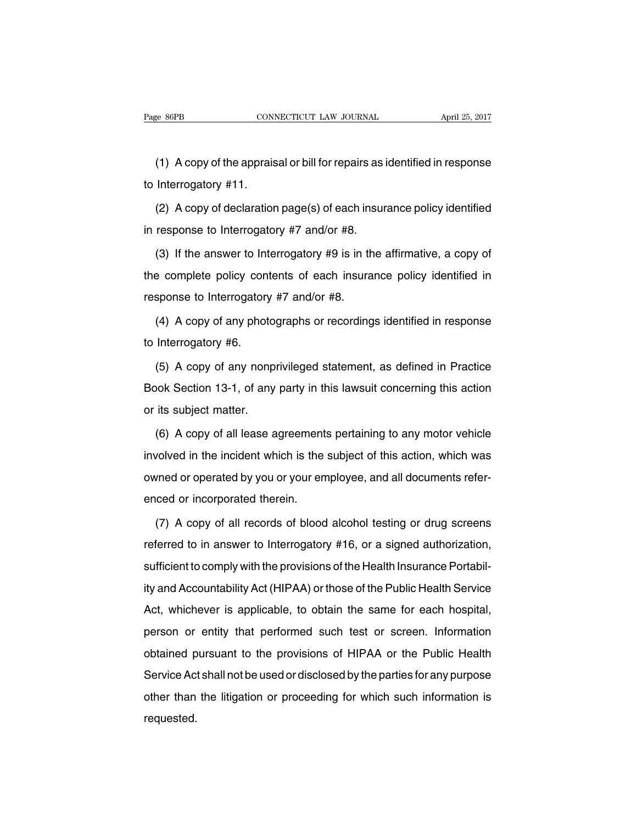(1) A copy of the appraisal or bill for repairs as identified in response to Interrogatory #11.

(2) A copy of declaration page(s) of each insurance policy identified in response to Interrogatory #7 and/or #8.

(3) If the answer to Interrogatory #9 is in the affirmative, a copy of the complete policy contents of each insurance policy identified in response to Interrogatory #7 and/or #8.

(4) A copy of any photographs or recordings identified in response to Interrogatory #6.

(5) A copy of any nonprivileged statement, as defined in Practice Book Section 13-1, of any party in this lawsuit concerning this action or its subject matter.

(6) A copy of all lease agreements pertaining to any motor vehicle involved in the incident which is the subject of this action, which was owned or operated by you or your employee, and all documents referenced or incorporated therein.

(7) A copy of all records of blood alcohol testing or drug screens referred to in answer to Interrogatory #16, or a signed authorization, sufficient to comply with the provisions of the Health Insurance Portability and Accountability Act (HIPAA) or those of the Public Health Service Act, whichever is applicable, to obtain the same for each hospital, person or entity that performed such test or screen. Information obtained pursuant to the provisions of HIPAA or the Public Health Service Act shall not be used or disclosed by the parties for any purpose other than the litigation or proceeding for which such information is requested.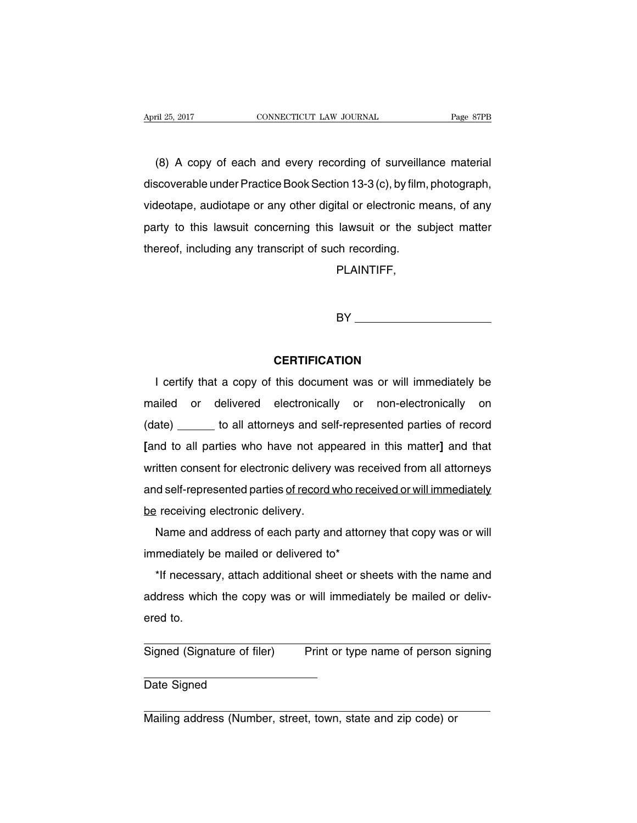(8) A copy of each and every recording of surveillance material discoverable under Practice Book Section 13-3 (c), by film, photograph, videotape, audiotape or any other digital or electronic means, of any party to this lawsuit concerning this lawsuit or the subject matter thereof, including any transcript of such recording.

PLAINTIFF,

BY **Example 20** 

# **CERTIFICATION**

I certify that a copy of this document was or will immediately be mailed or delivered electronically or non-electronically on (date) to all attorneys and self-represented parties of record **[**and to all parties who have not appeared in this matter**]** and that written consent for electronic delivery was received from all attorneys and self-represented parties of record who received or will immediately be receiving electronic delivery.

Name and address of each party and attorney that copy was or will immediately be mailed or delivered to\*

\*If necessary, attach additional sheet or sheets with the name and address which the copy was or will immediately be mailed or delivered to.

Signed (Signature of filer) Print or type name of person signing

Date Signed

Mailing address (Number, street, town, state and zip code) or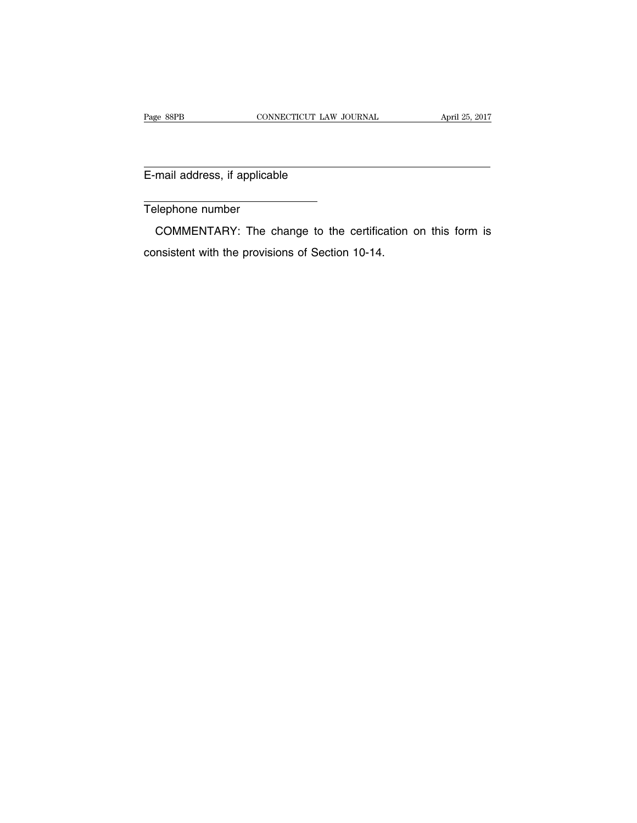E-mail address, if applicable

Telephone number

COMMENTARY: The change to the certification on this form is consistent with the provisions of Section 10-14.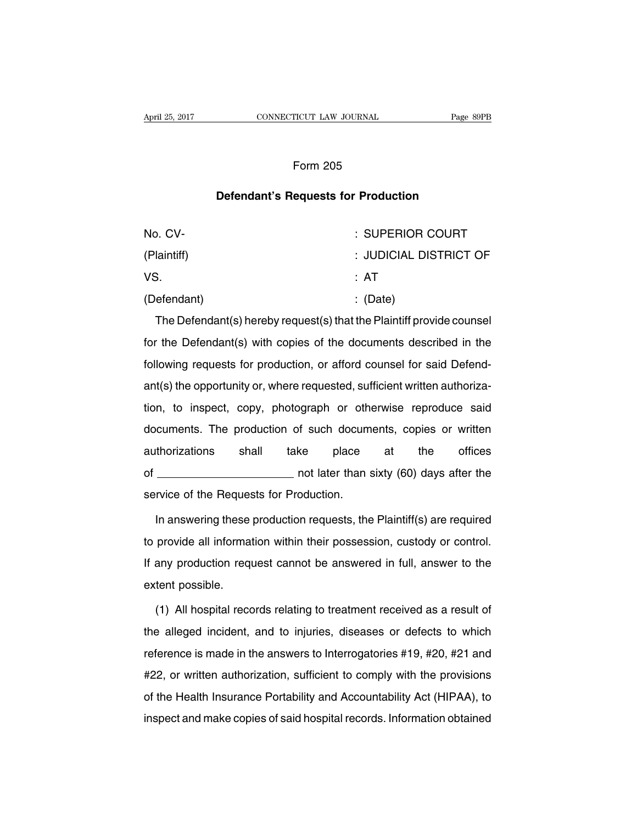### Form 205

## **Defendant's Requests for Production**

| No. CV-     | : SUPERIOR COURT       |
|-------------|------------------------|
| (Plaintiff) | : JUDICIAL DISTRICT OF |
| VS.         | : AT                   |
| (Defendant) | $\therefore$ (Date)    |

The Defendant(s) hereby request(s) that the Plaintiff provide counsel for the Defendant(s) with copies of the documents described in the following requests for production, or afford counsel for said Defendant(s) the opportunity or, where requested, sufficient written authorization, to inspect, copy, photograph or otherwise reproduce said documents. The production of such documents, copies or written authorizations shall take place at the offices of not later than sixty (60) days after the service of the Requests for Production.

In answering these production requests, the Plaintiff(s) are required to provide all information within their possession, custody or control. If any production request cannot be answered in full, answer to the extent possible.

(1) All hospital records relating to treatment received as a result of the alleged incident, and to injuries, diseases or defects to which reference is made in the answers to Interrogatories #19, #20, #21 and #22, or written authorization, sufficient to comply with the provisions of the Health Insurance Portability and Accountability Act (HIPAA), to inspect and make copies of said hospital records. Information obtained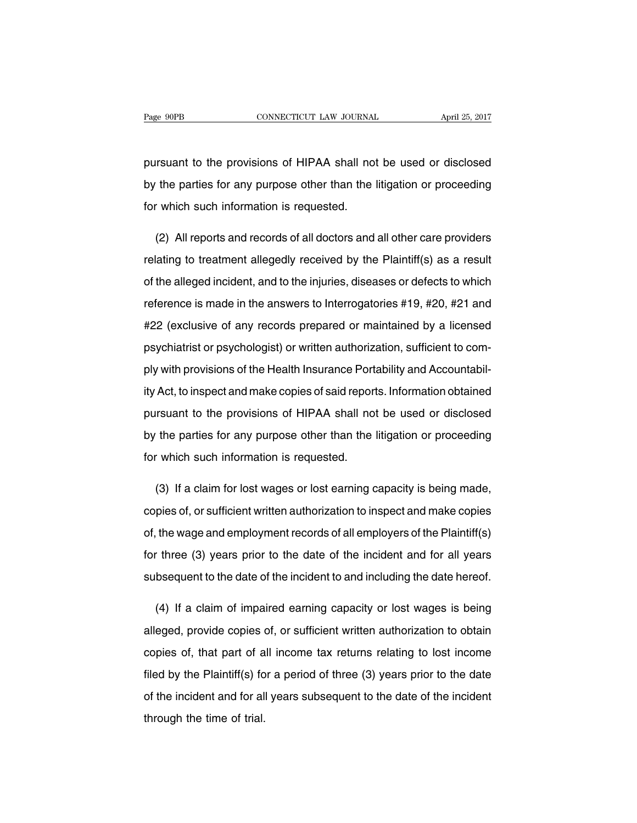pursuant to the provisions of HIPAA shall not be used or disclosed by the parties for any purpose other than the litigation or proceeding for which such information is requested.

(2) All reports and records of all doctors and all other care providers relating to treatment allegedly received by the Plaintiff(s) as a result of the alleged incident, and to the injuries, diseases or defects to which reference is made in the answers to Interrogatories #19, #20, #21 and #22 (exclusive of any records prepared or maintained by a licensed psychiatrist or psychologist) or written authorization, sufficient to comply with provisions of the Health Insurance Portability and Accountability Act, to inspect and make copies of said reports. Information obtained pursuant to the provisions of HIPAA shall not be used or disclosed by the parties for any purpose other than the litigation or proceeding for which such information is requested.

(3) If a claim for lost wages or lost earning capacity is being made, copies of, or sufficient written authorization to inspect and make copies of, the wage and employment records of all employers of the Plaintiff(s) for three (3) years prior to the date of the incident and for all years subsequent to the date of the incident to and including the date hereof.

(4) If a claim of impaired earning capacity or lost wages is being alleged, provide copies of, or sufficient written authorization to obtain copies of, that part of all income tax returns relating to lost income filed by the Plaintiff(s) for a period of three (3) years prior to the date of the incident and for all years subsequent to the date of the incident through the time of trial.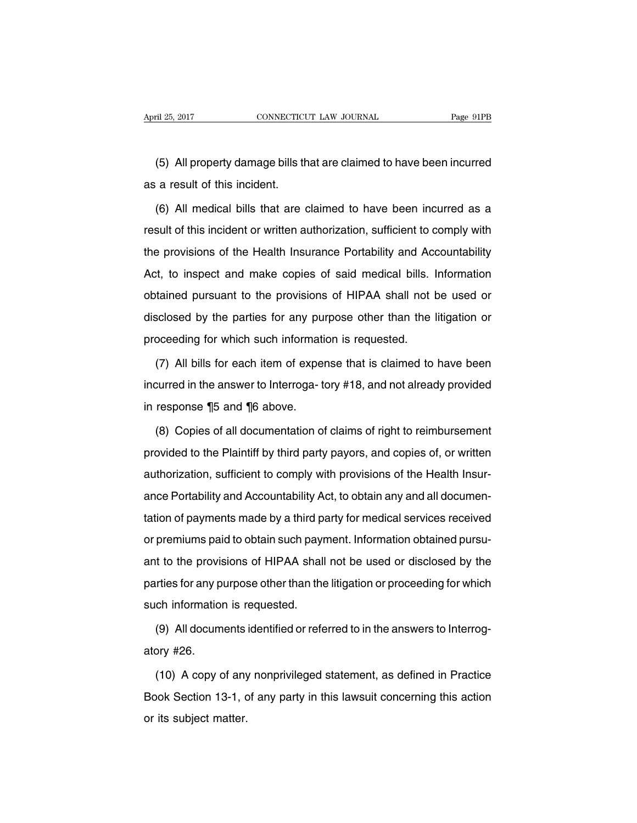(5) All property damage bills that are claimed to have been incurred as a result of this incident.

(6) All medical bills that are claimed to have been incurred as a result of this incident or written authorization, sufficient to comply with the provisions of the Health Insurance Portability and Accountability Act, to inspect and make copies of said medical bills. Information obtained pursuant to the provisions of HIPAA shall not be used or disclosed by the parties for any purpose other than the litigation or proceeding for which such information is requested.

(7) All bills for each item of expense that is claimed to have been incurred in the answer to Interroga- tory #18, and not already provided in response ¶5 and ¶6 above.

(8) Copies of all documentation of claims of right to reimbursement provided to the Plaintiff by third party payors, and copies of, or written authorization, sufficient to comply with provisions of the Health Insurance Portability and Accountability Act, to obtain any and all documentation of payments made by a third party for medical services received or premiums paid to obtain such payment. Information obtained pursuant to the provisions of HIPAA shall not be used or disclosed by the parties for any purpose other than the litigation or proceeding for which such information is requested.

(9) All documents identified or referred to in the answers to Interrogatory #26.

(10) A copy of any nonprivileged statement, as defined in Practice Book Section 13-1, of any party in this lawsuit concerning this action or its subject matter.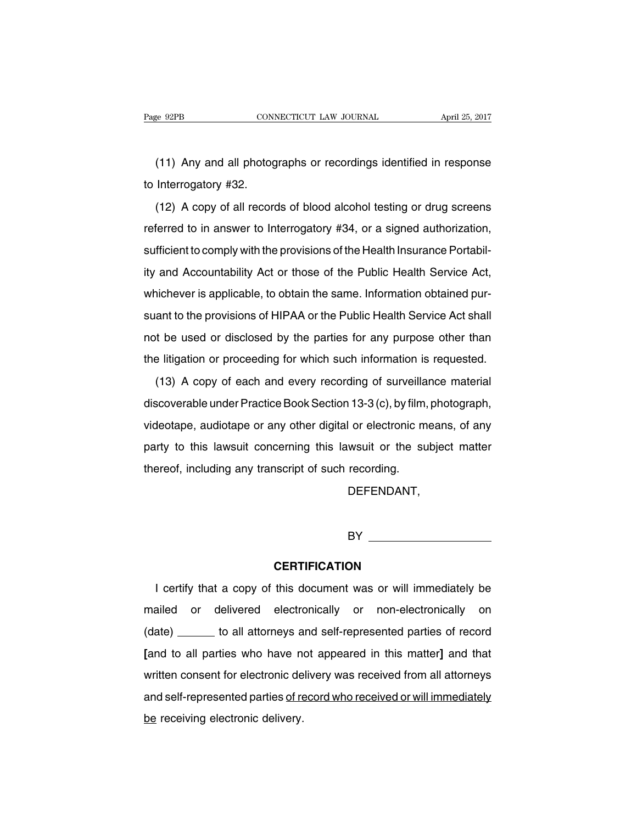(11) Any and all photographs or recordings identified in response to Interrogatory #32.

(12) A copy of all records of blood alcohol testing or drug screens referred to in answer to Interrogatory #34, or a signed authorization, sufficient to comply with the provisions of the Health Insurance Portability and Accountability Act or those of the Public Health Service Act, whichever is applicable, to obtain the same. Information obtained pursuant to the provisions of HIPAA or the Public Health Service Act shall not be used or disclosed by the parties for any purpose other than the litigation or proceeding for which such information is requested.

(13) A copy of each and every recording of surveillance material discoverable under Practice Book Section 13-3 (c), by film, photograph, videotape, audiotape or any other digital or electronic means, of any party to this lawsuit concerning this lawsuit or the subject matter thereof, including any transcript of such recording.

DEFENDANT,

BY **Example 2008** 

#### **CERTIFICATION**

I certify that a copy of this document was or will immediately be mailed or delivered electronically or non-electronically on (date) \_\_\_\_\_\_ to all attorneys and self-represented parties of record **[**and to all parties who have not appeared in this matter**]** and that written consent for electronic delivery was received from all attorneys and self-represented parties of record who received or will immediately be receiving electronic delivery.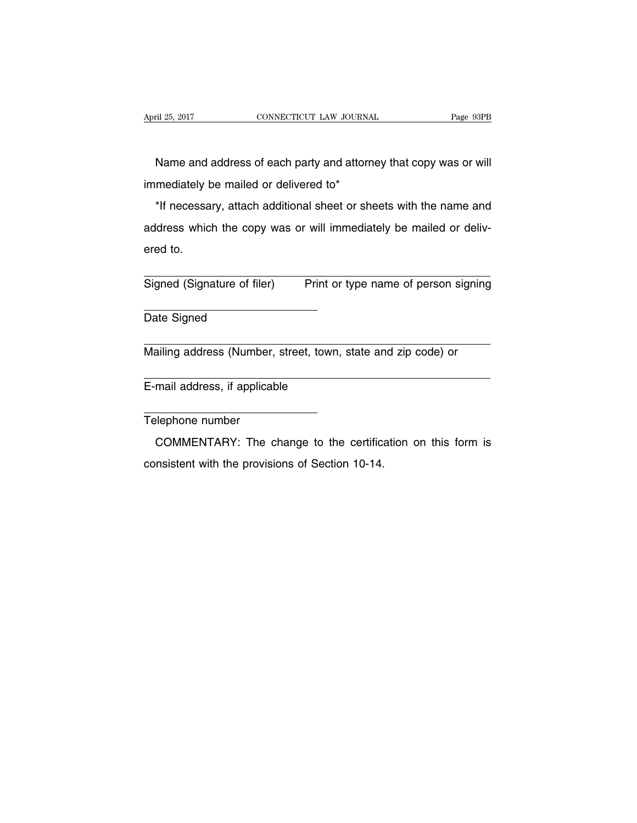Name and address of each party and attorney that copy was or will immediately be mailed or delivered to\*

\*If necessary, attach additional sheet or sheets with the name and address which the copy was or will immediately be mailed or delivered to.

Signed (Signature of filer) Print or type name of person signing

Date Signed

Mailing address (Number, street, town, state and zip code) or

E-mail address, if applicable

Telephone number

COMMENTARY: The change to the certification on this form is consistent with the provisions of Section 10-14.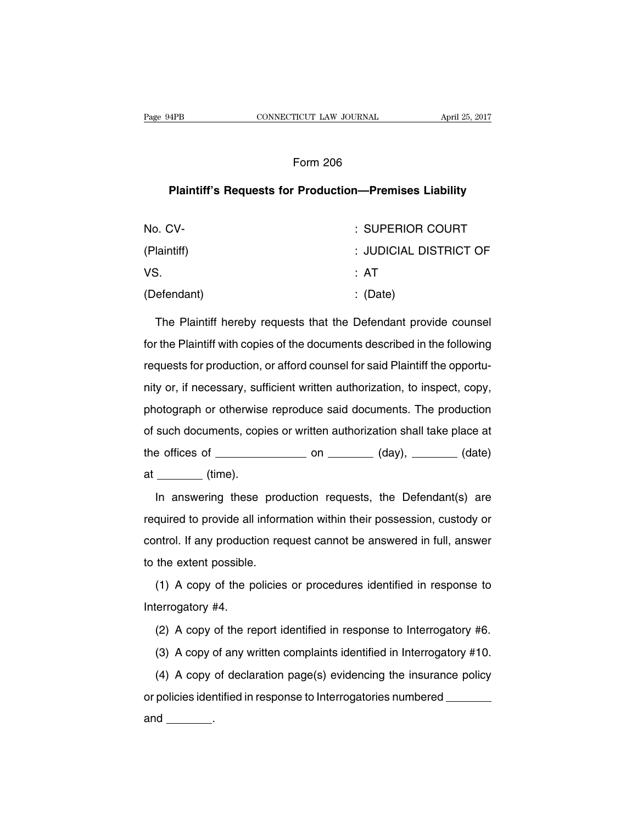#### Form 206

#### **Plaintiff's Requests for Production—Premises Liability**

| No. CV-     | : SUPERIOR COURT       |
|-------------|------------------------|
| (Plaintiff) | : JUDICIAL DISTRICT OF |
| VS.         | : AT                   |
| (Defendant) | $\therefore$ (Date)    |

The Plaintiff hereby requests that the Defendant provide counsel for the Plaintiff with copies of the documents described in the following requests for production, or afford counsel for said Plaintiff the opportunity or, if necessary, sufficient written authorization, to inspect, copy, photograph or otherwise reproduce said documents. The production of such documents, copies or written authorization shall take place at the offices of  $\_\_\_\_\_$  on  $\_\_\_\_\_$  (day),  $\_\_\_\_\_$  (date)  $at$  (time).

In answering these production requests, the Defendant(s) are required to provide all information within their possession, custody or control. If any production request cannot be answered in full, answer to the extent possible.

(1) A copy of the policies or procedures identified in response to Interrogatory #4.

(2) A copy of the report identified in response to Interrogatory #6.

(3) A copy of any written complaints identified in Interrogatory #10.

(4) A copy of declaration page(s) evidencing the insurance policy or policies identified in response to Interrogatories numbered and  $\_\_\_\_\_\$ .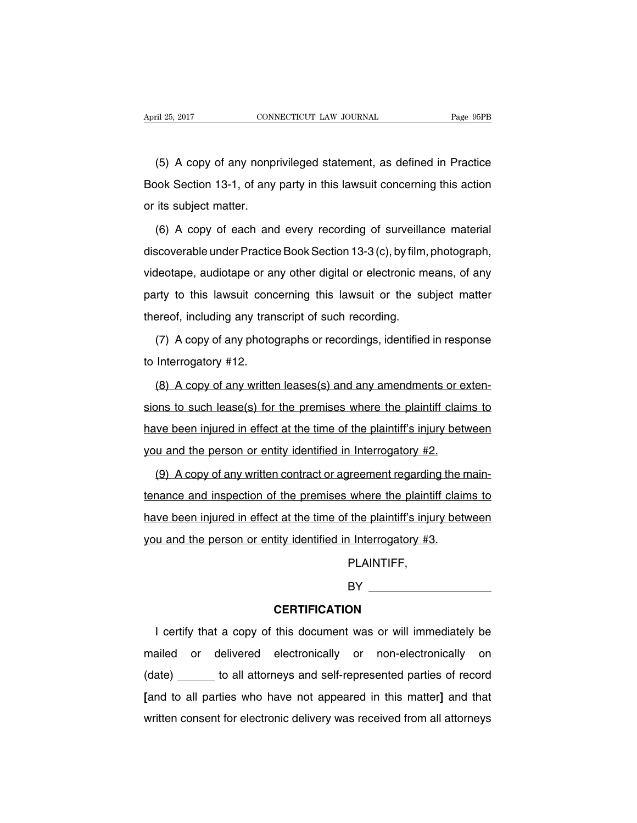(5) A copy of any nonprivileged statement, as defined in Practice Book Section 13-1, of any party in this lawsuit concerning this action or its subject matter.

(6) A copy of each and every recording of surveillance material discoverable under Practice Book Section 13-3 (c), by film, photograph, videotape, audiotape or any other digital or electronic means, of any party to this lawsuit concerning this lawsuit or the subject matter thereof, including any transcript of such recording.

(7) A copy of any photographs or recordings, identified in response to Interrogatory #12.

(8) A copy of any written leases(s) and any amendments or extensions to such lease(s) for the premises where the plaintiff claims to have been injured in effect at the time of the plaintiff's injury between you and the person or entity identified in Interrogatory #2.

(9) A copy of any written contract or agreement regarding the maintenance and inspection of the premises where the plaintiff claims to have been injured in effect at the time of the plaintiff's injury between you and the person or entity identified in Interrogatory #3.

PLAINTIFF,

BY **Example 2008** 

#### **CERTIFICATION**

I certify that a copy of this document was or will immediately be mailed or delivered electronically or non-electronically on (date) to all attorneys and self-represented parties of record **[**and to all parties who have not appeared in this matter**]** and that written consent for electronic delivery was received from all attorneys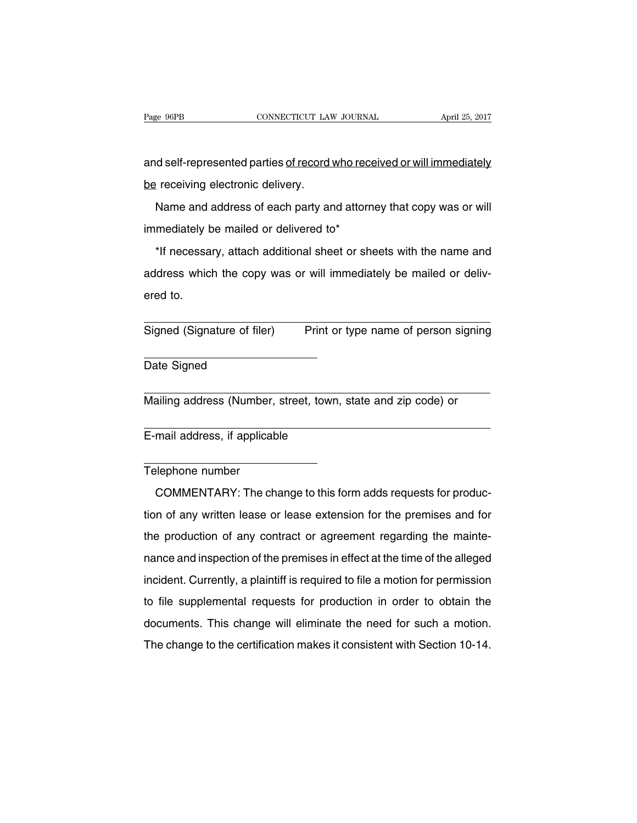and self-represented parties of record who received or will immediately be receiving electronic delivery.

Name and address of each party and attorney that copy was or will immediately be mailed or delivered to\*

\*If necessary, attach additional sheet or sheets with the name and address which the copy was or will immediately be mailed or delivered to.

Signed (Signature of filer) Print or type name of person signing

Date Signed

Mailing address (Number, street, town, state and zip code) or

E-mail address, if applicable

#### Telephone number

COMMENTARY: The change to this form adds requests for production of any written lease or lease extension for the premises and for the production of any contract or agreement regarding the maintenance and inspection of the premises in effect at the time of the alleged incident. Currently, a plaintiff is required to file a motion for permission to file supplemental requests for production in order to obtain the documents. This change will eliminate the need for such a motion. The change to the certification makes it consistent with Section 10-14.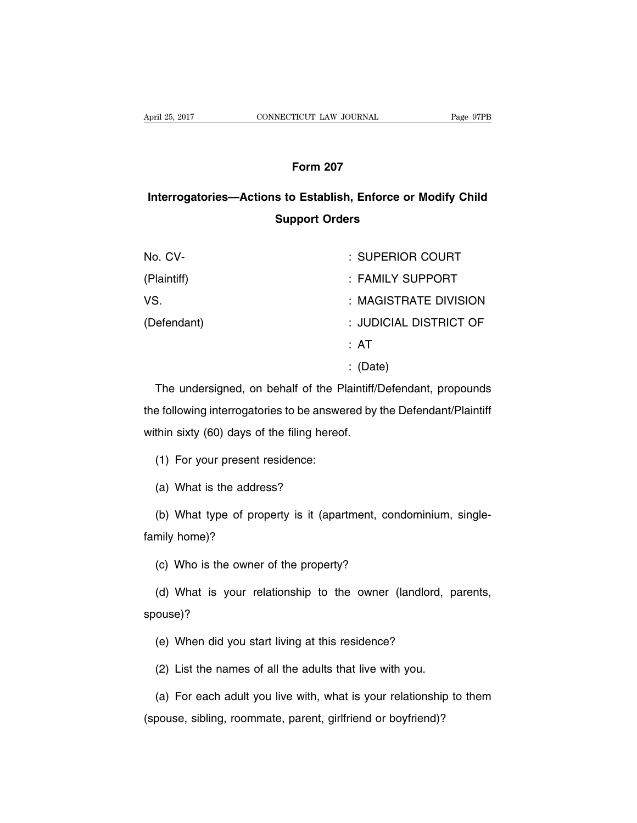# **Form 207**

# **Interrogatories—Actions to Establish, Enforce or Modify Child Support Orders**

| No. CV-     | : SUPERIOR COURT       |
|-------------|------------------------|
| (Plaintiff) | : FAMILY SUPPORT       |
| VS.         | : MAGISTRATE DIVISION  |
| (Defendant) | : JUDICIAL DISTRICT OF |
|             | ∴ AT                   |
|             | $\colon$ (Date)        |

The undersigned, on behalf of the Plaintiff/Defendant, propounds the following interrogatories to be answered by the Defendant/Plaintiff within sixty (60) days of the filing hereof.

(1) For your present residence:

(a) What is the address?

(b) What type of property is it (apartment, condominium, singlefamily home)?

(c) Who is the owner of the property?

(d) What is your relationship to the owner (landlord, parents, spouse)?

(e) When did you start living at this residence?

(2) List the names of all the adults that live with you.

(a) For each adult you live with, what is your relationship to them (spouse, sibling, roommate, parent, girlfriend or boyfriend)?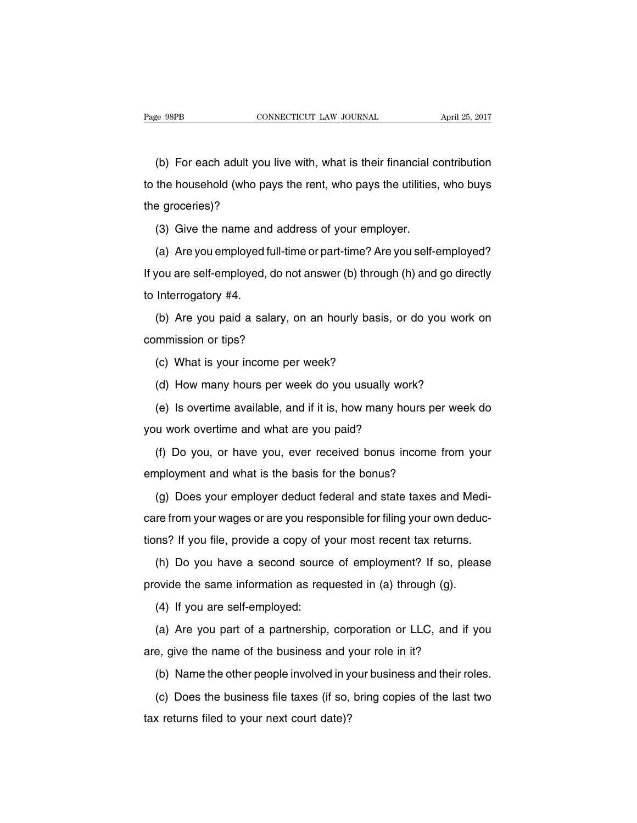(b) For each adult you live with, what is their financial contribution to the household (who pays the rent, who pays the utilities, who buys the groceries)?

(3) Give the name and address of your employer.

(a) Are you employed full-time or part-time? Are you self-employed? If you are self-employed, do not answer (b) through (h) and go directly to Interrogatory #4.

(b) Are you paid a salary, on an hourly basis, or do you work on commission or tips?

(c) What is your income per week?

(d) How many hours per week do you usually work?

(e) Is overtime available, and if it is, how many hours per week do you work overtime and what are you paid?

(f) Do you, or have you, ever received bonus income from your employment and what is the basis for the bonus?

(g) Does your employer deduct federal and state taxes and Medicare from your wages or are you responsible for filing your own deductions? If you file, provide a copy of your most recent tax returns.

(h) Do you have a second source of employment? If so, please provide the same information as requested in (a) through (g).

(4) If you are self-employed:

(a) Are you part of a partnership, corporation or LLC, and if you are, give the name of the business and your role in it?

(b) Name the other people involved in your business and their roles.

(c) Does the business file taxes (if so, bring copies of the last two tax returns filed to your next court date)?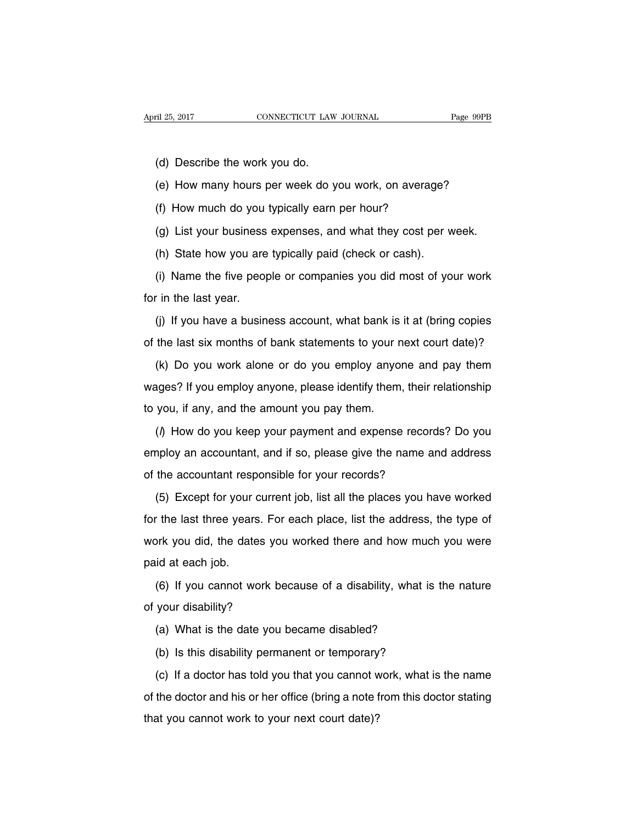- (d) Describe the work you do.
- (e) How many hours per week do you work, on average?
- (f) How much do you typically earn per hour?
- (g) List your business expenses, and what they cost per week.
- (h) State how you are typically paid (check or cash).

(i) Name the five people or companies you did most of your work for in the last year.

(j) If you have a business account, what bank is it at (bring copies of the last six months of bank statements to your next court date)?

(k) Do you work alone or do you employ anyone and pay them wages? If you employ anyone, please identify them, their relationship to you, if any, and the amount you pay them.

 $($ ) How do you keep your payment and expense records? Do you employ an accountant, and if so, please give the name and address of the accountant responsible for your records?

(5) Except for your current job, list all the places you have worked for the last three years. For each place, list the address, the type of work you did, the dates you worked there and how much you were paid at each job.

(6) If you cannot work because of a disability, what is the nature of your disability?

- (a) What is the date you became disabled?
- (b) Is this disability permanent or temporary?

(c) If a doctor has told you that you cannot work, what is the name of the doctor and his or her office (bring a note from this doctor stating that you cannot work to your next court date)?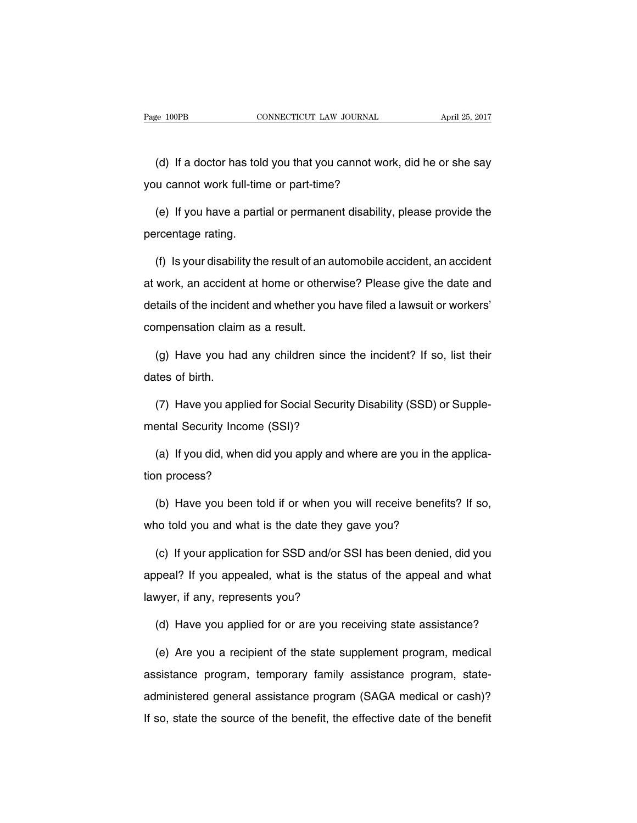(d) If a doctor has told you that you cannot work, did he or she say you cannot work full-time or part-time?

(e) If you have a partial or permanent disability, please provide the percentage rating.

(f) Is your disability the result of an automobile accident, an accident at work, an accident at home or otherwise? Please give the date and details of the incident and whether you have filed a lawsuit or workers' compensation claim as a result.

(g) Have you had any children since the incident? If so, list their dates of birth.

(7) Have you applied for Social Security Disability (SSD) or Supplemental Security Income (SSI)?

(a) If you did, when did you apply and where are you in the application process?

(b) Have you been told if or when you will receive benefits? If so, who told you and what is the date they gave you?

(c) If your application for SSD and/or SSI has been denied, did you appeal? If you appealed, what is the status of the appeal and what lawyer, if any, represents you?

(d) Have you applied for or are you receiving state assistance?

(e) Are you a recipient of the state supplement program, medical assistance program, temporary family assistance program, stateadministered general assistance program (SAGA medical or cash)? If so, state the source of the benefit, the effective date of the benefit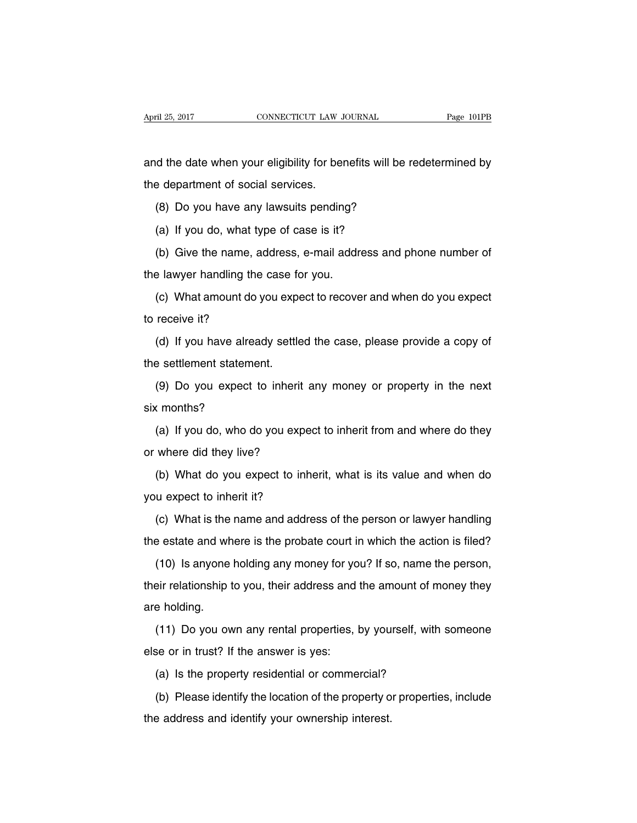and the date when your eligibility for benefits will be redetermined by the department of social services.

(8) Do you have any lawsuits pending?

(a) If you do, what type of case is it?

(b) Give the name, address, e-mail address and phone number of the lawyer handling the case for you.

(c) What amount do you expect to recover and when do you expect to receive it?

(d) If you have already settled the case, please provide a copy of the settlement statement.

(9) Do you expect to inherit any money or property in the next six months?

(a) If you do, who do you expect to inherit from and where do they or where did they live?

(b) What do you expect to inherit, what is its value and when do you expect to inherit it?

(c) What is the name and address of the person or lawyer handling the estate and where is the probate court in which the action is filed?

(10) Is anyone holding any money for you? If so, name the person, their relationship to you, their address and the amount of money they are holding.

(11) Do you own any rental properties, by yourself, with someone else or in trust? If the answer is yes:

(a) Is the property residential or commercial?

(b) Please identify the location of the property or properties, include the address and identify your ownership interest.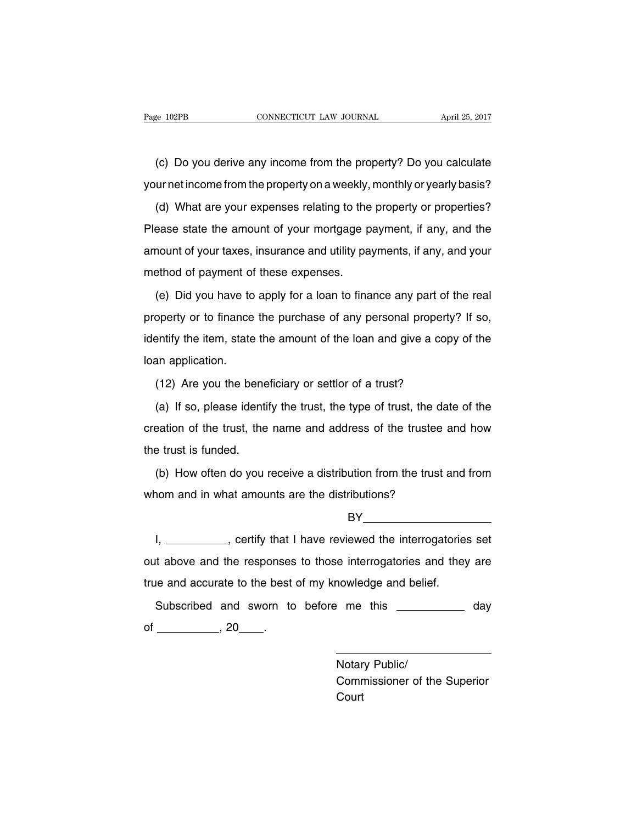(c) Do you derive any income from the property? Do you calculate your net income from the property on a weekly, monthly or yearly basis?

(d) What are your expenses relating to the property or properties? Please state the amount of your mortgage payment, if any, and the amount of your taxes, insurance and utility payments, if any, and your method of payment of these expenses.

(e) Did you have to apply for a loan to finance any part of the real property or to finance the purchase of any personal property? If so, identify the item, state the amount of the loan and give a copy of the loan application.

(12) Are you the beneficiary or settlor of a trust?

(a) If so, please identify the trust, the type of trust, the date of the creation of the trust, the name and address of the trustee and how the trust is funded.

(b) How often do you receive a distribution from the trust and from whom and in what amounts are the distributions?

BY

I, certify that I have reviewed the interrogatories set out above and the responses to those interrogatories and they are true and accurate to the best of my knowledge and belief.

Subscribed and sworn to before me this \_\_\_\_\_\_\_\_\_\_\_ day of  $\frac{1}{20}$ , 20  $\frac{1}{20}$ .

> Notary Public/ Commissioner of the Superior **Court**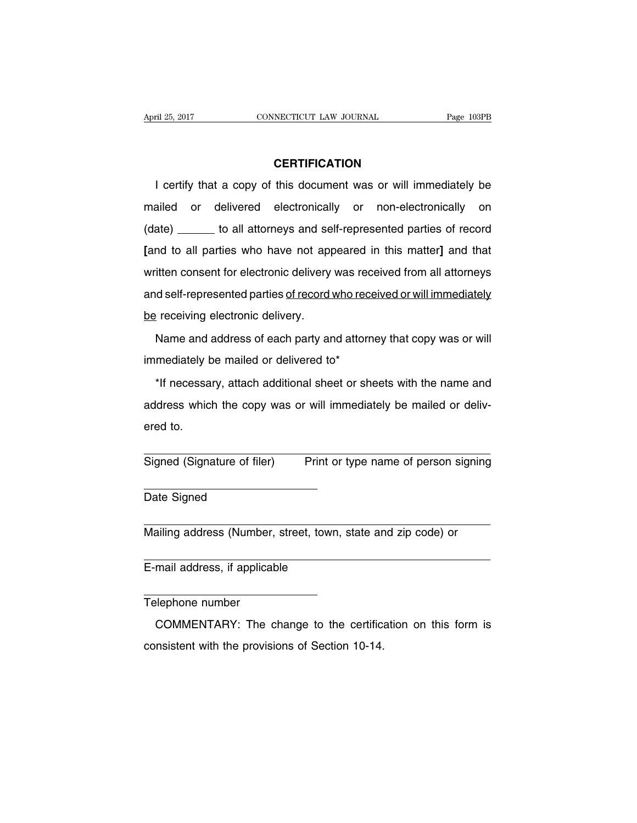## **CERTIFICATION**

I certify that a copy of this document was or will immediately be mailed or delivered electronically or non-electronically on (date) \_\_\_\_\_\_ to all attorneys and self-represented parties of record **[**and to all parties who have not appeared in this matter**]** and that written consent for electronic delivery was received from all attorneys and self-represented parties of record who received or will immediately be receiving electronic delivery.

Name and address of each party and attorney that copy was or will immediately be mailed or delivered to\*

\*If necessary, attach additional sheet or sheets with the name and address which the copy was or will immediately be mailed or delivered to.

Signed (Signature of filer) Print or type name of person signing

Date Signed

Mailing address (Number, street, town, state and zip code) or

E-mail address, if applicable

Telephone number

COMMENTARY: The change to the certification on this form is consistent with the provisions of Section 10-14.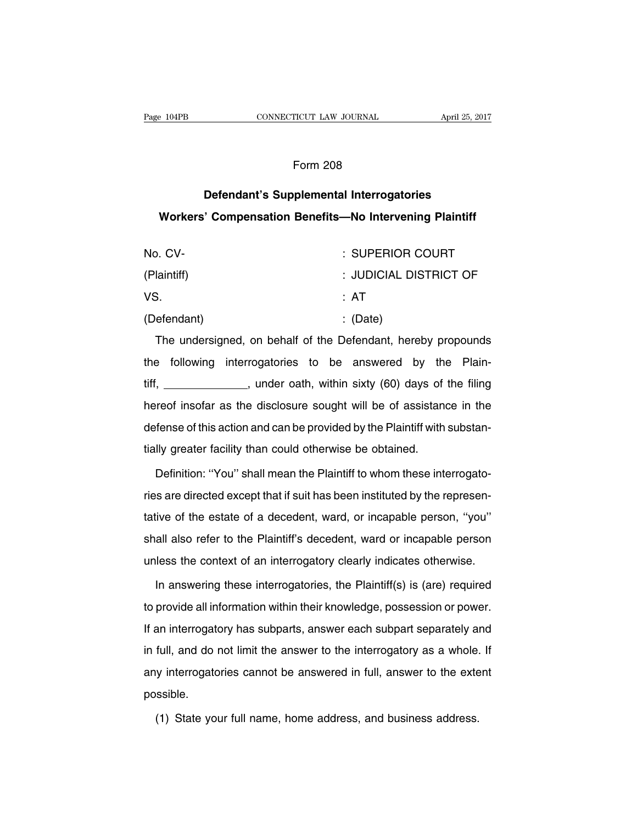## Form 208

# **Defendant's Supplemental Interrogatories Workers' Compensation Benefits—No Intervening Plaintiff**

| No. CV-     | : SUPERIOR COURT       |
|-------------|------------------------|
| (Plaintiff) | : JUDICIAL DISTRICT OF |
| VS.         | : AT                   |
| (Defendant) | $\therefore$ (Date)    |

The undersigned, on behalf of the Defendant, hereby propounds the following interrogatories to be answered by the Plaintiff, \_\_\_\_\_\_\_\_\_\_\_\_\_, under oath, within sixty (60) days of the filing hereof insofar as the disclosure sought will be of assistance in the defense of this action and can be provided by the Plaintiff with substantially greater facility than could otherwise be obtained.

Definition: ''You'' shall mean the Plaintiff to whom these interrogatories are directed except that if suit has been instituted by the representative of the estate of a decedent, ward, or incapable person, ''you'' shall also refer to the Plaintiff's decedent, ward or incapable person unless the context of an interrogatory clearly indicates otherwise.

In answering these interrogatories, the Plaintiff(s) is (are) required to provide all information within their knowledge, possession or power. If an interrogatory has subparts, answer each subpart separately and in full, and do not limit the answer to the interrogatory as a whole. If any interrogatories cannot be answered in full, answer to the extent possible.

(1) State your full name, home address, and business address.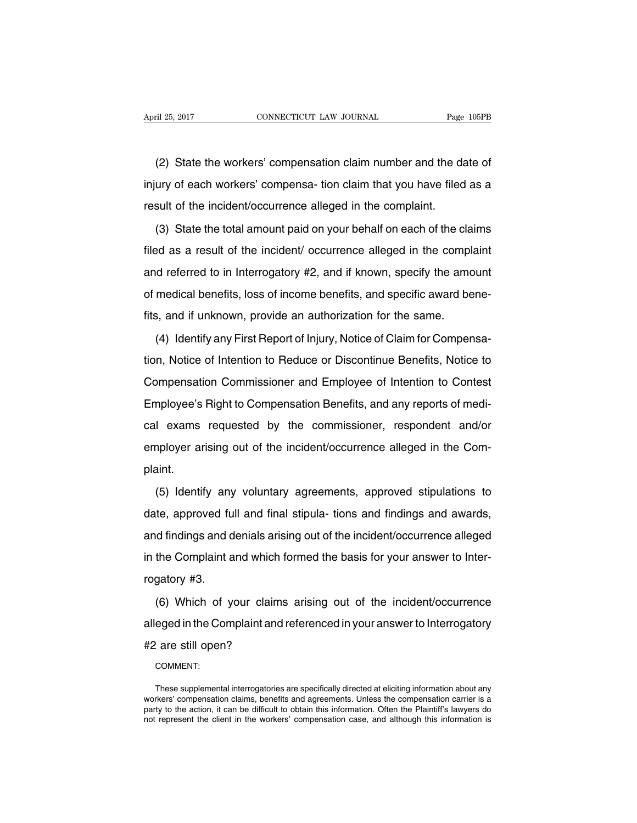(2) State the workers' compensation claim number and the date of injury of each workers' compensa- tion claim that you have filed as a result of the incident/occurrence alleged in the complaint.

(3) State the total amount paid on your behalf on each of the claims filed as a result of the incident/ occurrence alleged in the complaint and referred to in Interrogatory #2, and if known, specify the amount of medical benefits, loss of income benefits, and specific award benefits, and if unknown, provide an authorization for the same.

(4) Identify any First Report of Injury, Notice of Claim for Compensation, Notice of Intention to Reduce or Discontinue Benefits, Notice to Compensation Commissioner and Employee of Intention to Contest Employee's Right to Compensation Benefits, and any reports of medical exams requested by the commissioner, respondent and/or employer arising out of the incident/occurrence alleged in the Complaint.

(5) Identify any voluntary agreements, approved stipulations to date, approved full and final stipula- tions and findings and awards, and findings and denials arising out of the incident/occurrence alleged in the Complaint and which formed the basis for your answer to Interrogatory #3.

(6) Which of your claims arising out of the incident/occurrence alleged in the Complaint and referenced in your answer to Interrogatory #2 are still open?

COMMENT:

These supplemental interrogatories are specifically directed at eliciting information about any workers' compensation claims, benefits and agreements. Unless the compensation carrier is a party to the action, it can be difficult to obtain this information. Often the Plaintiff's lawyers do not represent the client in the workers' compensation case, and although this information is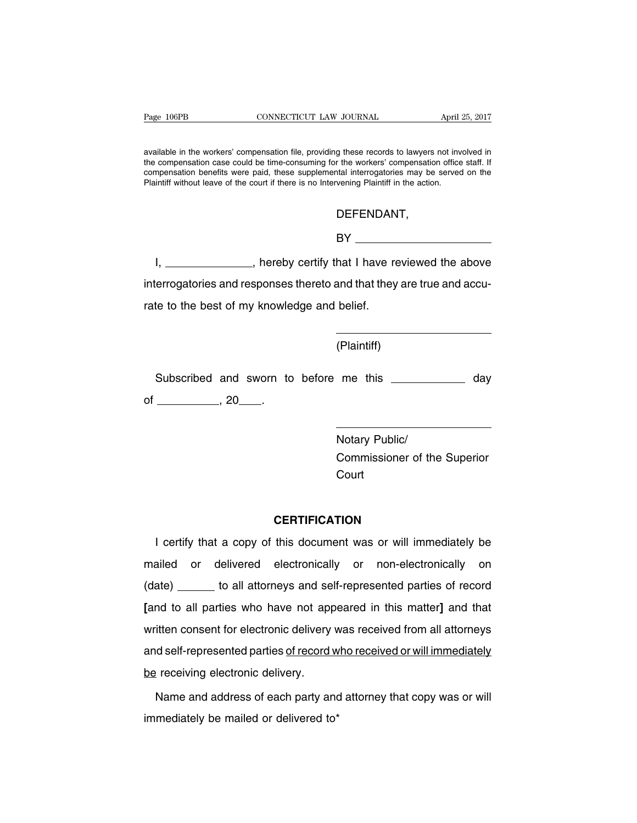available in the workers' compensation file, providing these records to lawyers not involved in the compensation case could be time-consuming for the workers' compensation office staff. If compensation benefits were paid, these supplemental interrogatories may be served on the Plaintiff without leave of the court if there is no Intervening Plaintiff in the action.

DEFENDANT,

BY **Example 2008** 

I, \_\_\_\_\_\_\_\_\_\_\_\_\_\_, hereby certify that I have reviewed the above interrogatories and responses thereto and that they are true and accurate to the best of my knowledge and belief.

(Plaintiff)

Subscribed and sworn to before me this \_\_\_\_\_\_\_\_\_\_\_ day of  $\frac{1}{20}$ , 20  $\frac{1}{20}$ .

> Notary Public/ Commissioner of the Superior **Court**

## **CERTIFICATION**

I certify that a copy of this document was or will immediately be mailed or delivered electronically or non-electronically on (date) \_\_\_\_\_\_ to all attorneys and self-represented parties of record **[**and to all parties who have not appeared in this matter**]** and that written consent for electronic delivery was received from all attorneys and self-represented parties of record who received or will immediately be receiving electronic delivery.

Name and address of each party and attorney that copy was or will immediately be mailed or delivered to\*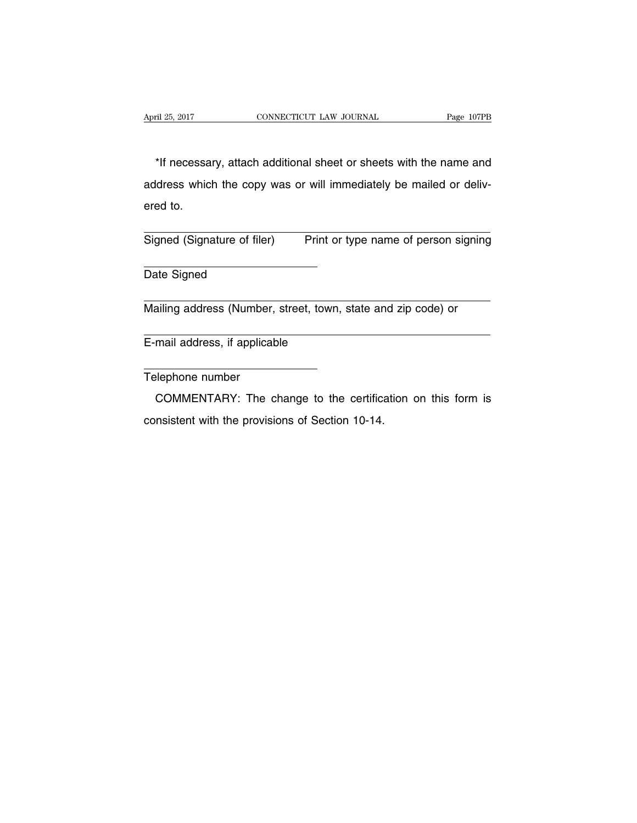\*If necessary, attach additional sheet or sheets with the name and address which the copy was or will immediately be mailed or delivered to.

Signed (Signature of filer) Print or type name of person signing

Date Signed

Mailing address (Number, street, town, state and zip code) or

E-mail address, if applicable

Telephone number

COMMENTARY: The change to the certification on this form is consistent with the provisions of Section 10-14.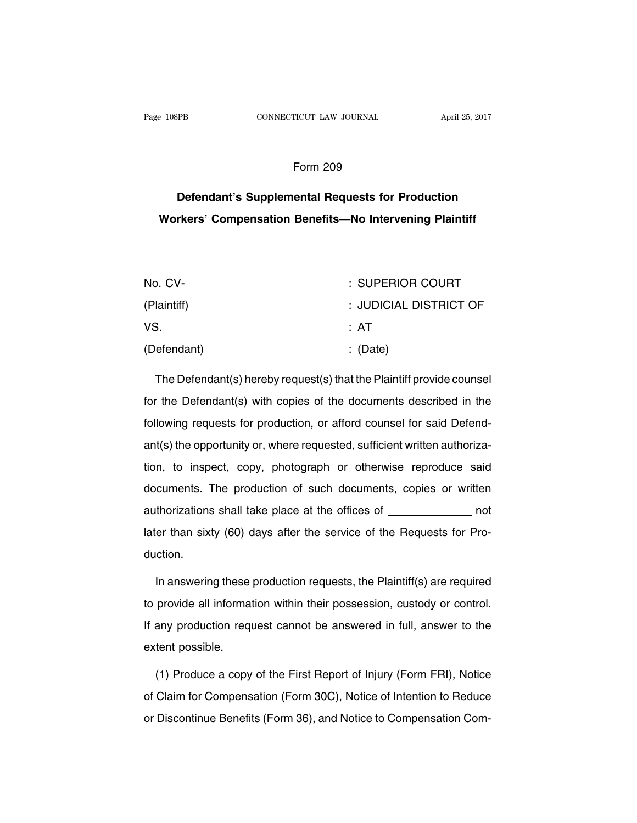#### Form 209

# **Defendant's Supplemental Requests for Production Workers' Compensation Benefits—No Intervening Plaintiff**

| No. CV-     | : SUPERIOR COURT       |
|-------------|------------------------|
| (Plaintiff) | : JUDICIAL DISTRICT OF |
| VS.         | : AT                   |
| (Defendant) | $\therefore$ (Date)    |

The Defendant(s) hereby request(s) that the Plaintiff provide counsel for the Defendant(s) with copies of the documents described in the following requests for production, or afford counsel for said Defendant(s) the opportunity or, where requested, sufficient written authorization, to inspect, copy, photograph or otherwise reproduce said documents. The production of such documents, copies or written authorizations shall take place at the offices of \_\_\_\_\_\_\_\_\_\_\_\_\_\_ not later than sixty (60) days after the service of the Requests for Production.

In answering these production requests, the Plaintiff(s) are required to provide all information within their possession, custody or control. If any production request cannot be answered in full, answer to the extent possible.

(1) Produce a copy of the First Report of Injury (Form FRI), Notice of Claim for Compensation (Form 30C), Notice of Intention to Reduce or Discontinue Benefits (Form 36), and Notice to Compensation Com-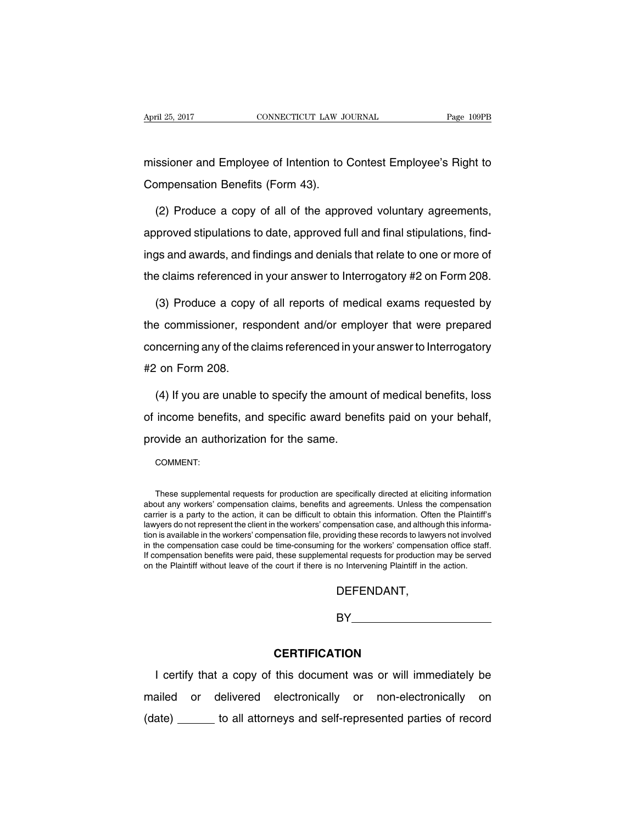missioner and Employee of Intention to Contest Employee's Right to Compensation Benefits (Form 43).

(2) Produce a copy of all of the approved voluntary agreements, approved stipulations to date, approved full and final stipulations, findings and awards, and findings and denials that relate to one or more of the claims referenced in your answer to Interrogatory #2 on Form 208.

(3) Produce a copy of all reports of medical exams requested by the commissioner, respondent and/or employer that were prepared concerning any of the claims referenced in your answer to Interrogatory #2 on Form 208.

(4) If you are unable to specify the amount of medical benefits, loss of income benefits, and specific award benefits paid on your behalf, provide an authorization for the same.

COMMENT:

These supplemental requests for production are specifically directed at eliciting information about any workers' compensation claims, benefits and agreements. Unless the compensation carrier is a party to the action, it can be difficult to obtain this information. Often the Plaintiff's lawyers do not represent the client in the workers' compensation case, and although this information is available in the workers' compensation file, providing these records to lawyers not involved in the compensation case could be time-consuming for the workers' compensation office staff. If compensation benefits were paid, these supplemental requests for production may be served on the Plaintiff without leave of the court if there is no Intervening Plaintiff in the action.

# DEFENDANT,

BY

## **CERTIFICATION**

I certify that a copy of this document was or will immediately be mailed or delivered electronically or non-electronically on (date) \_\_\_\_\_\_ to all attorneys and self-represented parties of record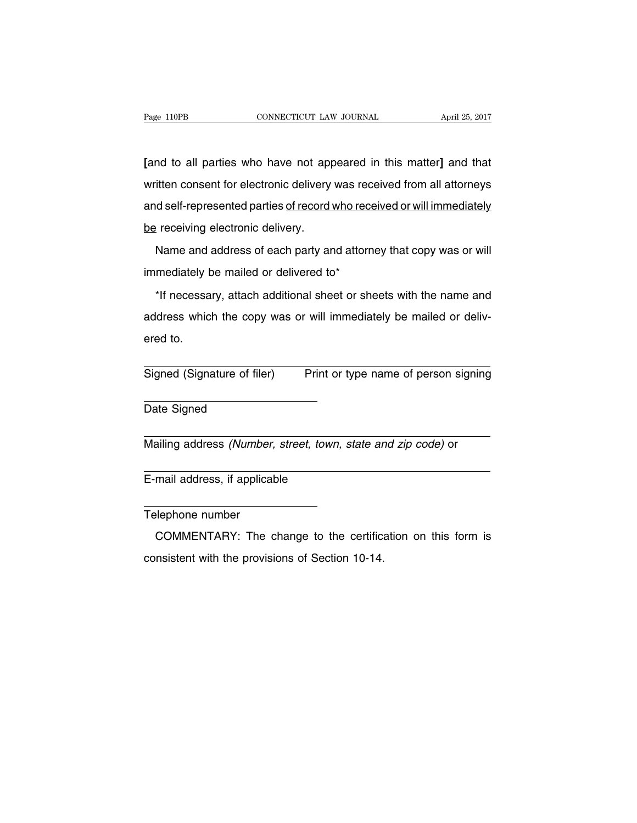**[**and to all parties who have not appeared in this matter**]** and that written consent for electronic delivery was received from all attorneys and self-represented parties of record who received or will immediately be receiving electronic delivery.

Name and address of each party and attorney that copy was or will immediately be mailed or delivered to\*

\*If necessary, attach additional sheet or sheets with the name and address which the copy was or will immediately be mailed or delivered to.

Signed (Signature of filer) Print or type name of person signing

Date Signed

Mailing address (Number, street, town, state and zip code) or

E-mail address, if applicable

Telephone number

COMMENTARY: The change to the certification on this form is consistent with the provisions of Section 10-14.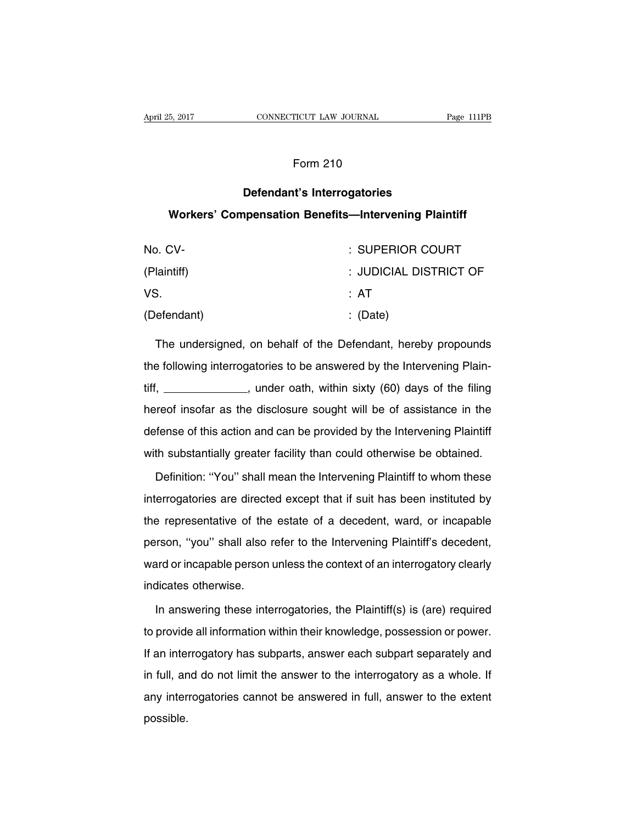# Form 210

# **Defendant's Interrogatories**

# **Workers' Compensation Benefits—Intervening Plaintiff**

| No. CV-     | : SUPERIOR COURT       |
|-------------|------------------------|
| (Plaintiff) | : JUDICIAL DISTRICT OF |
| VS.         | : AT                   |
| (Defendant) | $\therefore$ (Date)    |

The undersigned, on behalf of the Defendant, hereby propounds the following interrogatories to be answered by the Intervening Plaintiff, \_\_\_\_\_\_\_\_\_\_\_\_\_, under oath, within sixty (60) days of the filing hereof insofar as the disclosure sought will be of assistance in the defense of this action and can be provided by the Intervening Plaintiff with substantially greater facility than could otherwise be obtained.

Definition: ''You'' shall mean the Intervening Plaintiff to whom these interrogatories are directed except that if suit has been instituted by the representative of the estate of a decedent, ward, or incapable person, ''you'' shall also refer to the Intervening Plaintiff's decedent, ward or incapable person unless the context of an interrogatory clearly indicates otherwise.

In answering these interrogatories, the Plaintiff(s) is (are) required to provide all information within their knowledge, possession or power. If an interrogatory has subparts, answer each subpart separately and in full, and do not limit the answer to the interrogatory as a whole. If any interrogatories cannot be answered in full, answer to the extent possible.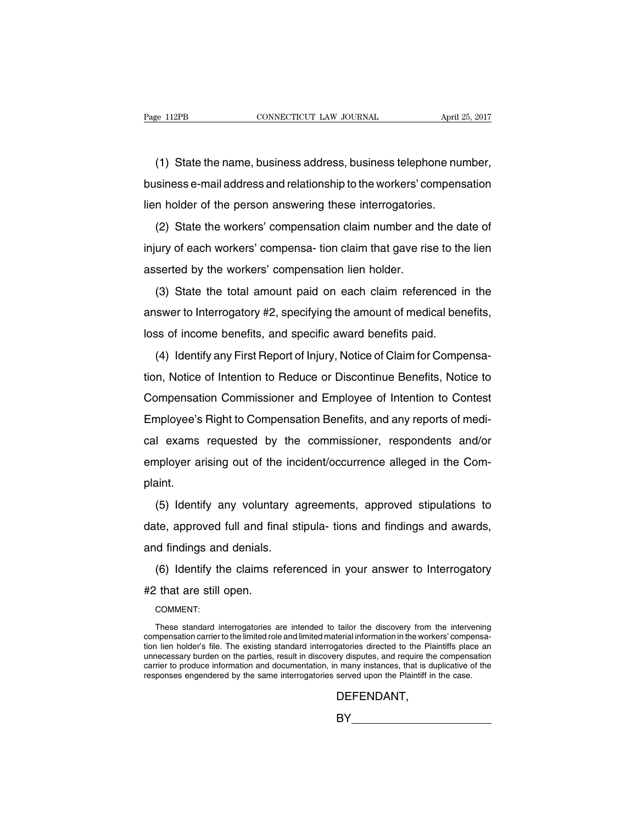(1) State the name, business address, business telephone number, business e-mail address and relationship to the workers' compensation lien holder of the person answering these interrogatories.

(2) State the workers' compensation claim number and the date of injury of each workers' compensa- tion claim that gave rise to the lien asserted by the workers' compensation lien holder.

(3) State the total amount paid on each claim referenced in the answer to Interrogatory #2, specifying the amount of medical benefits, loss of income benefits, and specific award benefits paid.

(4) Identify any First Report of Injury, Notice of Claim for Compensation, Notice of Intention to Reduce or Discontinue Benefits, Notice to Compensation Commissioner and Employee of Intention to Contest Employee's Right to Compensation Benefits, and any reports of medical exams requested by the commissioner, respondents and/or employer arising out of the incident/occurrence alleged in the Complaint.

(5) Identify any voluntary agreements, approved stipulations to date, approved full and final stipula- tions and findings and awards, and findings and denials.

(6) Identify the claims referenced in your answer to Interrogatory #2 that are still open.

#### COMMENT:

### DEFENDANT,

BY **BY** 

These standard interrogatories are intended to tailor the discovery from the intervening compensation carrier to the limited role and limited material information in the workers' compensation lien holder's file. The existing standard interrogatories directed to the Plaintiffs place an unnecessary burden on the parties, result in discovery disputes, and require the compensation carrier to produce information and documentation, in many instances, that is duplicative of the responses engendered by the same interrogatories served upon the Plaintiff in the case.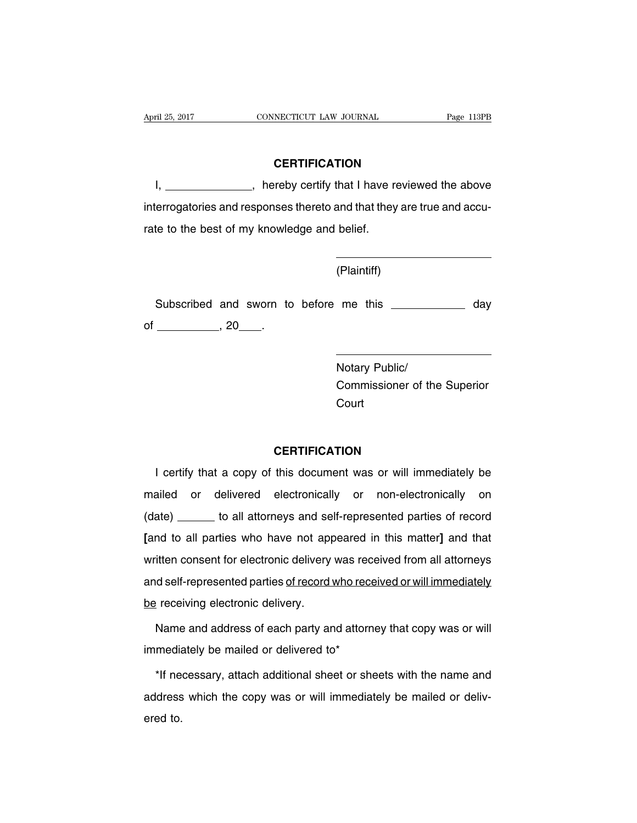## **CERTIFICATION**

I, \_\_\_\_\_\_\_\_\_\_\_\_\_\_\_, hereby certify that I have reviewed the above interrogatories and responses thereto and that they are true and accurate to the best of my knowledge and belief.

(Plaintiff)

Subscribed and sworn to before me this day of  $\frac{1}{20}$ , 20  $\frac{20}{100}$ .

> Notary Public/ Commissioner of the Superior **Court**

# **CERTIFICATION**

I certify that a copy of this document was or will immediately be mailed or delivered electronically or non-electronically on (date) \_\_\_\_\_\_ to all attorneys and self-represented parties of record **[**and to all parties who have not appeared in this matter**]** and that written consent for electronic delivery was received from all attorneys and self-represented parties of record who received or will immediately be receiving electronic delivery.

Name and address of each party and attorney that copy was or will immediately be mailed or delivered to\*

\*If necessary, attach additional sheet or sheets with the name and address which the copy was or will immediately be mailed or delivered to.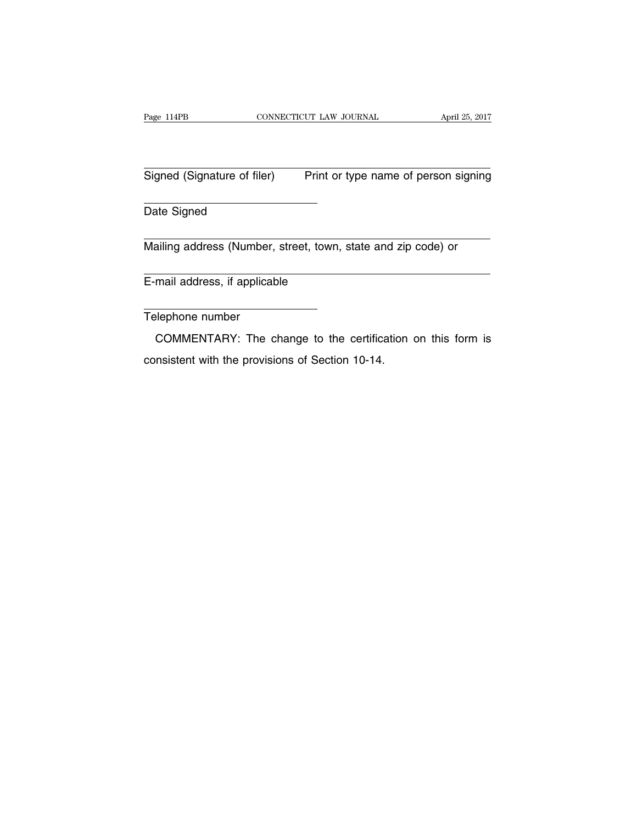Signed (Signature of filer) Print or type name of person signing

Date Signed

Mailing address (Number, street, town, state and zip code) or

E-mail address, if applicable

Telephone number

COMMENTARY: The change to the certification on this form is consistent with the provisions of Section 10-14.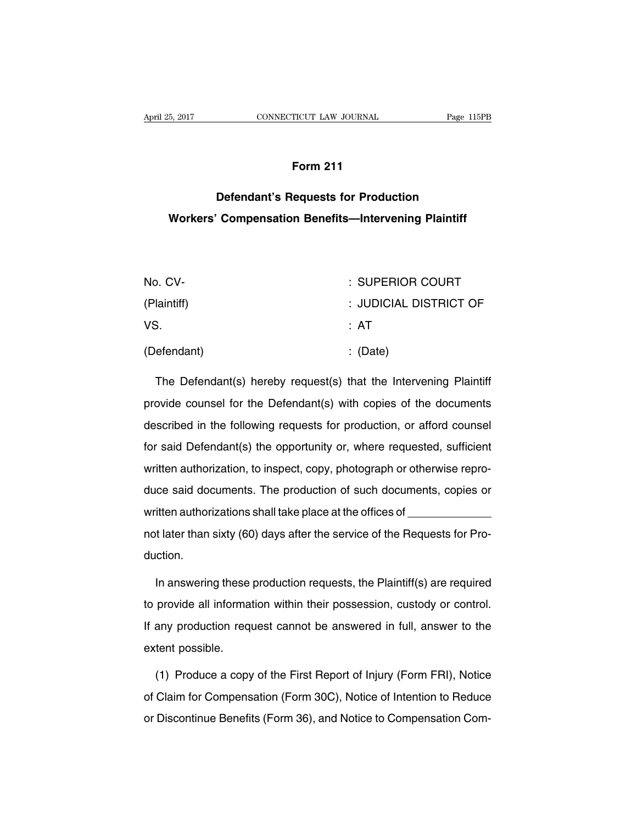# **Form 211**

# **Defendant's Requests for Production Workers' Compensation Benefits—Intervening Plaintiff**

| No. CV-     | : SUPERIOR COURT       |
|-------------|------------------------|
| (Plaintiff) | : JUDICIAL DISTRICT OF |
| VS.         | : AT                   |
| (Defendant) | $\therefore$ (Date)    |

The Defendant(s) hereby request(s) that the Intervening Plaintiff provide counsel for the Defendant(s) with copies of the documents described in the following requests for production, or afford counsel for said Defendant(s) the opportunity or, where requested, sufficient written authorization, to inspect, copy, photograph or otherwise reproduce said documents. The production of such documents, copies or written authorizations shall take place at the offices of \_\_ not later than sixty (60) days after the service of the Requests for Production.

In answering these production requests, the Plaintiff(s) are required to provide all information within their possession, custody or control. If any production request cannot be answered in full, answer to the extent possible.

(1) Produce a copy of the First Report of Injury (Form FRI), Notice of Claim for Compensation (Form 30C), Notice of Intention to Reduce or Discontinue Benefits (Form 36), and Notice to Compensation Com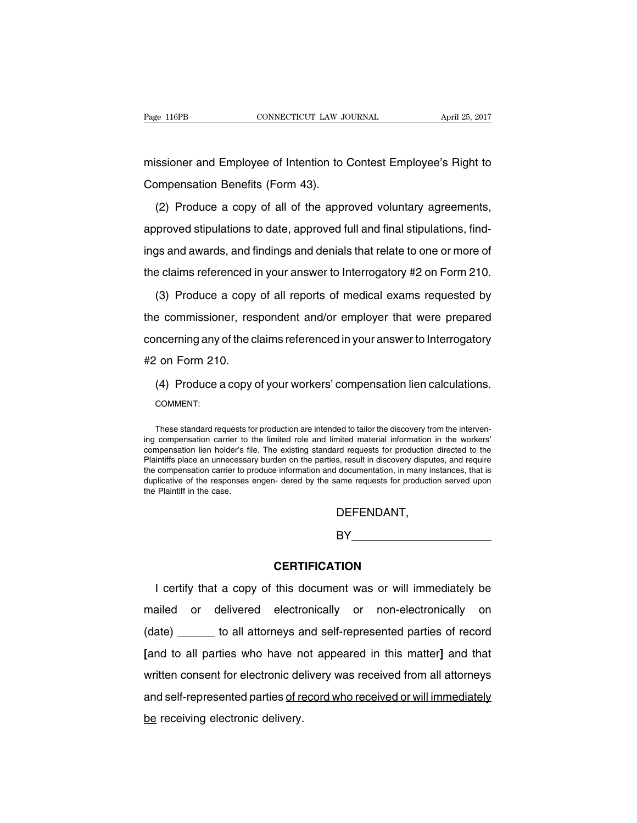missioner and Employee of Intention to Contest Employee's Right to Compensation Benefits (Form 43).

(2) Produce a copy of all of the approved voluntary agreements, approved stipulations to date, approved full and final stipulations, findings and awards, and findings and denials that relate to one or more of the claims referenced in your answer to Interrogatory #2 on Form 210.

(3) Produce a copy of all reports of medical exams requested by the commissioner, respondent and/or employer that were prepared concerning any of the claims referenced in your answer to Interrogatory #2 on Form 210.

(4) Produce a copy of your workers' compensation lien calculations. COMMENT:

These standard requests for production are intended to tailor the discovery from the intervening compensation carrier to the limited role and limited material information in the workers' compensation lien holder's file. The existing standard requests for production directed to the Plaintiffs place an unnecessary burden on the parties, result in discovery disputes, and require the compensation carrier to produce information and documentation, in many instances, that is duplicative of the responses engen- dered by the same requests for production served upon the Plaintiff in the case.

DEFENDANT,

# BY **Example 20**

# **CERTIFICATION**

I certify that a copy of this document was or will immediately be mailed or delivered electronically or non-electronically on (date) \_\_\_\_\_\_ to all attorneys and self-represented parties of record **[**and to all parties who have not appeared in this matter**]** and that written consent for electronic delivery was received from all attorneys and self-represented parties of record who received or will immediately be receiving electronic delivery.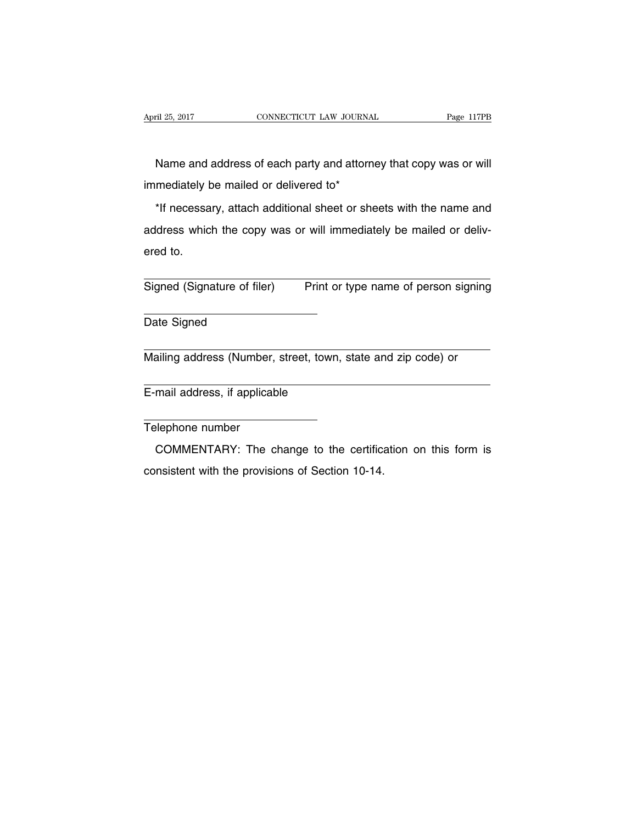Name and address of each party and attorney that copy was or will immediately be mailed or delivered to\*

\*If necessary, attach additional sheet or sheets with the name and address which the copy was or will immediately be mailed or delivered to.

Signed (Signature of filer) Print or type name of person signing

Date Signed

Mailing address (Number, street, town, state and zip code) or

E-mail address, if applicable

Telephone number

COMMENTARY: The change to the certification on this form is consistent with the provisions of Section 10-14.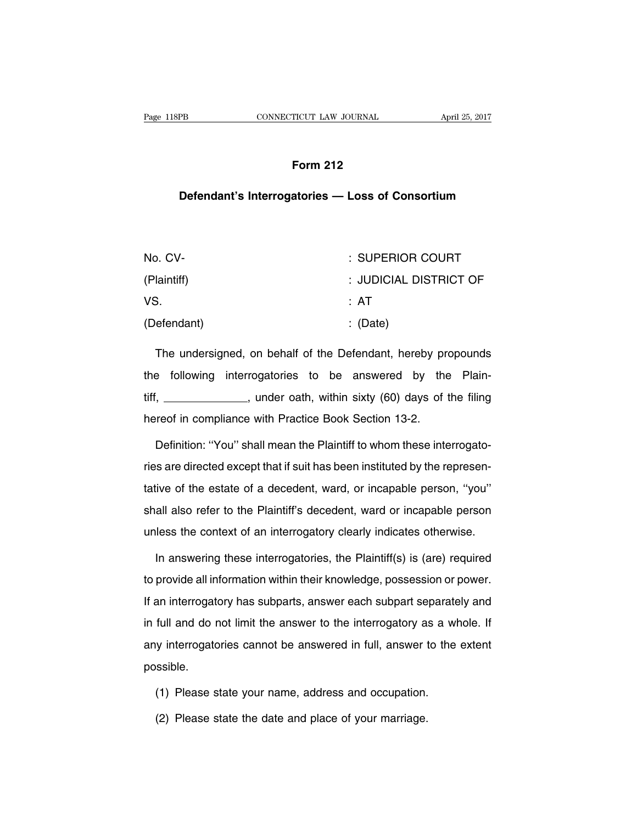# **Form 212**

# **Defendant's Interrogatories — Loss of Consortium**

| No. CV-     | : SUPERIOR COURT       |
|-------------|------------------------|
| (Plaintiff) | : JUDICIAL DISTRICT OF |
| VS.         | : AT                   |
| (Defendant) | $\therefore$ (Date)    |

The undersigned, on behalf of the Defendant, hereby propounds the following interrogatories to be answered by the Plaintiff, \_\_\_\_\_\_\_\_\_\_\_\_\_, under oath, within sixty (60) days of the filing hereof in compliance with Practice Book Section 13-2.

Definition: ''You'' shall mean the Plaintiff to whom these interrogatories are directed except that if suit has been instituted by the representative of the estate of a decedent, ward, or incapable person, ''you'' shall also refer to the Plaintiff's decedent, ward or incapable person unless the context of an interrogatory clearly indicates otherwise.

In answering these interrogatories, the Plaintiff(s) is (are) required to provide all information within their knowledge, possession or power. If an interrogatory has subparts, answer each subpart separately and in full and do not limit the answer to the interrogatory as a whole. If any interrogatories cannot be answered in full, answer to the extent possible.

- (1) Please state your name, address and occupation.
- (2) Please state the date and place of your marriage.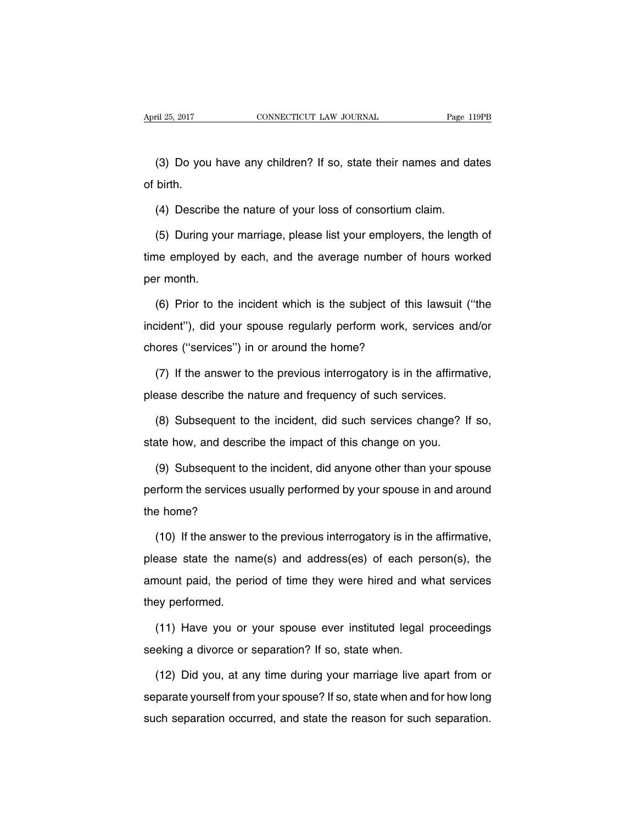(3) Do you have any children? If so, state their names and dates of birth.

(4) Describe the nature of your loss of consortium claim.

(5) During your marriage, please list your employers, the length of time employed by each, and the average number of hours worked per month.

(6) Prior to the incident which is the subject of this lawsuit (''the incident''), did your spouse regularly perform work, services and/or chores (''services'') in or around the home?

(7) If the answer to the previous interrogatory is in the affirmative, please describe the nature and frequency of such services.

(8) Subsequent to the incident, did such services change? If so, state how, and describe the impact of this change on you.

(9) Subsequent to the incident, did anyone other than your spouse perform the services usually performed by your spouse in and around the home?

(10) If the answer to the previous interrogatory is in the affirmative, please state the name(s) and address(es) of each person(s), the amount paid, the period of time they were hired and what services they performed.

(11) Have you or your spouse ever instituted legal proceedings seeking a divorce or separation? If so, state when.

(12) Did you, at any time during your marriage live apart from or separate yourself from your spouse? If so, state when and for how long such separation occurred, and state the reason for such separation.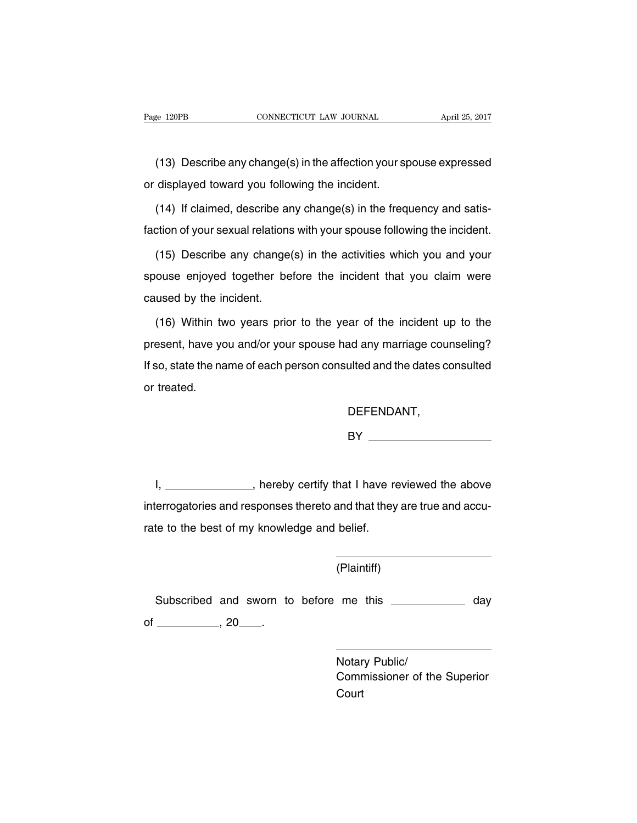(13) Describe any change(s) in the affection your spouse expressed or displayed toward you following the incident.

(14) If claimed, describe any change(s) in the frequency and satisfaction of your sexual relations with your spouse following the incident.

(15) Describe any change(s) in the activities which you and your spouse enjoyed together before the incident that you claim were caused by the incident.

(16) Within two years prior to the year of the incident up to the present, have you and/or your spouse had any marriage counseling? If so, state the name of each person consulted and the dates consulted or treated.

DEFENDANT,

BY

I, \_\_\_\_\_\_\_\_\_\_\_\_\_\_\_, hereby certify that I have reviewed the above interrogatories and responses thereto and that they are true and accurate to the best of my knowledge and belief.

(Plaintiff)

Subscribed and sworn to before me this \_\_\_\_\_\_\_\_\_\_\_ day of  $\frac{1}{20}$ , 20  $\frac{1}{20}$ .

> Notary Public/ Commissioner of the Superior **Court**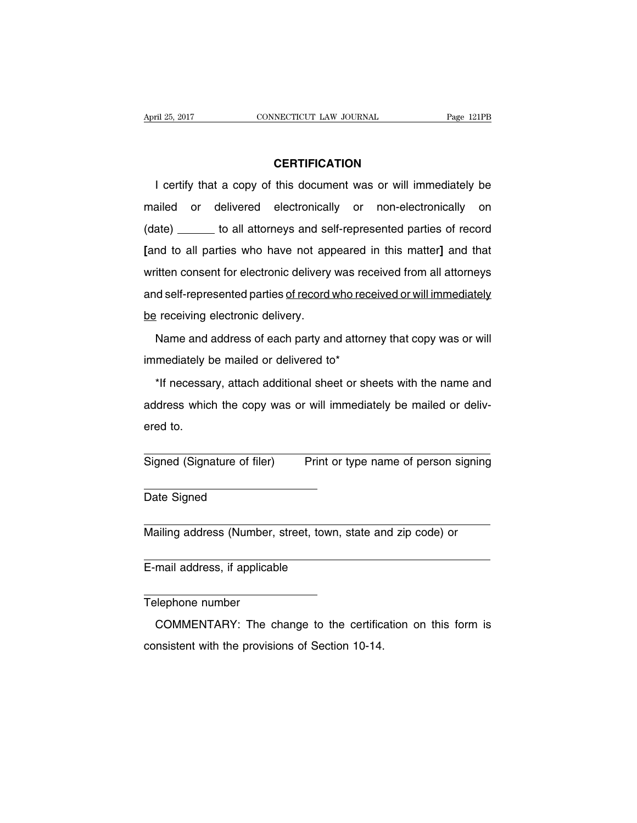# **CERTIFICATION**

I certify that a copy of this document was or will immediately be mailed or delivered electronically or non-electronically on (date) \_\_\_\_\_\_ to all attorneys and self-represented parties of record **[**and to all parties who have not appeared in this matter**]** and that written consent for electronic delivery was received from all attorneys and self-represented parties of record who received or will immediately be receiving electronic delivery.

Name and address of each party and attorney that copy was or will immediately be mailed or delivered to\*

\*If necessary, attach additional sheet or sheets with the name and address which the copy was or will immediately be mailed or delivered to.

Signed (Signature of filer) Print or type name of person signing

Date Signed

Mailing address (Number, street, town, state and zip code) or

E-mail address, if applicable

Telephone number

COMMENTARY: The change to the certification on this form is consistent with the provisions of Section 10-14.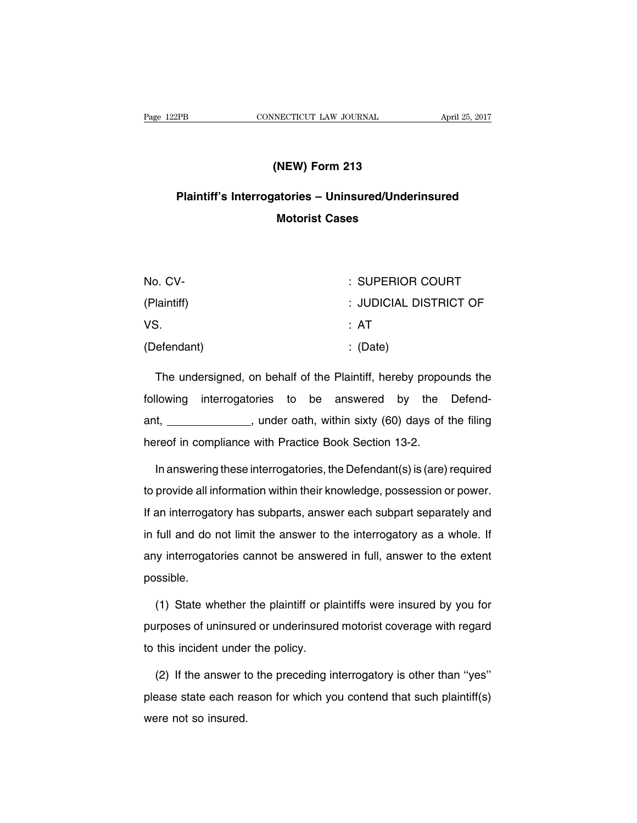# **(NEW) Form 213**

# **Plaintiff's Interrogatories – Uninsured/Underinsured Motorist Cases**

| No. CV-     | : SUPERIOR COURT       |
|-------------|------------------------|
| (Plaintiff) | : JUDICIAL DISTRICT OF |
| VS.         | : AT                   |
| (Defendant) | $\therefore$ (Date)    |

The undersigned, on behalf of the Plaintiff, hereby propounds the following interrogatories to be answered by the Defendant, \_\_\_\_\_\_\_\_\_\_\_\_\_\_, under oath, within sixty (60) days of the filing hereof in compliance with Practice Book Section 13-2.

In answering these interrogatories, the Defendant(s) is (are) required to provide all information within their knowledge, possession or power. If an interrogatory has subparts, answer each subpart separately and in full and do not limit the answer to the interrogatory as a whole. If any interrogatories cannot be answered in full, answer to the extent possible.

(1) State whether the plaintiff or plaintiffs were insured by you for purposes of uninsured or underinsured motorist coverage with regard to this incident under the policy.

(2) If the answer to the preceding interrogatory is other than ''yes'' please state each reason for which you contend that such plaintiff(s) were not so insured.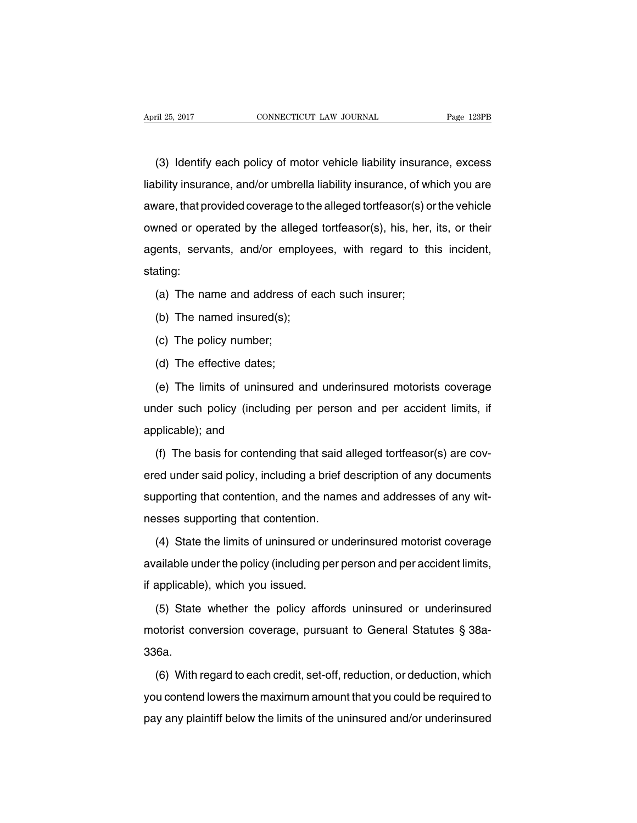(3) Identify each policy of motor vehicle liability insurance, excess liability insurance, and/or umbrella liability insurance, of which you are aware, that provided coverage to the alleged tortfeasor(s) or the vehicle owned or operated by the alleged tortfeasor(s), his, her, its, or their agents, servants, and/or employees, with regard to this incident, stating:

(a) The name and address of each such insurer;

- (b) The named insured(s);
- (c) The policy number;
- (d) The effective dates;

(e) The limits of uninsured and underinsured motorists coverage under such policy (including per person and per accident limits, if applicable); and

(f) The basis for contending that said alleged tortfeasor(s) are covered under said policy, including a brief description of any documents supporting that contention, and the names and addresses of any witnesses supporting that contention.

(4) State the limits of uninsured or underinsured motorist coverage available under the policy (including per person and per accident limits, if applicable), which you issued.

(5) State whether the policy affords uninsured or underinsured motorist conversion coverage, pursuant to General Statutes § 38a-336a.

(6) With regard to each credit, set-off, reduction, or deduction, which you contend lowers the maximum amount that you could be required to pay any plaintiff below the limits of the uninsured and/or underinsured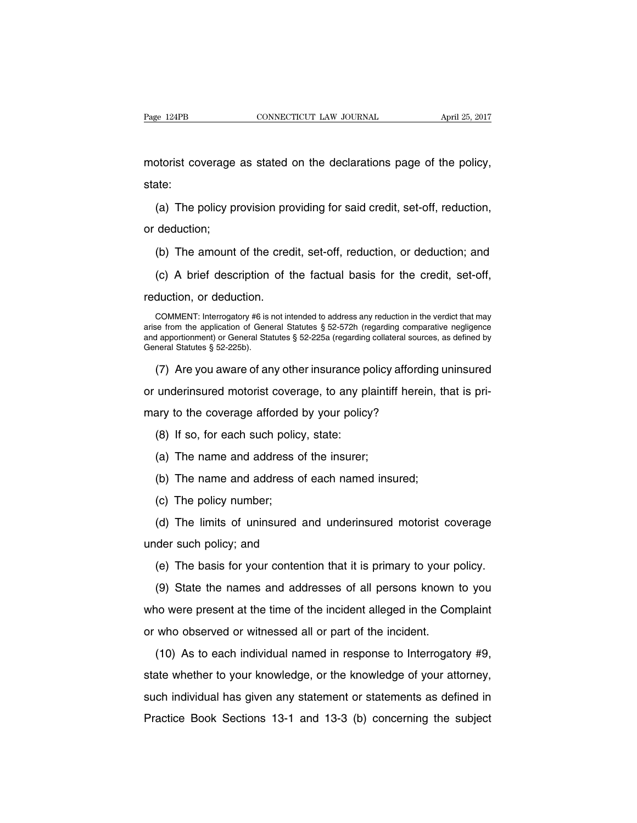motorist coverage as stated on the declarations page of the policy, state:

(a) The policy provision providing for said credit, set-off, reduction,

or deduction;

(b) The amount of the credit, set-off, reduction, or deduction; and

(c) A brief description of the factual basis for the credit, set-off,

reduction, or deduction.

COMMENT: Interrogatory #6 is not intended to address any reduction in the verdict that may arise from the application of General Statutes § 52-572h (regarding comparative negligence and apportionment) or General Statutes § 52-225a (regarding collateral sources, as defined by General Statutes § 52-225b).

(7) Are you aware of any other insurance policy affording uninsured

or underinsured motorist coverage, to any plaintiff herein, that is pri-

mary to the coverage afforded by your policy?

(8) If so, for each such policy, state:

- (a) The name and address of the insurer;
- (b) The name and address of each named insured;
- (c) The policy number;

(d) The limits of uninsured and underinsured motorist coverage under such policy; and

(e) The basis for your contention that it is primary to your policy.

(9) State the names and addresses of all persons known to you who were present at the time of the incident alleged in the Complaint or who observed or witnessed all or part of the incident.

(10) As to each individual named in response to Interrogatory #9, state whether to your knowledge, or the knowledge of your attorney, such individual has given any statement or statements as defined in Practice Book Sections 13-1 and 13-3 (b) concerning the subject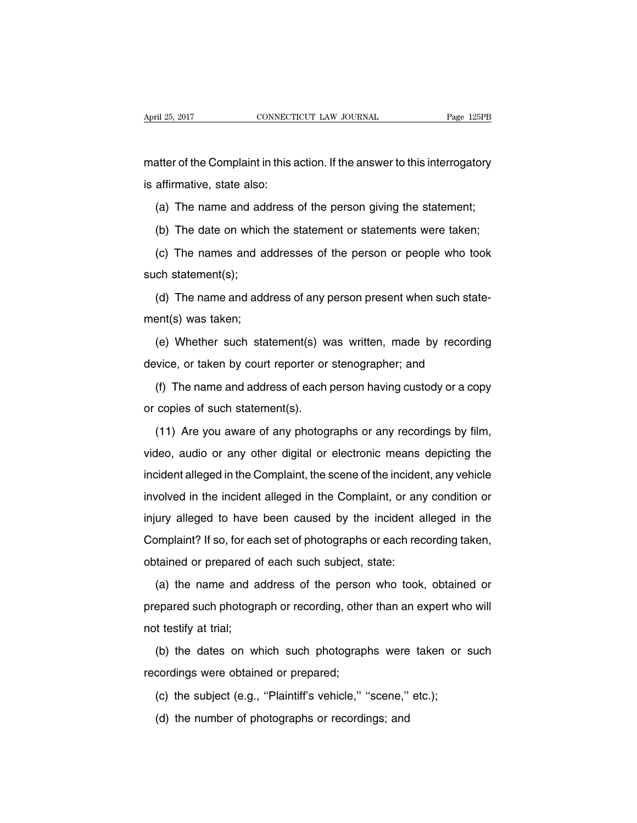matter of the Complaint in this action. If the answer to this interrogatory is affirmative, state also:

(a) The name and address of the person giving the statement;

(b) The date on which the statement or statements were taken;

(c) The names and addresses of the person or people who took such statement(s);

(d) The name and address of any person present when such statement(s) was taken;

(e) Whether such statement(s) was written, made by recording device, or taken by court reporter or stenographer; and

(f) The name and address of each person having custody or a copy or copies of such statement(s).

(11) Are you aware of any photographs or any recordings by film, video, audio or any other digital or electronic means depicting the incident alleged in the Complaint, the scene of the incident, any vehicle involved in the incident alleged in the Complaint, or any condition or injury alleged to have been caused by the incident alleged in the Complaint? If so, for each set of photographs or each recording taken, obtained or prepared of each such subject, state:

(a) the name and address of the person who took, obtained or prepared such photograph or recording, other than an expert who will not testify at trial;

(b) the dates on which such photographs were taken or such recordings were obtained or prepared;

(c) the subject (e.g., ''Plaintiff's vehicle,'' ''scene,'' etc.);

(d) the number of photographs or recordings; and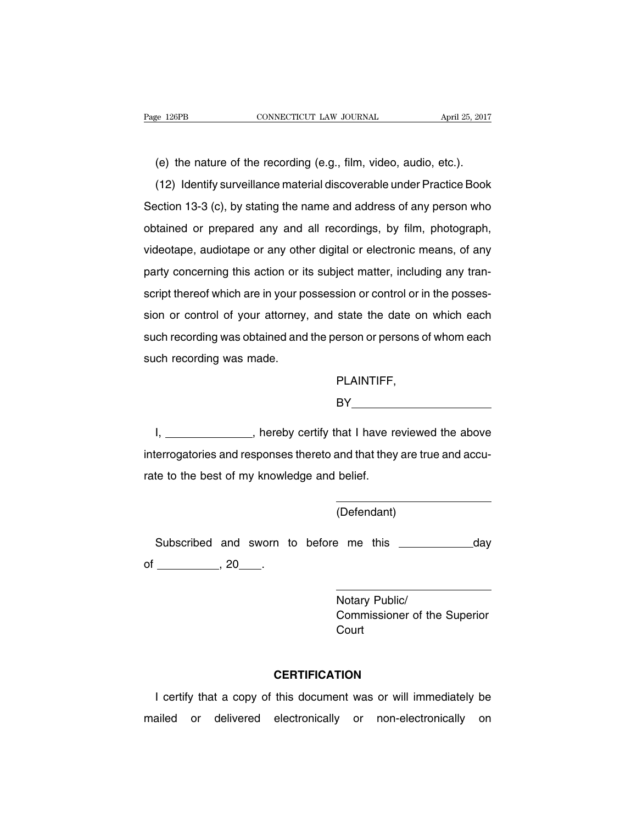(e) the nature of the recording (e.g., film, video, audio, etc.).

(12) Identify surveillance material discoverable under Practice Book Section 13-3 (c), by stating the name and address of any person who obtained or prepared any and all recordings, by film, photograph, videotape, audiotape or any other digital or electronic means, of any party concerning this action or its subject matter, including any transcript thereof which are in your possession or control or in the possession or control of your attorney, and state the date on which each such recording was obtained and the person or persons of whom each such recording was made.

# PLAINTIFF,

BY **BY** 

I, \_\_\_\_\_\_\_\_\_\_\_\_\_\_, hereby certify that I have reviewed the above interrogatories and responses thereto and that they are true and accurate to the best of my knowledge and belief.

(Defendant)

Subscribed and sworn to before me this \_\_\_\_\_\_\_\_\_\_\_ day of \_\_\_\_\_\_\_\_\_\_\_\_\_\_\_, 20\_\_\_\_\_\_.

> Notary Public/ Commissioner of the Superior **Court**

# **CERTIFICATION**

I certify that a copy of this document was or will immediately be mailed or delivered electronically or non-electronically on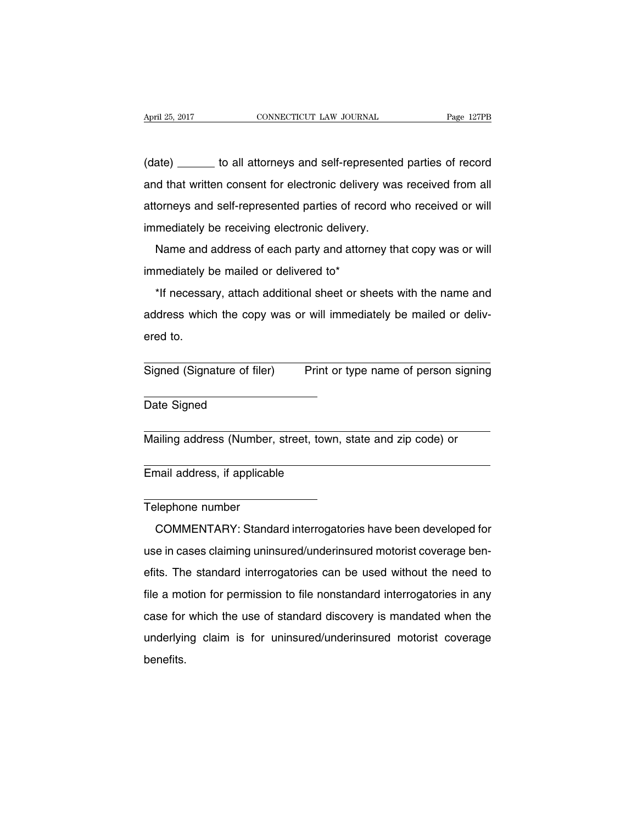(date) \_\_\_\_\_\_ to all attorneys and self-represented parties of record and that written consent for electronic delivery was received from all attorneys and self-represented parties of record who received or will immediately be receiving electronic delivery.

Name and address of each party and attorney that copy was or will immediately be mailed or delivered to\*

\*If necessary, attach additional sheet or sheets with the name and address which the copy was or will immediately be mailed or delivered to.

Signed (Signature of filer) Print or type name of person signing

Date Signed

Mailing address (Number, street, town, state and zip code) or

Email address, if applicable

#### Telephone number

COMMENTARY: Standard interrogatories have been developed for use in cases claiming uninsured/underinsured motorist coverage benefits. The standard interrogatories can be used without the need to file a motion for permission to file nonstandard interrogatories in any case for which the use of standard discovery is mandated when the underlying claim is for uninsured/underinsured motorist coverage benefits.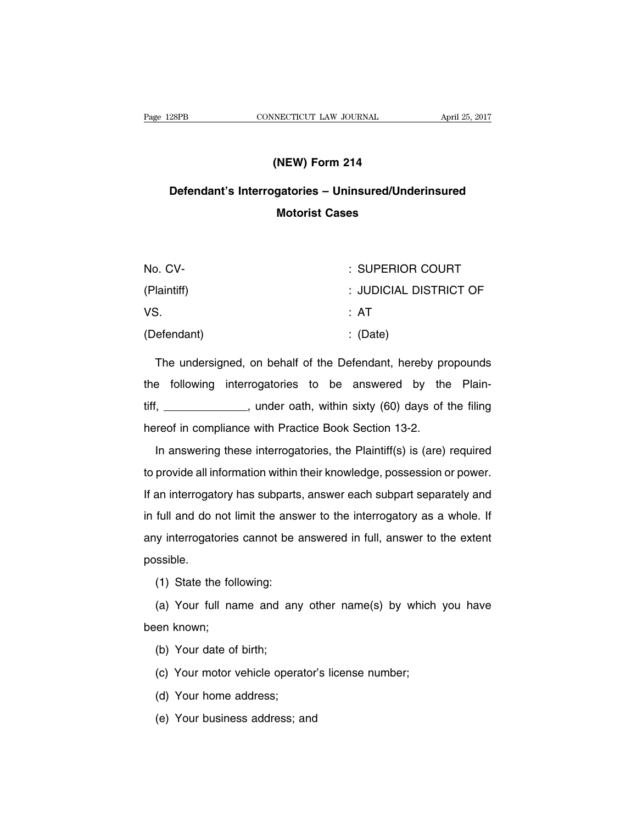# **(NEW) Form 214**

# **Defendant's Interrogatories – Uninsured/Underinsured Motorist Cases**

| No. CV-     | : SUPERIOR COURT       |
|-------------|------------------------|
| (Plaintiff) | : JUDICIAL DISTRICT OF |
| VS.         | : AT                   |
| (Defendant) | $\therefore$ (Date)    |

The undersigned, on behalf of the Defendant, hereby propounds the following interrogatories to be answered by the Plaintiff, \_\_\_\_\_\_\_\_\_\_\_\_\_\_, under oath, within sixty (60) days of the filing hereof in compliance with Practice Book Section 13-2.

In answering these interrogatories, the Plaintiff(s) is (are) required to provide all information within their knowledge, possession or power. If an interrogatory has subparts, answer each subpart separately and in full and do not limit the answer to the interrogatory as a whole. If any interrogatories cannot be answered in full, answer to the extent possible.

(1) State the following:

(a) Your full name and any other name(s) by which you have been known;

(b) Your date of birth;

(c) Your motor vehicle operator's license number;

(d) Your home address;

(e) Your business address; and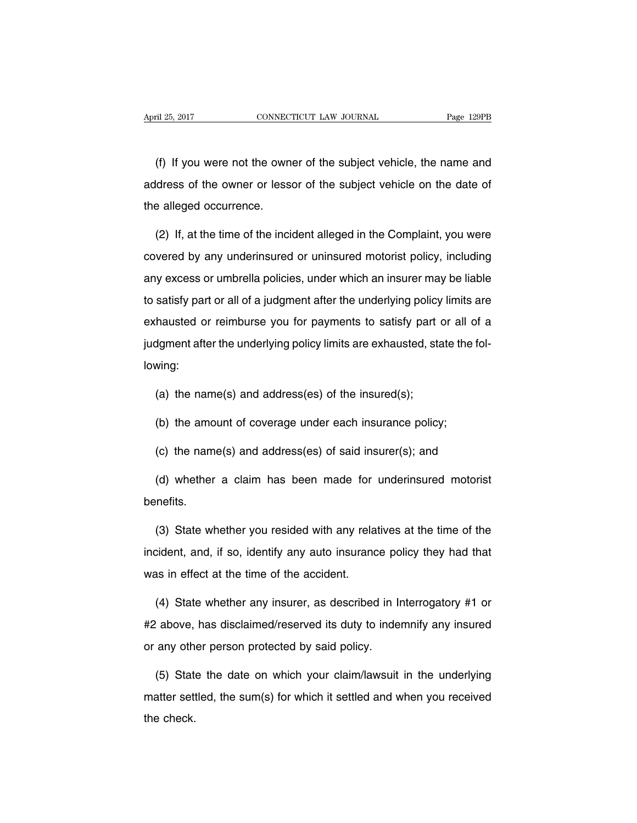(f) If you were not the owner of the subject vehicle, the name and address of the owner or lessor of the subject vehicle on the date of the alleged occurrence.

(2) If, at the time of the incident alleged in the Complaint, you were covered by any underinsured or uninsured motorist policy, including any excess or umbrella policies, under which an insurer may be liable to satisfy part or all of a judgment after the underlying policy limits are exhausted or reimburse you for payments to satisfy part or all of a judgment after the underlying policy limits are exhausted, state the following:

- (a) the name(s) and address(es) of the insured(s);
- (b) the amount of coverage under each insurance policy;
- (c) the name(s) and address(es) of said insurer(s); and

(d) whether a claim has been made for underinsured motorist benefits.

(3) State whether you resided with any relatives at the time of the incident, and, if so, identify any auto insurance policy they had that was in effect at the time of the accident.

(4) State whether any insurer, as described in Interrogatory #1 or #2 above, has disclaimed/reserved its duty to indemnify any insured or any other person protected by said policy.

(5) State the date on which your claim/lawsuit in the underlying matter settled, the sum(s) for which it settled and when you received the check.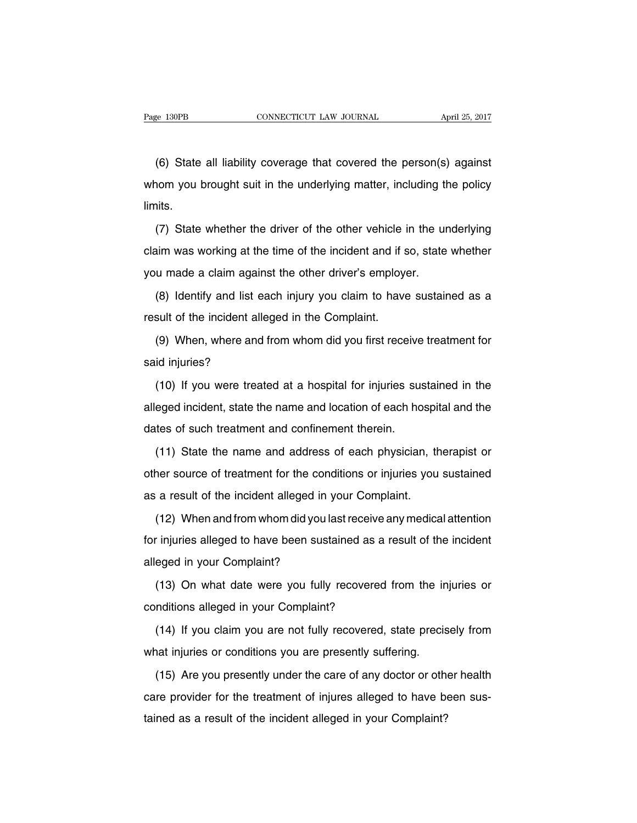(6) State all liability coverage that covered the person(s) against whom you brought suit in the underlying matter, including the policy limits.

(7) State whether the driver of the other vehicle in the underlying claim was working at the time of the incident and if so, state whether you made a claim against the other driver's employer.

(8) Identify and list each injury you claim to have sustained as a result of the incident alleged in the Complaint.

(9) When, where and from whom did you first receive treatment for said injuries?

(10) If you were treated at a hospital for injuries sustained in the alleged incident, state the name and location of each hospital and the dates of such treatment and confinement therein.

(11) State the name and address of each physician, therapist or other source of treatment for the conditions or injuries you sustained as a result of the incident alleged in your Complaint.

(12) When and from whom did you lastreceive any medical attention for injuries alleged to have been sustained as a result of the incident alleged in your Complaint?

(13) On what date were you fully recovered from the injuries or conditions alleged in your Complaint?

(14) If you claim you are not fully recovered, state precisely from what injuries or conditions you are presently suffering.

(15) Are you presently under the care of any doctor or other health care provider for the treatment of injures alleged to have been sustained as a result of the incident alleged in your Complaint?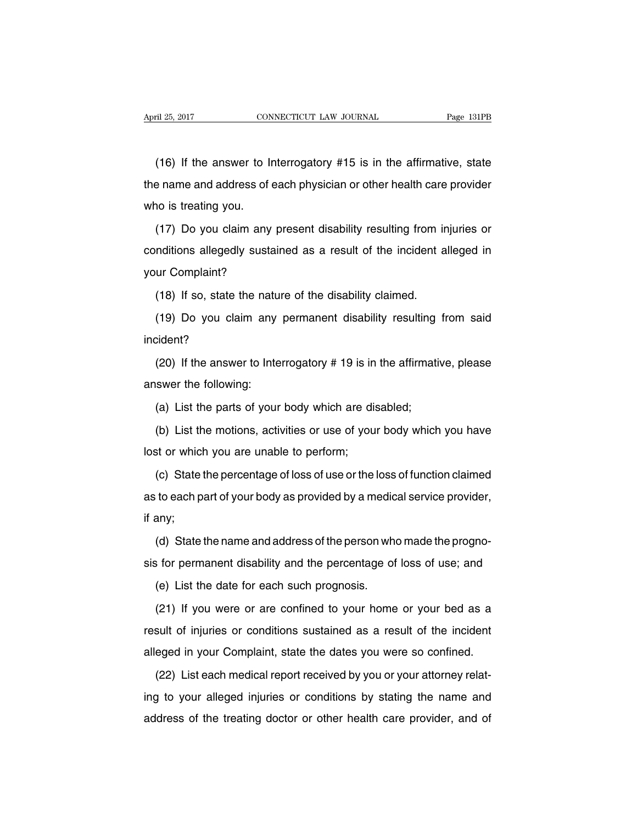(16) If the answer to Interrogatory #15 is in the affirmative, state the name and address of each physician or other health care provider who is treating you.

(17) Do you claim any present disability resulting from injuries or conditions allegedly sustained as a result of the incident alleged in your Complaint?

(18) If so, state the nature of the disability claimed.

(19) Do you claim any permanent disability resulting from said incident?

(20) If the answer to Interrogatory # 19 is in the affirmative, please answer the following:

(a) List the parts of your body which are disabled;

(b) List the motions, activities or use of your body which you have lost or which you are unable to perform;

(c) State the percentage of loss of use or the loss of function claimed as to each part of your body as provided by a medical service provider, if any;

(d) State the name and address of the person who made the prognosis for permanent disability and the percentage of loss of use; and

(e) List the date for each such prognosis.

(21) If you were or are confined to your home or your bed as a result of injuries or conditions sustained as a result of the incident alleged in your Complaint, state the dates you were so confined.

(22) List each medical report received by you or your attorney relating to your alleged injuries or conditions by stating the name and address of the treating doctor or other health care provider, and of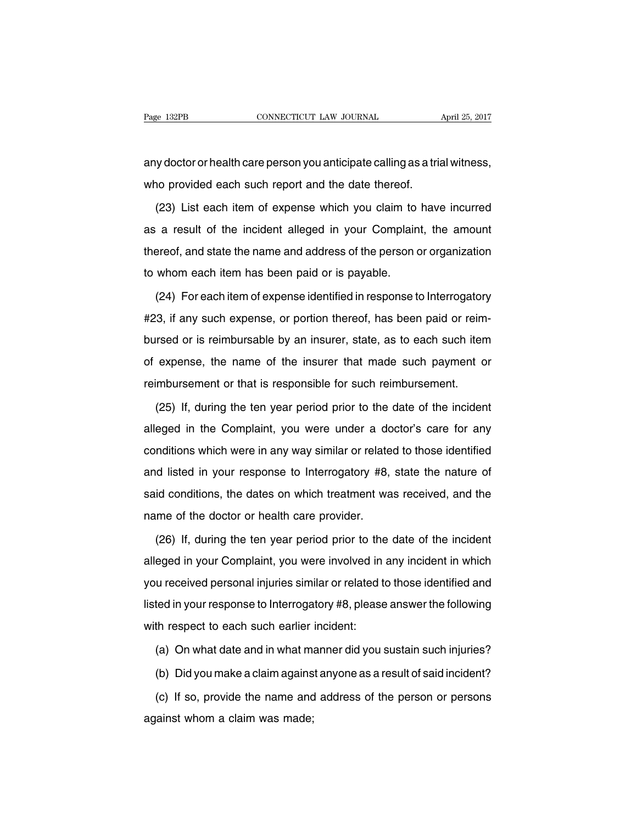any doctor or health care person you anticipate calling as a trial witness, who provided each such report and the date thereof.

(23) List each item of expense which you claim to have incurred as a result of the incident alleged in your Complaint, the amount thereof, and state the name and address of the person or organization to whom each item has been paid or is payable.

(24) For each item of expense identified in response to Interrogatory #23, if any such expense, or portion thereof, has been paid or reimbursed or is reimbursable by an insurer, state, as to each such item of expense, the name of the insurer that made such payment or reimbursement or that is responsible for such reimbursement.

(25) If, during the ten year period prior to the date of the incident alleged in the Complaint, you were under a doctor's care for any conditions which were in any way similar or related to those identified and listed in your response to Interrogatory #8, state the nature of said conditions, the dates on which treatment was received, and the name of the doctor or health care provider.

(26) If, during the ten year period prior to the date of the incident alleged in your Complaint, you were involved in any incident in which you received personal injuries similar or related to those identified and listed in your response to Interrogatory #8, please answer the following with respect to each such earlier incident:

(a) On what date and in what manner did you sustain such injuries?

(b) Did you make a claim against anyone as a result of said incident?

(c) If so, provide the name and address of the person or persons against whom a claim was made;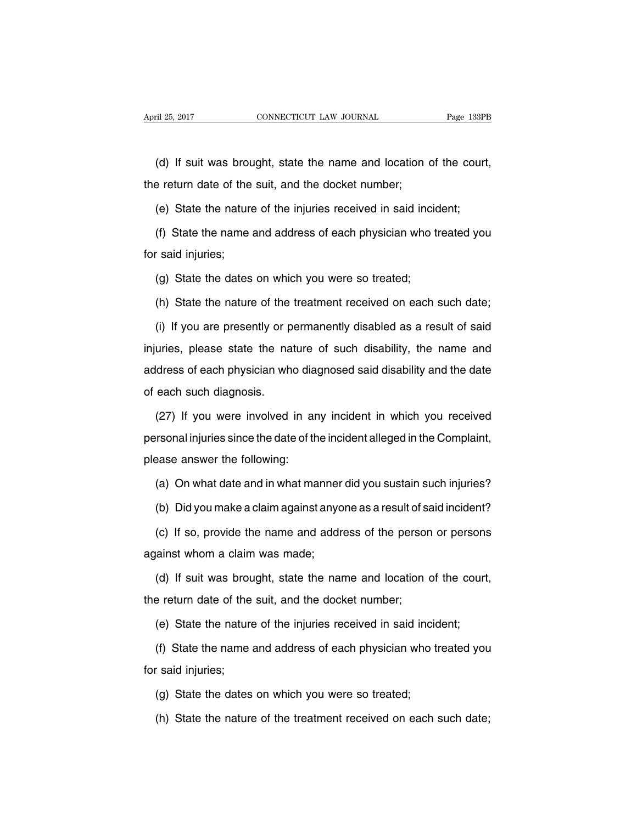(d) If suit was brought, state the name and location of the court, the return date of the suit, and the docket number;

(e) State the nature of the injuries received in said incident;

(f) State the name and address of each physician who treated you for said injuries;

(g) State the dates on which you were so treated;

(h) State the nature of the treatment received on each such date;

(i) If you are presently or permanently disabled as a result of said injuries, please state the nature of such disability, the name and address of each physician who diagnosed said disability and the date of each such diagnosis.

(27) If you were involved in any incident in which you received personal injuries since the date of the incident alleged in the Complaint, please answer the following:

(a) On what date and in what manner did you sustain such injuries?

(b) Did you make a claim against anyone as a result of said incident?

(c) If so, provide the name and address of the person or persons against whom a claim was made;

(d) If suit was brought, state the name and location of the court, the return date of the suit, and the docket number;

(e) State the nature of the injuries received in said incident;

(f) State the name and address of each physician who treated you for said injuries;

(g) State the dates on which you were so treated;

(h) State the nature of the treatment received on each such date;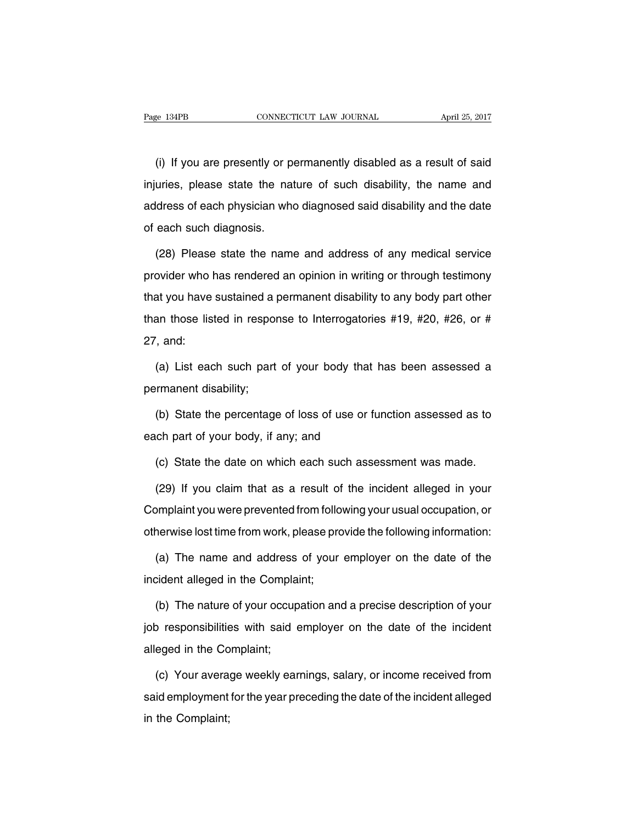(i) If you are presently or permanently disabled as a result of said injuries, please state the nature of such disability, the name and address of each physician who diagnosed said disability and the date of each such diagnosis.

(28) Please state the name and address of any medical service provider who has rendered an opinion in writing or through testimony that you have sustained a permanent disability to any body part other than those listed in response to Interrogatories #19, #20, #26, or # 27, and:

(a) List each such part of your body that has been assessed a permanent disability;

(b) State the percentage of loss of use or function assessed as to each part of your body, if any; and

(c) State the date on which each such assessment was made.

(29) If you claim that as a result of the incident alleged in your Complaint you were prevented from following your usual occupation, or otherwise lost time from work, please provide the following information:

(a) The name and address of your employer on the date of the incident alleged in the Complaint;

(b) The nature of your occupation and a precise description of your job responsibilities with said employer on the date of the incident alleged in the Complaint;

(c) Your average weekly earnings, salary, or income received from said employment for the year preceding the date of the incident alleged in the Complaint;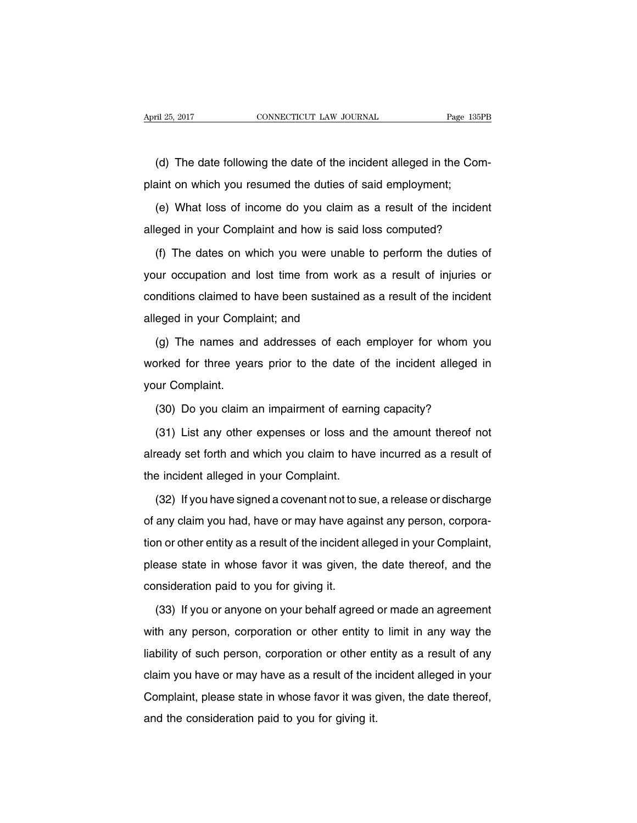(d) The date following the date of the incident alleged in the Complaint on which you resumed the duties of said employment;

(e) What loss of income do you claim as a result of the incident alleged in your Complaint and how is said loss computed?

(f) The dates on which you were unable to perform the duties of your occupation and lost time from work as a result of injuries or conditions claimed to have been sustained as a result of the incident alleged in your Complaint; and

(g) The names and addresses of each employer for whom you worked for three years prior to the date of the incident alleged in your Complaint.

(30) Do you claim an impairment of earning capacity?

(31) List any other expenses or loss and the amount thereof not already set forth and which you claim to have incurred as a result of the incident alleged in your Complaint.

(32) If you have signed a covenant not to sue, a release or discharge of any claim you had, have or may have against any person, corporation or other entity as a result of the incident alleged in your Complaint, please state in whose favor it was given, the date thereof, and the consideration paid to you for giving it.

(33) If you or anyone on your behalf agreed or made an agreement with any person, corporation or other entity to limit in any way the liability of such person, corporation or other entity as a result of any claim you have or may have as a result of the incident alleged in your Complaint, please state in whose favor it was given, the date thereof, and the consideration paid to you for giving it.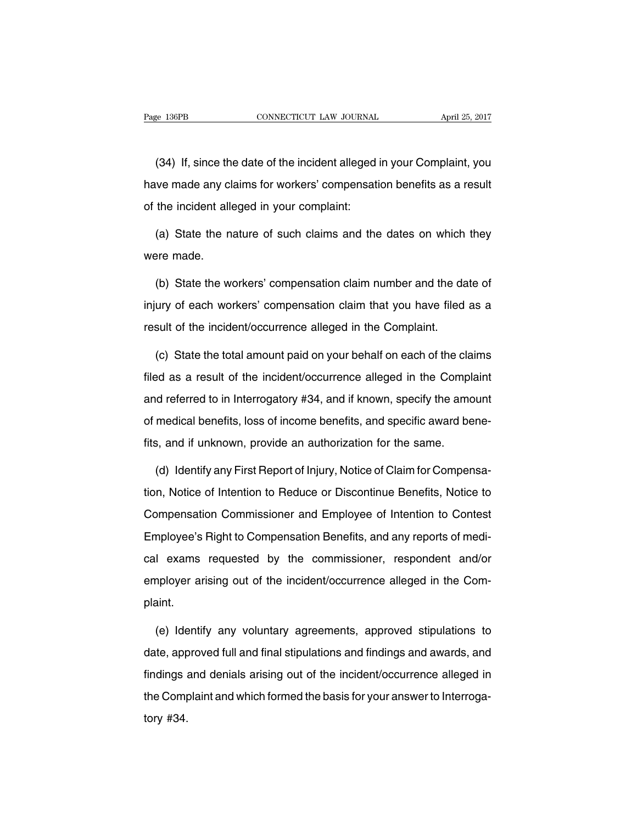(34) If, since the date of the incident alleged in your Complaint, you have made any claims for workers' compensation benefits as a result of the incident alleged in your complaint:

(a) State the nature of such claims and the dates on which they were made.

(b) State the workers' compensation claim number and the date of injury of each workers' compensation claim that you have filed as a result of the incident/occurrence alleged in the Complaint.

(c) State the total amount paid on your behalf on each of the claims filed as a result of the incident/occurrence alleged in the Complaint and referred to in Interrogatory #34, and if known, specify the amount of medical benefits, loss of income benefits, and specific award benefits, and if unknown, provide an authorization for the same.

(d) Identify any First Report of Injury, Notice of Claim for Compensation, Notice of Intention to Reduce or Discontinue Benefits, Notice to Compensation Commissioner and Employee of Intention to Contest Employee's Right to Compensation Benefits, and any reports of medical exams requested by the commissioner, respondent and/or employer arising out of the incident/occurrence alleged in the Complaint.

(e) Identify any voluntary agreements, approved stipulations to date, approved full and final stipulations and findings and awards, and findings and denials arising out of the incident/occurrence alleged in the Complaint and which formed the basis for your answer to Interrogatory #34.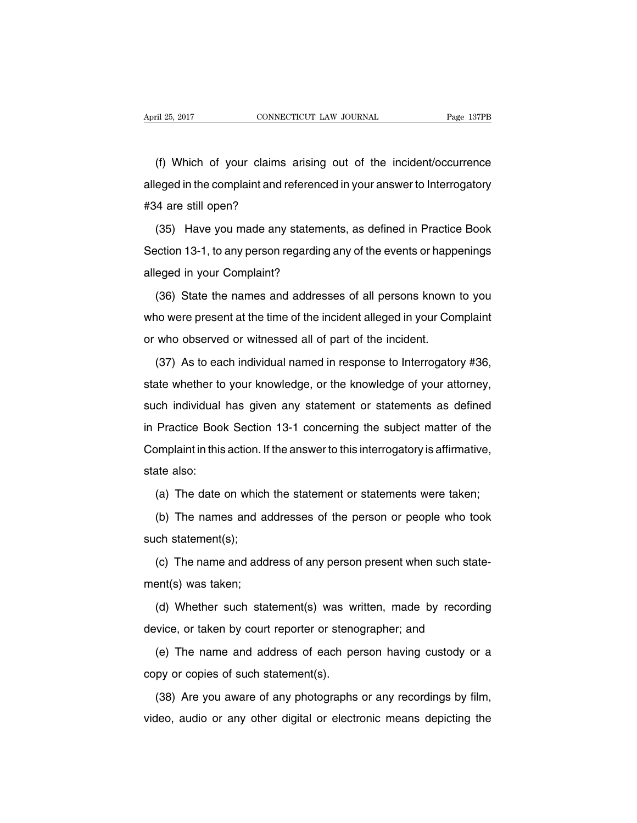(f) Which of your claims arising out of the incident/occurrence alleged in the complaint and referenced in your answer to Interrogatory #34 are still open?

(35) Have you made any statements, as defined in Practice Book Section 13-1, to any person regarding any of the events or happenings alleged in your Complaint?

(36) State the names and addresses of all persons known to you who were present at the time of the incident alleged in your Complaint or who observed or witnessed all of part of the incident.

(37) As to each individual named in response to Interrogatory #36, state whether to your knowledge, or the knowledge of your attorney, such individual has given any statement or statements as defined in Practice Book Section 13-1 concerning the subject matter of the Complaint in this action. If the answer to this interrogatory is affirmative, state also:

(a) The date on which the statement or statements were taken;

(b) The names and addresses of the person or people who took such statement(s);

(c) The name and address of any person present when such statement(s) was taken;

(d) Whether such statement(s) was written, made by recording device, or taken by court reporter or stenographer; and

(e) The name and address of each person having custody or a copy or copies of such statement(s).

(38) Are you aware of any photographs or any recordings by film, video, audio or any other digital or electronic means depicting the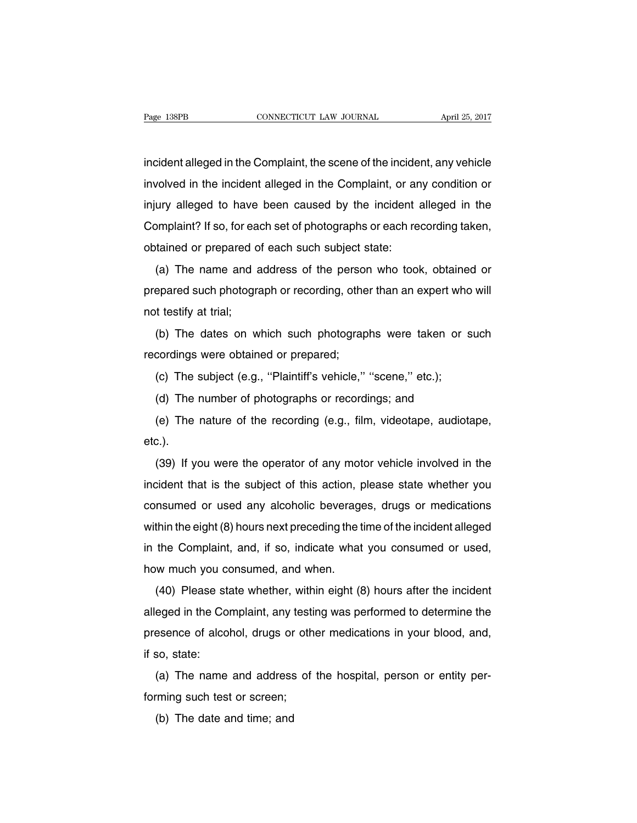incident alleged in the Complaint, the scene of the incident, any vehicle involved in the incident alleged in the Complaint, or any condition or injury alleged to have been caused by the incident alleged in the Complaint? If so, for each set of photographs or each recording taken, obtained or prepared of each such subject state:

(a) The name and address of the person who took, obtained or prepared such photograph or recording, other than an expert who will not testify at trial;

(b) The dates on which such photographs were taken or such recordings were obtained or prepared;

(c) The subject (e.g., ''Plaintiff's vehicle,'' ''scene,'' etc.);

(d) The number of photographs or recordings; and

(e) The nature of the recording (e.g., film, videotape, audiotape, etc.).

(39) If you were the operator of any motor vehicle involved in the incident that is the subject of this action, please state whether you consumed or used any alcoholic beverages, drugs or medications within the eight (8) hours next preceding the time of the incident alleged in the Complaint, and, if so, indicate what you consumed or used, how much you consumed, and when.

(40) Please state whether, within eight (8) hours after the incident alleged in the Complaint, any testing was performed to determine the presence of alcohol, drugs or other medications in your blood, and, if so, state:

(a) The name and address of the hospital, person or entity performing such test or screen;

(b) The date and time; and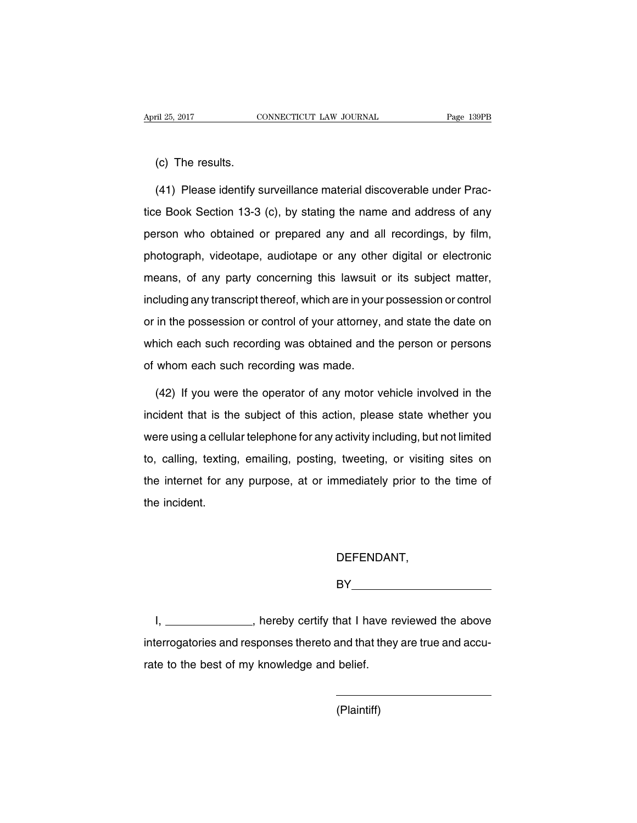#### (c) The results.

(41) Please identify surveillance material discoverable under Practice Book Section 13-3 (c), by stating the name and address of any person who obtained or prepared any and all recordings, by film, photograph, videotape, audiotape or any other digital or electronic means, of any party concerning this lawsuit or its subject matter, including any transcript thereof, which are in your possession or control or in the possession or control of your attorney, and state the date on which each such recording was obtained and the person or persons of whom each such recording was made.

(42) If you were the operator of any motor vehicle involved in the incident that is the subject of this action, please state whether you were using a cellular telephone for any activity including, but not limited to, calling, texting, emailing, posting, tweeting, or visiting sites on the internet for any purpose, at or immediately prior to the time of the incident.

# DEFENDANT,

BY **BY** 

I, \_\_\_\_\_\_\_\_\_\_\_\_\_\_, hereby certify that I have reviewed the above interrogatories and responses thereto and that they are true and accurate to the best of my knowledge and belief.

(Plaintiff)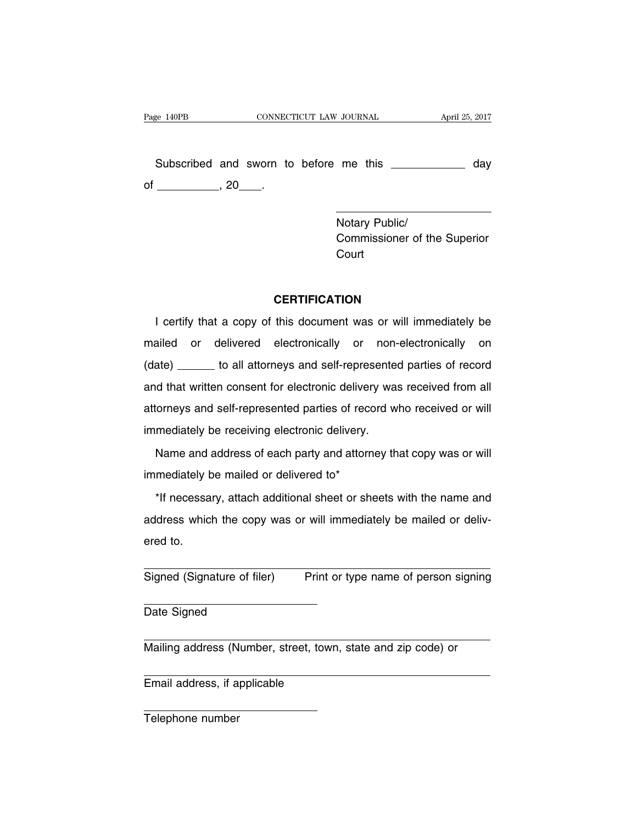Subscribed and sworn to before me this \_\_\_\_\_\_\_\_\_\_\_\_\_ day of  $\frac{1}{20}$ , 20  $\frac{1}{20}$ .

> Notary Public/ Commissioner of the Superior **Court**

# **CERTIFICATION**

I certify that a copy of this document was or will immediately be mailed or delivered electronically or non-electronically on (date) \_\_\_\_\_\_ to all attorneys and self-represented parties of record and that written consent for electronic delivery was received from all attorneys and self-represented parties of record who received or will immediately be receiving electronic delivery.

Name and address of each party and attorney that copy was or will immediately be mailed or delivered to\*

\*If necessary, attach additional sheet or sheets with the name and address which the copy was or will immediately be mailed or delivered to.

Signed (Signature of filer) Print or type name of person signing

Date Signed

Mailing address (Number, street, town, state and zip code) or

Email address, if applicable

Telephone number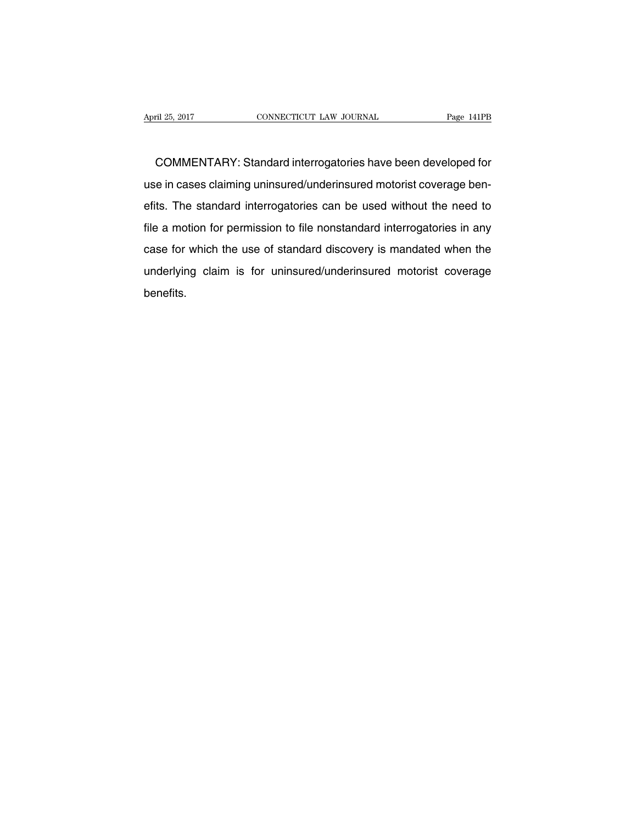COMMENTARY: Standard interrogatories have been developed for use in cases claiming uninsured/underinsured motorist coverage benefits. The standard interrogatories can be used without the need to file a motion for permission to file nonstandard interrogatories in any case for which the use of standard discovery is mandated when the underlying claim is for uninsured/underinsured motorist coverage benefits.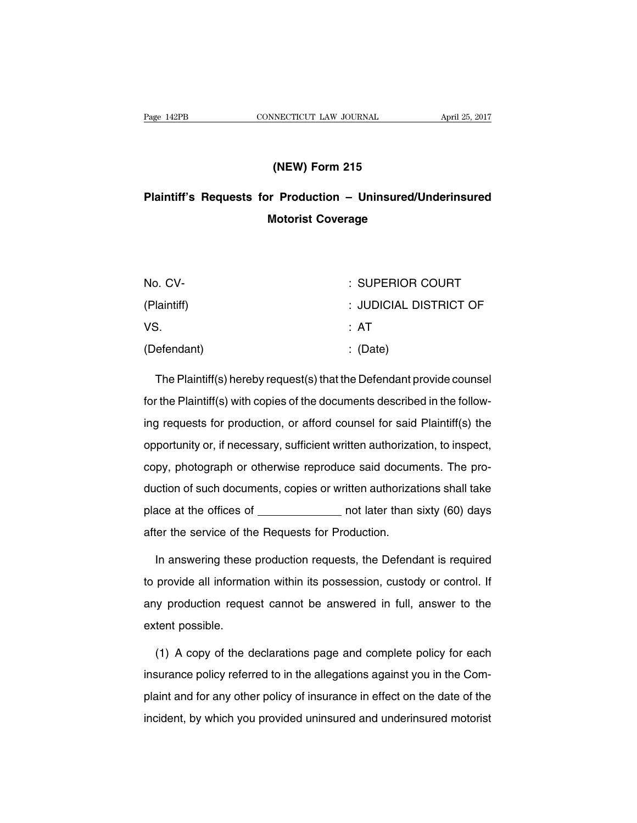## **(NEW) Form 215**

# **Plaintiff's Requests for Production – Uninsured/Underinsured Motorist Coverage**

| No. CV-     | : SUPERIOR COURT       |
|-------------|------------------------|
| (Plaintiff) | : JUDICIAL DISTRICT OF |
| VS.         | : AT                   |
| (Defendant) | $\therefore$ (Date)    |

The Plaintiff(s) hereby request(s) that the Defendant provide counsel for the Plaintiff(s) with copies of the documents described in the following requests for production, or afford counsel for said Plaintiff(s) the opportunity or, if necessary, sufficient written authorization, to inspect, copy, photograph or otherwise reproduce said documents. The production of such documents, copies or written authorizations shall take place at the offices of \_\_\_\_\_\_\_\_\_\_\_\_\_\_ not later than sixty (60) days after the service of the Requests for Production.

In answering these production requests, the Defendant is required to provide all information within its possession, custody or control. If any production request cannot be answered in full, answer to the extent possible.

(1) A copy of the declarations page and complete policy for each insurance policy referred to in the allegations against you in the Complaint and for any other policy of insurance in effect on the date of the incident, by which you provided uninsured and underinsured motorist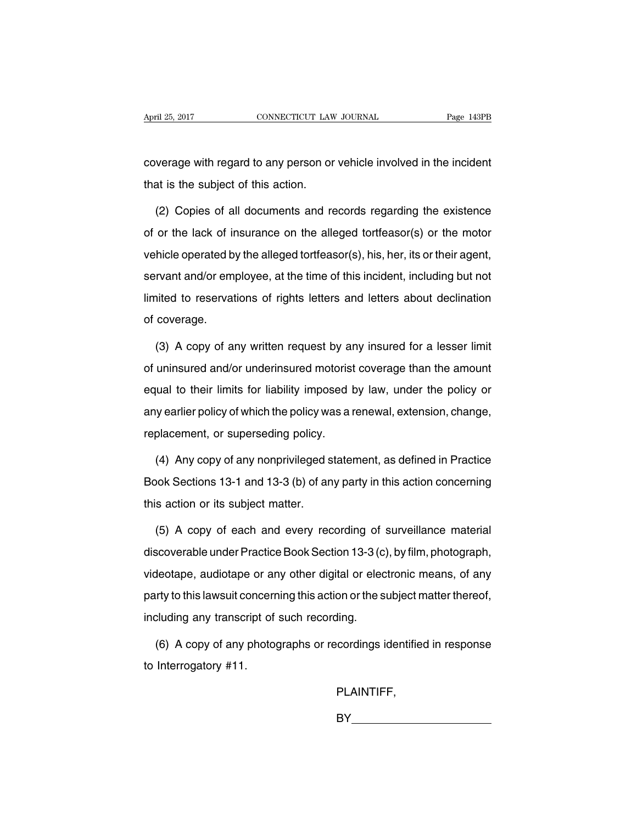coverage with regard to any person or vehicle involved in the incident that is the subject of this action.

(2) Copies of all documents and records regarding the existence of or the lack of insurance on the alleged tortfeasor(s) or the motor vehicle operated by the alleged tortfeasor(s), his, her, its or their agent, servant and/or employee, at the time of this incident, including but not limited to reservations of rights letters and letters about declination of coverage.

(3) A copy of any written request by any insured for a lesser limit of uninsured and/or underinsured motorist coverage than the amount equal to their limits for liability imposed by law, under the policy or any earlier policy of which the policy was a renewal, extension, change, replacement, or superseding policy.

(4) Any copy of any nonprivileged statement, as defined in Practice Book Sections 13-1 and 13-3 (b) of any party in this action concerning this action or its subject matter.

(5) A copy of each and every recording of surveillance material discoverable under Practice Book Section 13-3 (c), by film, photograph, videotape, audiotape or any other digital or electronic means, of any party to this lawsuit concerning this action or the subject matter thereof, including any transcript of such recording.

(6) A copy of any photographs or recordings identified in response to Interrogatory #11.

PLAINTIFF,

BY **Experiment Structure (STR**)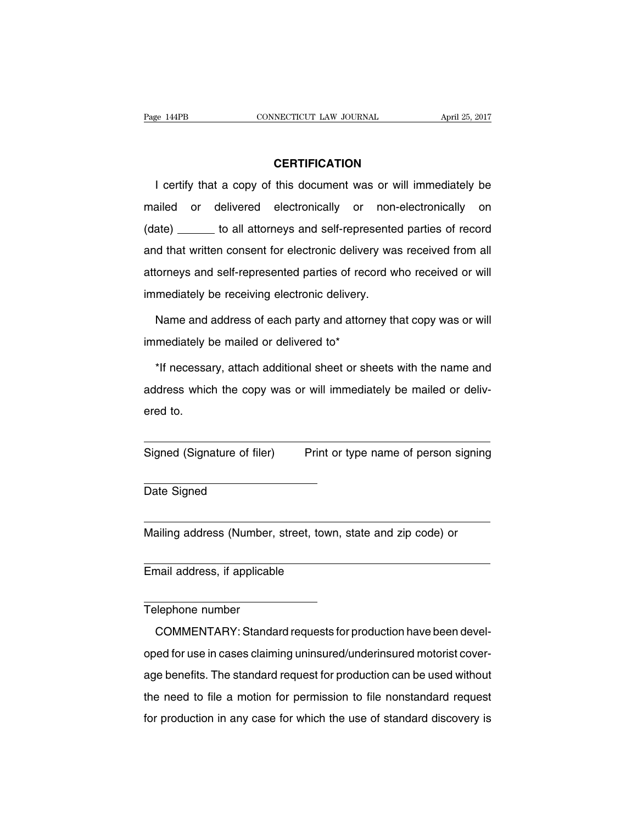## **CERTIFICATION**

I certify that a copy of this document was or will immediately be mailed or delivered electronically or non-electronically on (date) \_\_\_\_\_\_ to all attorneys and self-represented parties of record and that written consent for electronic delivery was received from all attorneys and self-represented parties of record who received or will immediately be receiving electronic delivery.

Name and address of each party and attorney that copy was or will immediately be mailed or delivered to\*

\*If necessary, attach additional sheet or sheets with the name and address which the copy was or will immediately be mailed or delivered to.

Signed (Signature of filer) Print or type name of person signing

Date Signed

Mailing address (Number, street, town, state and zip code) or

Email address, if applicable

#### Telephone number

COMMENTARY: Standard requests for production have been developed for use in cases claiming uninsured/underinsured motorist coverage benefits. The standard request for production can be used without the need to file a motion for permission to file nonstandard request for production in any case for which the use of standard discovery is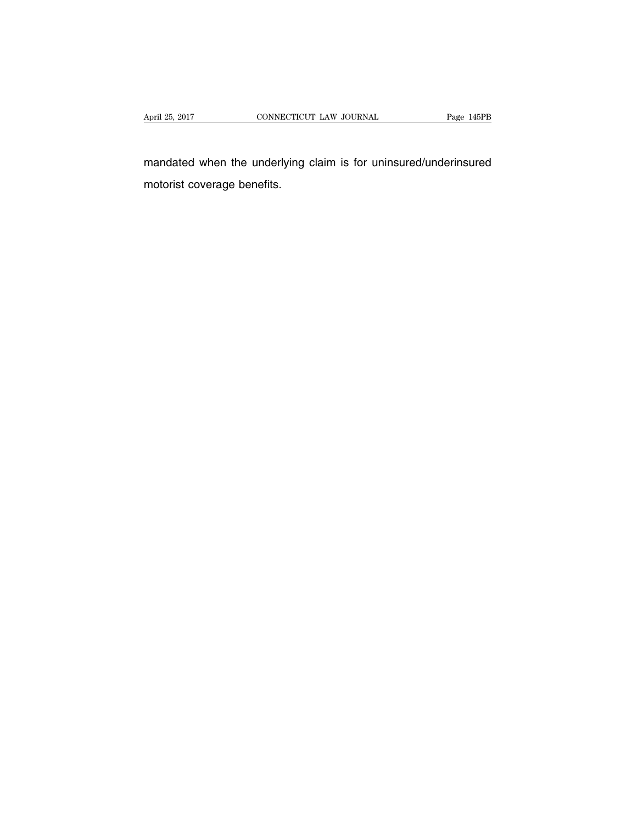mandated when the underlying claim is for uninsured/underinsured motorist coverage benefits.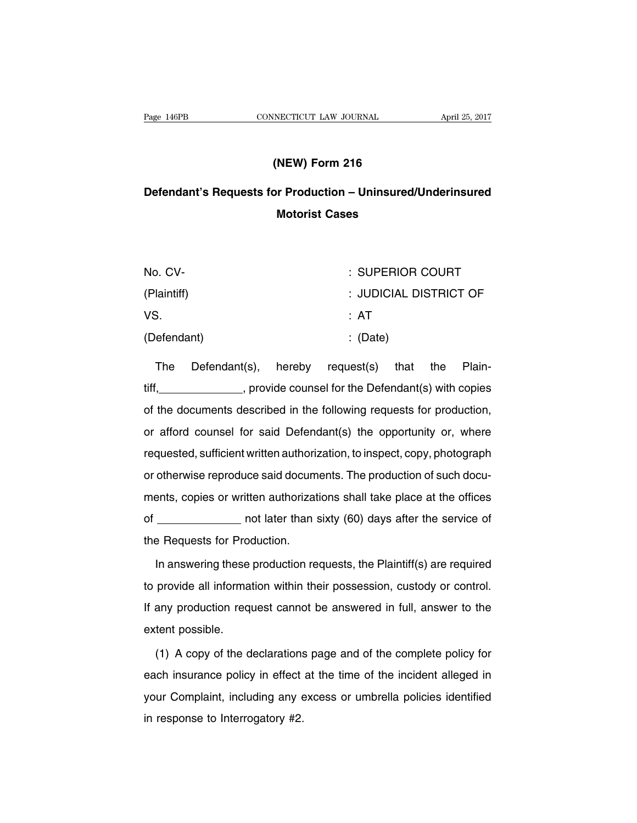## **(NEW) Form 216**

## **Defendant's Requests for Production – Uninsured/Underinsured Motorist Cases**

| No. CV-     | : SUPERIOR COURT       |
|-------------|------------------------|
| (Plaintiff) | : JUDICIAL DISTRICT OF |
| VS.         | : AT                   |
| (Defendant) | $\therefore$ (Date)    |

The Defendant(s), hereby request(s) that the Plaintiff, , provide counsel for the Defendant(s) with copies of the documents described in the following requests for production, or afford counsel for said Defendant(s) the opportunity or, where requested, sufficient written authorization, to inspect, copy, photograph or otherwise reproduce said documents. The production of such documents, copies or written authorizations shall take place at the offices of \_\_\_\_\_\_\_\_\_\_\_\_\_\_\_\_ not later than sixty (60) days after the service of the Requests for Production.

In answering these production requests, the Plaintiff(s) are required to provide all information within their possession, custody or control. If any production request cannot be answered in full, answer to the extent possible.

(1) A copy of the declarations page and of the complete policy for each insurance policy in effect at the time of the incident alleged in your Complaint, including any excess or umbrella policies identified in response to Interrogatory #2.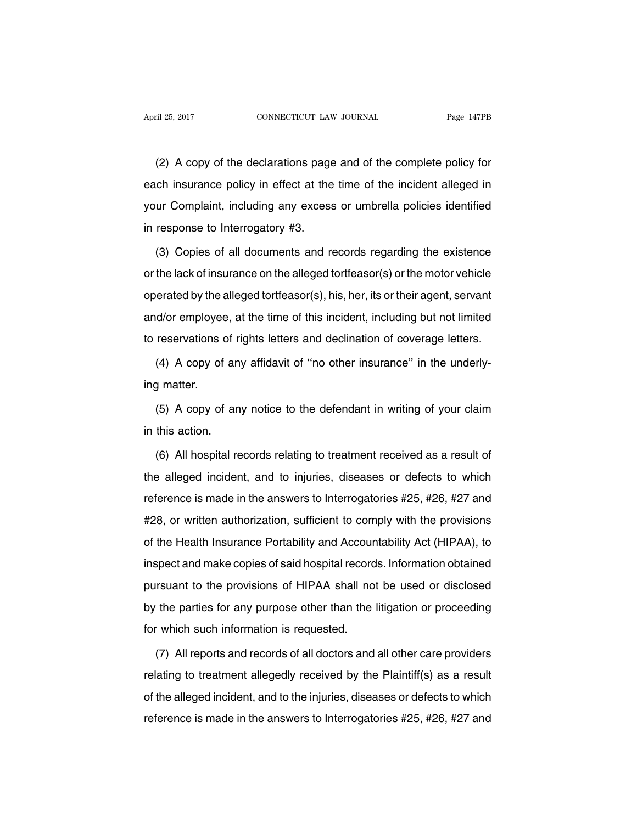(2) A copy of the declarations page and of the complete policy for each insurance policy in effect at the time of the incident alleged in your Complaint, including any excess or umbrella policies identified in response to Interrogatory #3.

(3) Copies of all documents and records regarding the existence or the lack of insurance on the alleged tortfeasor(s) or the motor vehicle operated by the alleged tortfeasor(s), his, her, its or their agent, servant and/or employee, at the time of this incident, including but not limited to reservations of rights letters and declination of coverage letters.

(4) A copy of any affidavit of ''no other insurance'' in the underlying matter.

(5) A copy of any notice to the defendant in writing of your claim in this action.

(6) All hospital records relating to treatment received as a result of the alleged incident, and to injuries, diseases or defects to which reference is made in the answers to Interrogatories #25, #26, #27 and #28, or written authorization, sufficient to comply with the provisions of the Health Insurance Portability and Accountability Act (HIPAA), to inspect and make copies of said hospital records. Information obtained pursuant to the provisions of HIPAA shall not be used or disclosed by the parties for any purpose other than the litigation or proceeding for which such information is requested.

(7) All reports and records of all doctors and all other care providers relating to treatment allegedly received by the Plaintiff(s) as a result of the alleged incident, and to the injuries, diseases or defects to which reference is made in the answers to Interrogatories #25, #26, #27 and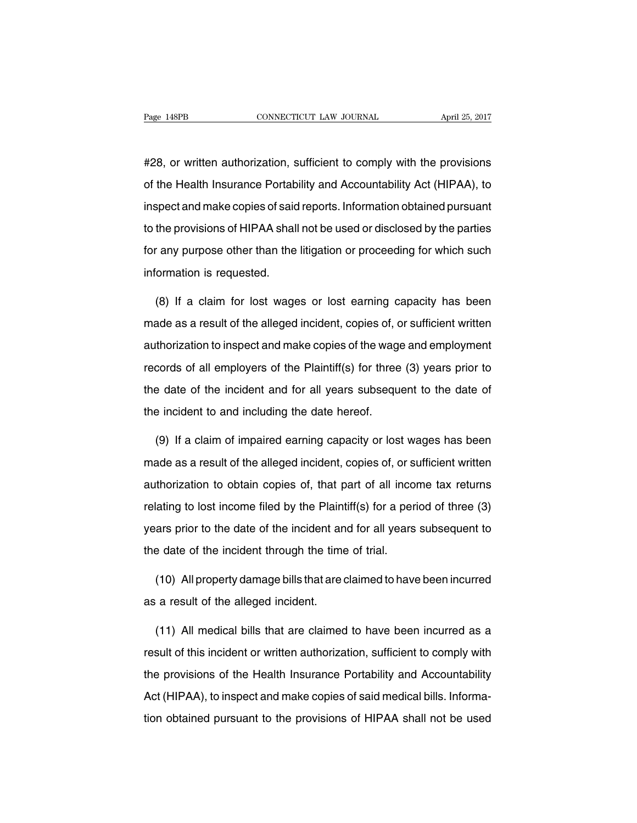#28, or written authorization, sufficient to comply with the provisions of the Health Insurance Portability and Accountability Act (HIPAA), to inspect and make copies of said reports. Information obtained pursuant to the provisions of HIPAA shall not be used or disclosed by the parties for any purpose other than the litigation or proceeding for which such information is requested.

(8) If a claim for lost wages or lost earning capacity has been made as a result of the alleged incident, copies of, or sufficient written authorization to inspect and make copies of the wage and employment records of all employers of the Plaintiff(s) for three (3) years prior to the date of the incident and for all years subsequent to the date of the incident to and including the date hereof.

(9) If a claim of impaired earning capacity or lost wages has been made as a result of the alleged incident, copies of, or sufficient written authorization to obtain copies of, that part of all income tax returns relating to lost income filed by the Plaintiff(s) for a period of three (3) years prior to the date of the incident and for all years subsequent to the date of the incident through the time of trial.

(10) All property damage bills that are claimed to have been incurred as a result of the alleged incident.

(11) All medical bills that are claimed to have been incurred as a result of this incident or written authorization, sufficient to comply with the provisions of the Health Insurance Portability and Accountability Act (HIPAA), to inspect and make copies of said medical bills. Information obtained pursuant to the provisions of HIPAA shall not be used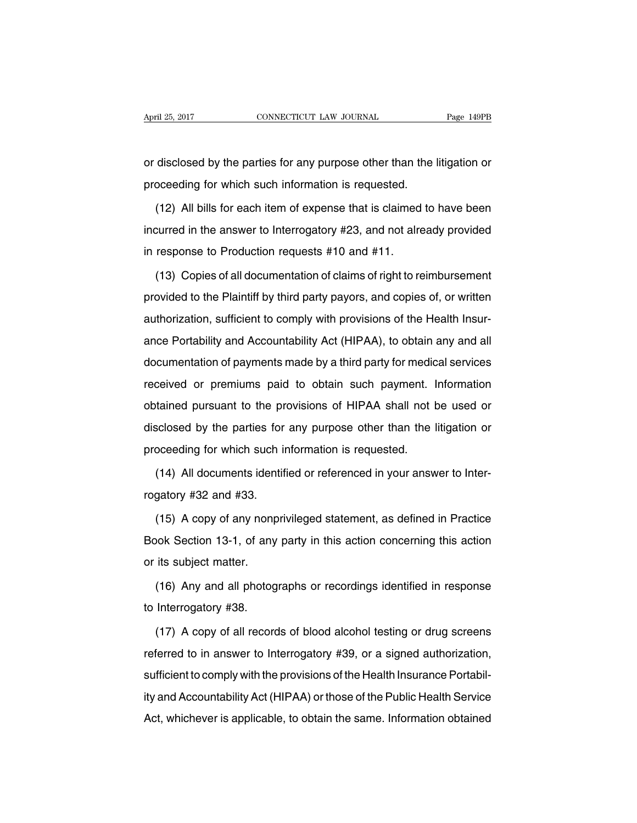or disclosed by the parties for any purpose other than the litigation or proceeding for which such information is requested.

(12) All bills for each item of expense that is claimed to have been incurred in the answer to Interrogatory #23, and not already provided in response to Production requests #10 and #11.

(13) Copies of all documentation of claims of right to reimbursement provided to the Plaintiff by third party payors, and copies of, or written authorization, sufficient to comply with provisions of the Health Insurance Portability and Accountability Act (HIPAA), to obtain any and all documentation of payments made by a third party for medical services received or premiums paid to obtain such payment. Information obtained pursuant to the provisions of HIPAA shall not be used or disclosed by the parties for any purpose other than the litigation or proceeding for which such information is requested.

(14) All documents identified or referenced in your answer to Interrogatory #32 and #33.

(15) A copy of any nonprivileged statement, as defined in Practice Book Section 13-1, of any party in this action concerning this action or its subject matter.

(16) Any and all photographs or recordings identified in response to Interrogatory #38.

(17) A copy of all records of blood alcohol testing or drug screens referred to in answer to Interrogatory #39, or a signed authorization, sufficient to comply with the provisions of the Health Insurance Portability and Accountability Act (HIPAA) or those of the Public Health Service Act, whichever is applicable, to obtain the same. Information obtained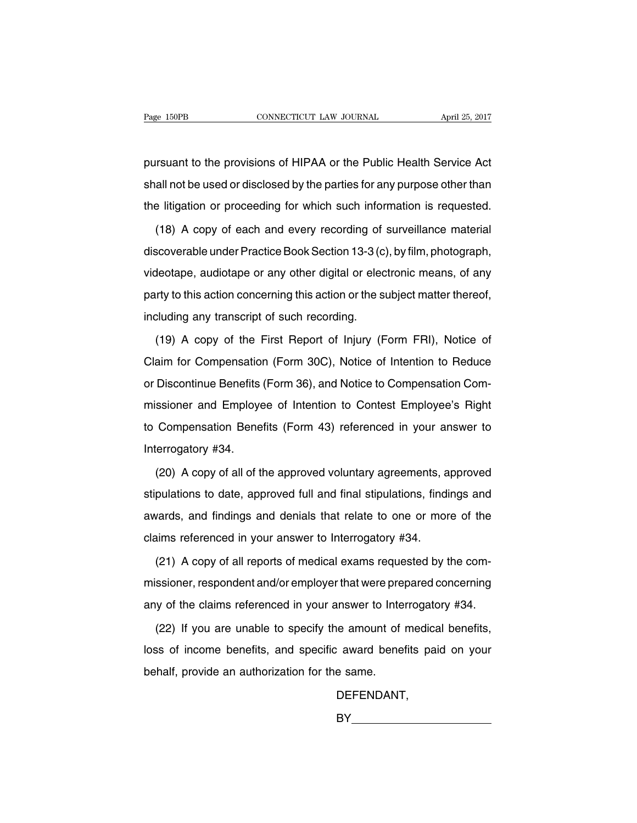pursuant to the provisions of HIPAA or the Public Health Service Act shall not be used or disclosed by the parties for any purpose other than the litigation or proceeding for which such information is requested.

(18) A copy of each and every recording of surveillance material discoverable under Practice Book Section 13-3 (c), by film, photograph, videotape, audiotape or any other digital or electronic means, of any party to this action concerning this action or the subject matter thereof, including any transcript of such recording.

(19) A copy of the First Report of Injury (Form FRI), Notice of Claim for Compensation (Form 30C), Notice of Intention to Reduce or Discontinue Benefits (Form 36), and Notice to Compensation Commissioner and Employee of Intention to Contest Employee's Right to Compensation Benefits (Form 43) referenced in your answer to Interrogatory #34.

(20) A copy of all of the approved voluntary agreements, approved stipulations to date, approved full and final stipulations, findings and awards, and findings and denials that relate to one or more of the claims referenced in your answer to Interrogatory #34.

(21) A copy of all reports of medical exams requested by the commissioner, respondent and/or employer that were prepared concerning any of the claims referenced in your answer to Interrogatory #34.

(22) If you are unable to specify the amount of medical benefits, loss of income benefits, and specific award benefits paid on your behalf, provide an authorization for the same.

DEFENDANT,

BY **BY**